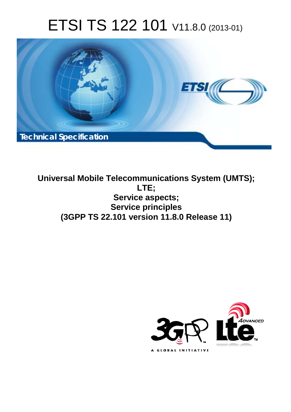# ETSI TS 122 101 V11.8.0 (2013-01)



**Universal Mobile Telecommunications System (UMTS); LTE; Service aspects; Service principles (3GPP TS 22.101 version 11.8.0 Release 11)** 

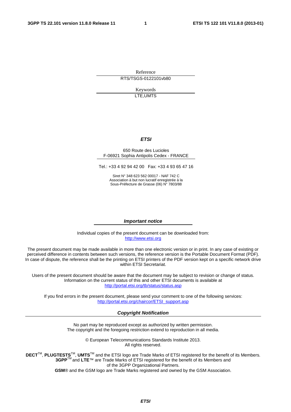Reference RTS/TSGS-0122101vb80

> Keywords LTE,UMTS

#### *ETSI*

#### 650 Route des Lucioles F-06921 Sophia Antipolis Cedex - FRANCE

Tel.: +33 4 92 94 42 00 Fax: +33 4 93 65 47 16

Siret N° 348 623 562 00017 - NAF 742 C Association à but non lucratif enregistrée à la Sous-Préfecture de Grasse (06) N° 7803/88

#### *Important notice*

Individual copies of the present document can be downloaded from: [http://www.etsi.org](http://www.etsi.org/)

The present document may be made available in more than one electronic version or in print. In any case of existing or perceived difference in contents between such versions, the reference version is the Portable Document Format (PDF). In case of dispute, the reference shall be the printing on ETSI printers of the PDF version kept on a specific network drive within ETSI Secretariat.

Users of the present document should be aware that the document may be subject to revision or change of status. Information on the current status of this and other ETSI documents is available at <http://portal.etsi.org/tb/status/status.asp>

If you find errors in the present document, please send your comment to one of the following services: [http://portal.etsi.org/chaircor/ETSI\\_support.asp](http://portal.etsi.org/chaircor/ETSI_support.asp)

#### *Copyright Notification*

No part may be reproduced except as authorized by written permission. The copyright and the foregoing restriction extend to reproduction in all media.

> © European Telecommunications Standards Institute 2013. All rights reserved.

DECT<sup>™</sup>, PLUGTESTS<sup>™</sup>, UMTS<sup>™</sup> and the ETSI logo are Trade Marks of ETSI registered for the benefit of its Members. **3GPP**TM and **LTE**™ are Trade Marks of ETSI registered for the benefit of its Members and of the 3GPP Organizational Partners.

**GSM**® and the GSM logo are Trade Marks registered and owned by the GSM Association.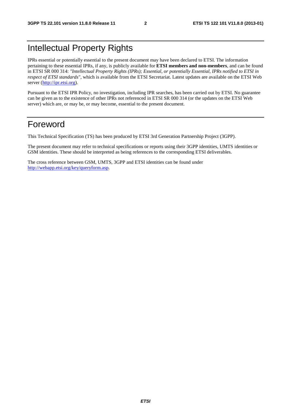# Intellectual Property Rights

IPRs essential or potentially essential to the present document may have been declared to ETSI. The information pertaining to these essential IPRs, if any, is publicly available for **ETSI members and non-members**, and can be found in ETSI SR 000 314: *"Intellectual Property Rights (IPRs); Essential, or potentially Essential, IPRs notified to ETSI in respect of ETSI standards"*, which is available from the ETSI Secretariat. Latest updates are available on the ETSI Web server [\(http://ipr.etsi.org](http://webapp.etsi.org/IPR/home.asp)).

Pursuant to the ETSI IPR Policy, no investigation, including IPR searches, has been carried out by ETSI. No guarantee can be given as to the existence of other IPRs not referenced in ETSI SR 000 314 (or the updates on the ETSI Web server) which are, or may be, or may become, essential to the present document.

## Foreword

This Technical Specification (TS) has been produced by ETSI 3rd Generation Partnership Project (3GPP).

The present document may refer to technical specifications or reports using their 3GPP identities, UMTS identities or GSM identities. These should be interpreted as being references to the corresponding ETSI deliverables.

The cross reference between GSM, UMTS, 3GPP and ETSI identities can be found under <http://webapp.etsi.org/key/queryform.asp>.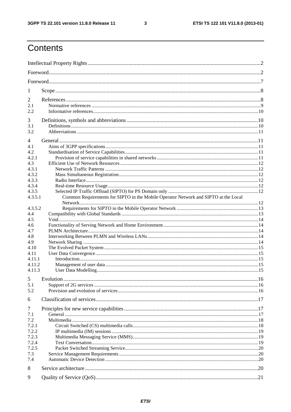$\mathbf{3}$ 

# Contents

| 1            |                                                                                     |  |
|--------------|-------------------------------------------------------------------------------------|--|
| 2            |                                                                                     |  |
| 2.1          |                                                                                     |  |
| 2.2          |                                                                                     |  |
| 3            |                                                                                     |  |
| 3.1          |                                                                                     |  |
| 3.2          |                                                                                     |  |
|              |                                                                                     |  |
| 4<br>4.1     |                                                                                     |  |
| 4.2          |                                                                                     |  |
| 4.2.1        |                                                                                     |  |
| 4.3          |                                                                                     |  |
| 4.3.1        |                                                                                     |  |
| 4.3.2        |                                                                                     |  |
| 4.3.3        |                                                                                     |  |
| 4.3.4        |                                                                                     |  |
| 4.3.5        |                                                                                     |  |
| 4.3.5.1      | Common Requirements for SIPTO in the Mobile Operator Network and SIPTO at the Local |  |
|              |                                                                                     |  |
| 4.3.5.2      |                                                                                     |  |
| 4.4          |                                                                                     |  |
| 4.5          |                                                                                     |  |
| 4.6          |                                                                                     |  |
| 4.7          |                                                                                     |  |
| 4.8          |                                                                                     |  |
| 4.9          |                                                                                     |  |
| 4.10<br>4.11 |                                                                                     |  |
| 4.11.1       |                                                                                     |  |
| 4.11.2       |                                                                                     |  |
| 4.11.3       |                                                                                     |  |
|              |                                                                                     |  |
|              |                                                                                     |  |
| 5.1          |                                                                                     |  |
| 5.2          |                                                                                     |  |
| 6            |                                                                                     |  |
| 7            |                                                                                     |  |
| 7.1          |                                                                                     |  |
| 7.2          |                                                                                     |  |
| 7.2.1        |                                                                                     |  |
| 7.2.2        |                                                                                     |  |
| 7.2.3        |                                                                                     |  |
| 7.2.4        |                                                                                     |  |
| 7.2.5        |                                                                                     |  |
| 7.3          |                                                                                     |  |
| 7.4          |                                                                                     |  |
| 8            |                                                                                     |  |
|              |                                                                                     |  |
| 9            |                                                                                     |  |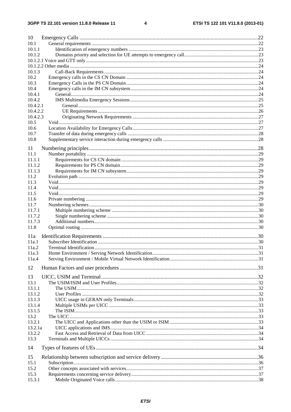#### $\overline{\mathbf{4}}$

| 10             |  |
|----------------|--|
| 10.1           |  |
| 10.1.1         |  |
| 10.1.2         |  |
|                |  |
|                |  |
| 10.1.3         |  |
| 10.2           |  |
| 10.3           |  |
| 10.4           |  |
| 10.4.1         |  |
| 10.4.2         |  |
| 10.4.2.1       |  |
| 10.4.2.2       |  |
| 10.4.2.3       |  |
| 10.5           |  |
| 10.6           |  |
| 10.7           |  |
| 10.8           |  |
| 11             |  |
| 11.1           |  |
| 11.1.1         |  |
| 11.1.2         |  |
| 11.1.3         |  |
| 11.2           |  |
| 11.3           |  |
| 11.4           |  |
| 11.5           |  |
| 11.6           |  |
| 11.7           |  |
| 11.7.1         |  |
| 11.7.2         |  |
| 11.7.3         |  |
| 11.8           |  |
| 11a            |  |
| 11a.1          |  |
| 11a.2          |  |
| 11a.3          |  |
| 11a.4          |  |
|                |  |
| 12             |  |
| 13             |  |
| 13.1           |  |
| 13.1.1         |  |
| 13.1.2         |  |
| 13.1.3         |  |
| 13.1.4         |  |
| 13.1.5         |  |
| 13.2           |  |
| 13.2.1         |  |
| 13.2.1a        |  |
| 13.2.2         |  |
| 13.3           |  |
| 14             |  |
|                |  |
| 15             |  |
| 15.1           |  |
| 15.2           |  |
| 15.3<br>15.3.1 |  |
|                |  |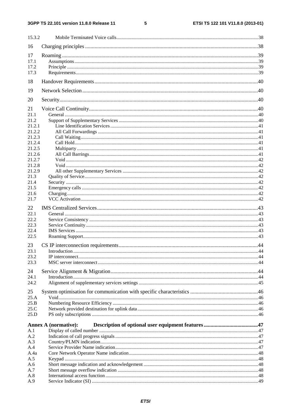$\overline{\phantom{0}}$ 

| 15.3.2           |                             |  |
|------------------|-----------------------------|--|
| 16               |                             |  |
| 17               |                             |  |
| 17.1             |                             |  |
| 17.2             |                             |  |
| 17.3             |                             |  |
| 18               |                             |  |
| 19               |                             |  |
| 20               |                             |  |
| 21               |                             |  |
| 21.1             |                             |  |
| 21.2             |                             |  |
| 21.2.1           |                             |  |
| 21.2.2           |                             |  |
| 21.2.3           |                             |  |
| 21.2.4<br>21.2.5 |                             |  |
| 21.2.6           |                             |  |
| 21.2.7           |                             |  |
| 21.2.8           |                             |  |
| 21.2.9           |                             |  |
| 21.3             |                             |  |
| 21.4             |                             |  |
| 21.5             |                             |  |
| 21.6             |                             |  |
| 21.7             |                             |  |
| 22               |                             |  |
| 22.1             |                             |  |
| 22.2             |                             |  |
| 22.3             |                             |  |
| 22.4             |                             |  |
| 22.5             |                             |  |
| 23               |                             |  |
| 23.1             |                             |  |
| 23.2<br>23.3     |                             |  |
|                  |                             |  |
| 24               |                             |  |
| 24.1             |                             |  |
| 24.2             |                             |  |
| 25               |                             |  |
| 25.A             |                             |  |
| 25.B             |                             |  |
| 25.C<br>25.D     |                             |  |
|                  |                             |  |
|                  | <b>Annex A (normative):</b> |  |
| A.1              |                             |  |
| A.2              |                             |  |
| A.3              |                             |  |
| A.4              |                             |  |
| A.4a             |                             |  |
| A.5<br>A.6       |                             |  |
| A.7              |                             |  |
| A.8              |                             |  |
| A.9              |                             |  |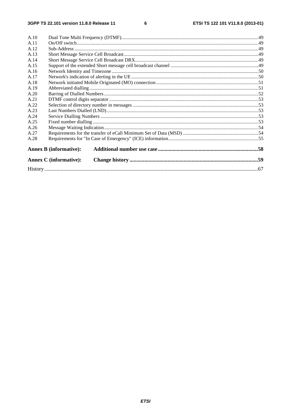#### $\bf 6$

| A.10 |                               |  |
|------|-------------------------------|--|
| A.11 |                               |  |
| A.12 |                               |  |
| A.13 |                               |  |
| A.14 |                               |  |
| A.15 |                               |  |
| A.16 |                               |  |
| A.17 |                               |  |
| A.18 |                               |  |
| A.19 |                               |  |
| A.20 |                               |  |
| A.21 |                               |  |
| A.22 |                               |  |
| A.23 |                               |  |
| A.24 |                               |  |
| A.25 |                               |  |
| A.26 |                               |  |
| A.27 |                               |  |
| A.28 |                               |  |
|      | <b>Annex B</b> (informative): |  |
|      | <b>Annex C</b> (informative): |  |
|      |                               |  |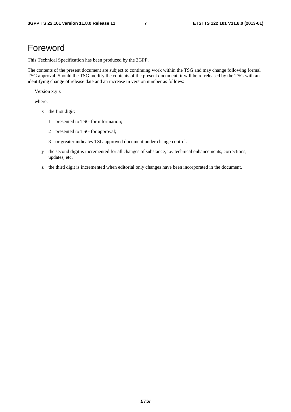# Foreword

This Technical Specification has been produced by the 3GPP.

The contents of the present document are subject to continuing work within the TSG and may change following formal TSG approval. Should the TSG modify the contents of the present document, it will be re-released by the TSG with an identifying change of release date and an increase in version number as follows:

Version x.y.z

where:

- x the first digit:
	- 1 presented to TSG for information;
	- 2 presented to TSG for approval;
	- 3 or greater indicates TSG approved document under change control.
- y the second digit is incremented for all changes of substance, i.e. technical enhancements, corrections, updates, etc.
- z the third digit is incremented when editorial only changes have been incorporated in the document.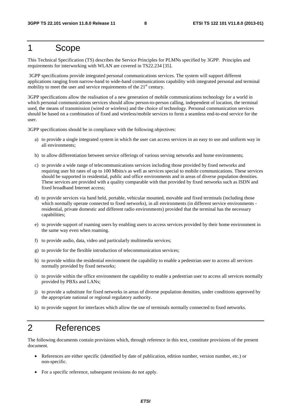## 1 Scope

This Technical Specification (TS) describes the Service Principles for PLMNs specified by 3GPP. Principles and requirements for interworking with WLAN are covered in TS22.234 [35].

 3GPP specifications provide integrated personal communications services. The system will support different applications ranging from narrow-band to wide-band communications capability with integrated personal and terminal mobility to meet the user and service requirements of the  $21<sup>st</sup>$  century.

3GPP specifications allow the realisation of a new generation of mobile communications technology for a world in which personal communications services should allow person-to-person calling, independent of location, the terminal used, the means of transmission (wired or wireless) and the choice of technology. Personal communication services should be based on a combination of fixed and wireless/mobile services to form a seamless end-to-end service for the user.

3GPP specifications should be in compliance with the following objectives:

- a) to provide a single integrated system in which the user can access services in an easy to use and uniform way in all environments;
- b) to allow differentiation between service offerings of various serving networks and home environments;
- c) to provide a wide range of telecommunications services including those provided by fixed networks and requiring user bit rates of up to 100 Mbits/s as well as services special to mobile communications. These services should be supported in residential, public and office environments and in areas of diverse population densities. These services are provided with a quality comparable with that provided by fixed networks such as ISDN and fixed broadband Internet access;
- d) to provide services via hand held, portable, vehicular mounted, movable and fixed terminals (including those which normally operate connected to fixed networks), in all environments (in different service environments residential, private domestic and different radio environments) provided that the terminal has the necessary capabilities;
- e) to provide support of roaming users by enabling users to access services provided by their home environment in the same way even when roaming.
- f) to provide audio, data, video and particularly multimedia services;
- g) to provide for the flexible introduction of telecommunication services;
- h) to provide within the residential environment the capability to enable a pedestrian user to access all services normally provided by fixed networks;
- i) to provide within the office environment the capability to enable a pedestrian user to access all services normally provided by PBXs and LANs;
- j) to provide a substitute for fixed networks in areas of diverse population densities, under conditions approved by the appropriate national or regional regulatory authority.
- k) to provide support for interfaces which allow the use of terminals normally connected to fixed networks.

# 2 References

The following documents contain provisions which, through reference in this text, constitute provisions of the present document.

- References are either specific (identified by date of publication, edition number, version number, etc.) or non-specific.
- For a specific reference, subsequent revisions do not apply.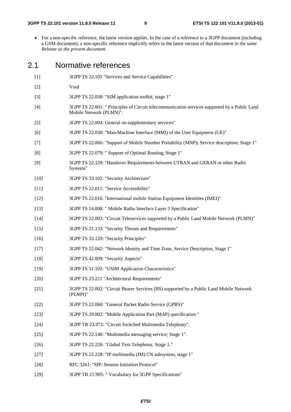• For a non-specific reference, the latest version applies. In the case of a reference to a 3GPP document (including a GSM document), a non-specific reference implicitly refers to the latest version of that document *in the same Release as the present document*.

#### 2.1 Normative references

- [1] 3GPP TS 22.105 "Services and Service Capabilities"
- [2] Void
- [3] 3GPP TS 22.038: "SIM application toolkit, stage 1"
- [4] 3GPP TS 22.001: " Principles of Circuit telecommunication services supported by a Public Land Mobile Network (PLMN)".
- [5] 3GPP TS 22.004: General on supplementary services"
- [6] 3GPP TS 22.030: "Man-Machine Interface (MMI) of the User Equipment (UE)"
- [7] 3GPP TS 22.066: "Support of Mobile Number Portability (MNP); Service description; Stage 1"
- [8] 3GPP TS 22.079: " Support of Optimal Routing; Stage 1"
- [9] 3GPP TS 22.129: "Handover Requirements between UTRAN and GERAN or other Radio Systems"
- [10] 3GPP TS 33.102: "Security Architecture"
- [11] 3GPP TS 22.011: "Service Accessibility"
- [12] 3GPP TS 22.016: "International mobile Station Equipment Identities (IMEI)"
- [13] 3GPP TS 24.008: " Mobile Radio Interface Layer 3 Specification"
- [14] 3GPP TS 22.003: "Circuit Teleservices supported by a Public Land Mobile Network (PLMN)"
- [15] 3GPP TS 21.133: "Security Threats and Requirements"
- [16] 3GPP TS 33.120: "Security Principles"
- [17] 3GPP TS 22.042: "Network Identity and Time Zone, Service Description, Stage 1"
- [18] 3GPP TS 42.009: "Security Aspects"
- [19] 3GPP TS 31.102: "USIM Application Characteristics"
- [20] 3GPP TS 23.221 "Architectural Requirements"
- [21] 3GPP TS 22.002: "Circuit Bearer Services (BS) supported by a Public Land Mobile Network (PLMN)"
- [22] 3GPP TS 22.060: "General Packet Radio Service (GPRS)"
- [23] 3GPP TS 29.002: "Mobile Application Part (MAP) specification "
- [24] 3GPP TR 23.972: "Circuit Switched Multimedia Telephony".
- [25] 3GPP TS 22.140: "Multimedia messaging service; Stage 1".
- [26] 3GPP TS 22.226: "Global Text Telephony, Stage 1."
- [27] 3GPP TS 22.228: "IP multimedia (IM) CN subsystem, stage 1"
- [28] RFC 3261: "SIP: Session Initiation Protocol"
- [29] 3GPP TR 21.905: " Vocabulary for 3GPP Specifications"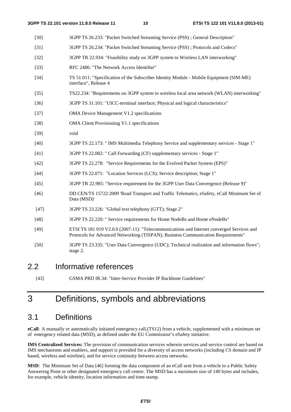- [30] 3GPP TS 26.233: "Packet Switched Streaming Service (PSS) ; General Description"
- [31] 3GPP TS 26.234: "Packet Switched Streaming Service (PSS) ; Protocols and Codecs"
- [32] 3GPP TR 22.934: "Feasibility study on 3GPP system to Wireless LAN interworking"
- [33] RFC 2486: "The Network Access Identifier"
- [34] TS 51.011: "Specification of the Subscriber Identity Module Mobile Equipment (SIM-ME) interface", Release 4
- [35] TS22.234: "Requirements on 3GPP system to wireless local area network (WLAN) interworking"
- [36] 3GPP TS 31.101: "UICC-terminal interface; Physical and logical characteristics"
- [37] OMA Device Management V1.2 specifications
- [38] OMA Client Provisioning V1.1 specifications
- [39] void
- [40] 3GPP TS 22.173: " IMS Multimedia Telephony Service and supplementary services Stage 1"
- [41] 3GPP TS 22.082: " Call Forwarding (CF) supplementary services Stage 1"
- [42] 3GPP TS 22.278: "Service Requirements for the Evolved Packet System (EPS)"
- [44] 3GPP TS 22.071: "Location Services (LCS); Service description; Stage 1"
- [45] 3GPP TR 22.985: "Service requirement for the 3GPP User Data Convergence (Release 9)"
- [46] DD CEN/TS 15722:2009 'Road Transport and Traffic Telematics, eSafety, eCall Minimum Set of Data (MSD)'
- [47] 3GPP TS 23.226: "Global text telephony (GTT); Stage 2"
- [48] 3GPP TS 22.220: " Service requirements for Home NodeBs and Home eNodeBs"
- [49] ETSI TS 181 019 V2.0.0 (2007-11): "Telecommunications and Internet converged Services and Protocols for Advanced Networking (TISPAN); Business Communication Requirements"
- [50] 3GPP TS 23.335: "User Data Convergence (UDC); Technical realization and information flows"; stage 2.

#### 2.2 Informative references

[43] GSMA PRD IR.34: "Inter-Service Provider IP Backbone Guidelines"

# 3 Definitions, symbols and abbreviations

## 3.1 Definitions

**eCall**: A manually or automatically initiated emergency call,(TS12) from a vehicle, supplemented with a minimum set of emergency related data (MSD), as defined under the EU Commission"s eSafety initiative.

**IMS Centralized Services:** The provision of communication services wherein services and service control are based on IMS mechanisms and enablers, and support is provided for a diversity of access networks (including CS domain and IP based, wireless and wireline), and for service continuity between access networks.

**MSD**: The Minimum Set of Data [46] forming the data component of an eCall sent from a vehicle to a Public Safety Answering Point or other designated emergency call centre. The MSD has a maximum size of 140 bytes and includes, for example, vehicle identity, location information and time-stamp.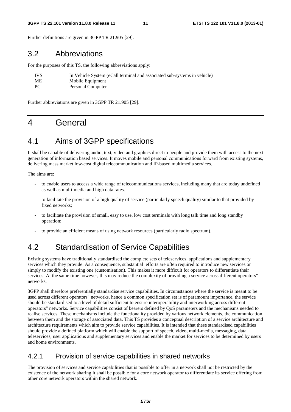#### **3GPP TS 22.101 version 11.8.0 Release 11 11 ETSI TS 122 101 V11.8.0 (2013-01)**

Further definitions are given in 3GPP TR 21.905 [29].

## 3.2 Abbreviations

For the purposes of this TS, the following abbreviations apply:

| <b>IVS</b> | In Vehicle System (eCall terminal and associated sub-systems in vehicle) |
|------------|--------------------------------------------------------------------------|
| ME         | Mobile Equipment                                                         |
| PC.        | Personal Computer                                                        |

Further abbreviations are given in 3GPP TR 21.905 [29].

# 4 General

# 4.1 Aims of 3GPP specifications

It shall be capable of delivering audio, text, video and graphics direct to people and provide them with access to the next generation of information based services. It moves mobile and personal communications forward from existing systems, delivering mass market low-cost digital telecommunication and IP-based multimedia services.

The aims are:

- to enable users to access a wide range of telecommunications services, including many that are today undefined as well as multi-media and high data rates.
- to facilitate the provision of a high quality of service (particularly speech quality) similar to that provided by fixed networks;
- to facilitate the provision of small, easy to use, low cost terminals with long talk time and long standby operation;
- to provide an efficient means of using network resources (particularly radio spectrum).

# 4.2 Standardisation of Service Capabilities

Existing systems have traditionally standardised the complete sets of teleservices, applications and supplementary services which they provide. As a consequence, substantial efforts are often required to introduce new services or simply to modify the existing one (customisation). This makes it more difficult for operators to differentiate their services. At the same time however, this may reduce the complexity of providing a service across different operators" networks.

3GPP shall therefore preferentially standardise service capabilities. In circumstances where the service is meant to be used across different operators" networks, hence a common specification set is of paramount importance, the service should be standardised to a level of detail sufficient to ensure interoperability and interworking across different operators" networks. Service capabilities consist of bearers defined by QoS parameters and the mechanisms needed to realise services. These mechanisms include the functionality provided by various network elements, the communication between them and the storage of associated data. This TS provides a conceptual description of a service architecture and architecture requirements which aim to provide service capabilities. It is intended that these standardised capabilities should provide a defined platform which will enable the support of speech, video, multi-media, messaging, data, teleservices, user applications and supplementary services and enable the market for services to be determined by users and home environments.

#### 4.2.1 Provision of service capabilities in shared networks

The provision of services and service capabilities that is possible to offer in a network shall not be restricted by the existence of the network sharing It shall be possible for a core network operator to differentiate its service offering from other core network operators within the shared network.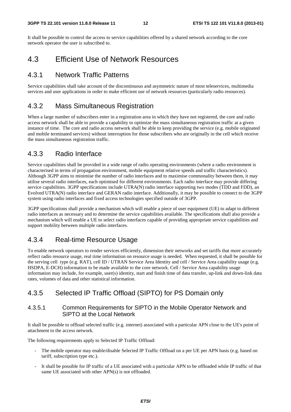It shall be possible to control the access to service capabilities offered by a shared network according to the core network operator the user is subscribed to.

#### 4.3 Efficient Use of Network Resources

#### 4.3.1 Network Traffic Patterns

Service capabilities shall take account of the discontinuous and asymmetric nature of most teleservices, multimedia services and user applications in order to make efficient use of network resources (particularly radio resources).

#### 4.3.2 Mass Simultaneous Registration

When a large number of subscribers enter in a registration area in which they have not registered, the core and radio access network shall be able to provide a capability to optimize the mass simultaneous registration traffic at a given instance of time. The core and radio access network shall be able to keep providing the service (e.g. mobile originated and mobile terminated services) without interruption for those subscribers who are originally in the cell which receive the mass simultaneous registration traffic.

#### 4.3.3 Radio Interface

Service capabilities shall be provided in a wide range of radio operating environments (where a radio environment is characterised in terms of propagation environment, mobile equipment relative speeds and traffic characteristics). Although 3GPP aims to minimise the number of radio interfaces and to maximise commonality between them, it may utilise several radio interfaces, each optimised for different environments. Each radio interface may provide differing service capabilities. 3GPP specifications include UTRA(N) radio interface supporting two modes (TDD and FDD), an Evolved UTRA(N) radio interface and GERAN radio interface. Additionally, it may be possible to connect to the 3GPP system using radio interfaces and fixed access technologies specified outside of 3GPP.

3GPP specifications shall provide a mechanism which will enable a piece of user equipment (UE) to adapt to different radio interfaces as necessary and to determine the service capabilities available. The specifications shall also provide a mechanism which will enable a UE to select radio interfaces capable of providing appropriate service capabilities and support mobility between multiple radio interfaces.

#### 4.3.4 Real-time Resource Usage

To enable network operators to render services efficiently, dimension their networks and set tariffs that more accurately reflect radio resource usage, real time information on resource usage is needed. When requested, it shall be possible for the serving cell type (e.g. RAT), cell ID / UTRAN Service Area Identity and cell / Service Area capability usage (e.g. HSDPA, E-DCH) information to be made available to the core network. Cell / Service Area capability usage information may include, for example, user(s) identity, start and finish time of data transfer, up-link and down-link data rates, volumes of data and other statistical information.

#### 4.3.5 Selected IP Traffic Offload (SIPTO) for PS Domain only

#### 4.3.5.1 Common Requirements for SIPTO in the Mobile Operator Network and SIPTO at the Local Network

It shall be possible to offload selected traffic (e.g. internet) associated with a particular APN close to the UE's point of attachment to the access network.

The following requirements apply to Selected IP Traffic Offload:

- The mobile operator may enable/disable Selected IP Traffic Offload on a per UE per APN basis (e.g. based on tariff, subscription type etc.).
- It shall be possible for IP traffic of a UE associated with a particular APN to be offloaded while IP traffic of that same UE associated with other APN(s) is not offloaded.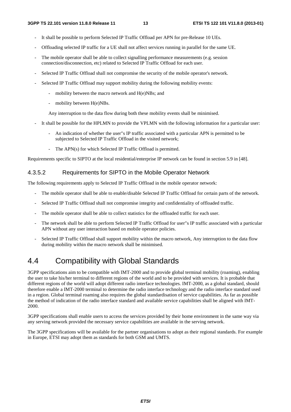- It shall be possible to perform Selected IP Traffic Offload per APN for pre-Release 10 UEs.
- Offloading selected IP traffic for a UE shall not affect services running in parallel for the same UE.
- The mobile operator shall be able to collect signalling performance measurements (e.g. session connection/disconnection, etc) related to Selected IP Traffic Offload for each user.
- Selected IP Traffic Offload shall not compromise the security of the mobile operator's network.
- Selected IP Traffic Offload may support mobility during the following mobility events:
	- mobility between the macro network and H(e)NBs; and
	- mobility between H(e)NBs.

Any interruption to the data flow during both these mobility events shall be minimised.

- It shall be possible for the HPLMN to provide the VPLMN with the following information for a particular user:
	- An indication of whether the user"s IP traffic associated with a particular APN is permitted to be subjected to Selected IP Traffic Offload in the visited network;
	- The APN(s) for which Selected IP Traffic Offload is permitted.

Requirements specific to SIPTO at the local residential/enterprise IP network can be found in section 5.9 in [48].

#### 4.3.5.2 Requirements for SIPTO in the Mobile Operator Network

The following requirements apply to Selected IP Traffic Offload in the mobile operator network:

- The mobile operator shall be able to enable/disable Selected IP Traffic Offload for certain parts of the network.
- Selected IP Traffic Offload shall not compromise integrity and confidentiality of offloaded traffic.
- The mobile operator shall be able to collect statistics for the offloaded traffic for each user.
- The network shall be able to perform Selected IP Traffic Offload for user"s IP traffic associated with a particular APN without any user interaction based on mobile operator policies.
- Selected IP Traffic Offload shall support mobility within the macro network, Any interruption to the data flow during mobility within the macro network shall be minimised.

# 4.4 Compatibility with Global Standards

3GPP specifications aim to be compatible with IMT-2000 and to provide global terminal mobility (roaming), enabling the user to take his/her terminal to different regions of the world and to be provided with services. It is probable that different regions of the world will adopt different radio interface technologies. IMT-2000, as a global standard, should therefore enable a IMT-2000 terminal to determine the radio interface technology and the radio interface standard used in a region. Global terminal roaming also requires the global standardisation of service capabilities. As far as possible the method of indication of the radio interface standard and available service capabilities shall be aligned with IMT-2000.

3GPP specifications shall enable users to access the services provided by their home environment in the same way via any serving network provided the necessary service capabilities are available in the serving network.

The 3GPP specifications will be available for the partner organisations to adopt as their regional standards. For example in Europe, ETSI may adopt them as standards for both GSM and UMTS.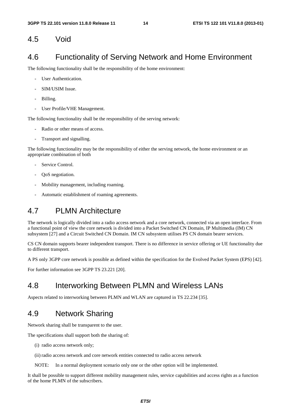#### 4.5 Void

#### 4.6 Functionality of Serving Network and Home Environment

The following functionality shall be the responsibility of the home environment:

- User Authentication.
- SIM/USIM Issue.
- Billing.
- User Profile/VHE Management.

The following functionality shall be the responsibility of the serving network:

- Radio or other means of access.
- Transport and signalling.

The following functionality may be the responsibility of either the serving network, the home environment or an appropriate combination of both

- Service Control.
- OoS negotiation.
- Mobility management, including roaming.
- Automatic establishment of roaming agreements.

#### 4.7 PLMN Architecture

The network is logically divided into a radio access network and a core network, connected via an open interface. From a functional point of view the core network is divided into a Packet Switched CN Domain, IP Multimedia (IM) CN subsystem [27] and a Circuit Switched CN Domain. IM CN subsystem utilises PS CN domain bearer services.

CS CN domain supports bearer independent transport. There is no difference in service offering or UE functionality due to different transport.

A PS only 3GPP core network is possible as defined within the specification for the Evolved Packet System (EPS) [42].

For further information see 3GPP TS 23.221 [20].

#### 4.8 Interworking Between PLMN and Wireless LANs

Aspects related to interworking between PLMN and WLAN are captured in TS 22.234 [35].

#### 4.9 Network Sharing

Network sharing shall be transparent to the user.

The specifications shall support both the sharing of:

- (i) radio access network only;
- (ii) radio access network and core network entities connected to radio access network

NOTE: In a normal deployment scenario only one or the other option will be implemented.

It shall be possible to support different mobility management rules, service capabilities and access rights as a function of the home PLMN of the subscribers.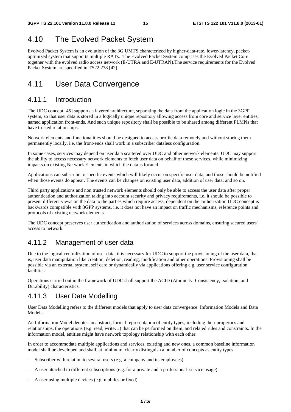# 4.10 The Evolved Packet System

Evolved Packet System is an evolution of the 3G UMTS characterized by higher-data-rate, lower-latency, packetoptimized system that supports multiple RATs. The Evolved Packet System comprises the Evolved Packet Core together with the evolved radio access network (E-UTRA and E-UTRAN).The service requirements for the Evolved Packet System are specified in TS22.278 [42].

# 4.11 User Data Convergence

#### 4.11.1 Introduction

The UDC concept [45] supports a layered architecture, separating the data from the application logic in the 3GPP system, so that user data is stored in a logically unique repository allowing access from core and service layer entities, named application front-ends. And such unique repository shall be possible to be shared among different PLMNs that have trusted relationships.

Network elements and functionalities should be designed to access profile data remotely and without storing them permanently locally, i.e. the front-ends shall work in a subscriber dataless configuration.

In some cases, services may depend on user data scattered over UDC and other network elements. UDC may support the ability to access necessary network elements to fetch user data on behalf of these services, while minimizing impacts on existing Network Elements in which the data is located.

Applications can subscribe to specific events which will likely occur on specific user data, and those should be notified when those events do appear. The events can be changes on existing user data, addition of user data, and so on.

Third party applications and non trusted network elements should only be able to access the user data after proper authentication and authorization taking into account security and privacy requirements, i.e. it should be possible to present different views on the data to the parties which require access, dependent on the authorization.UDC concept is backwards compatible with 3GPP systems, i.e. it does not have an impact on traffic mechanisms, reference points and protocols of existing network elements.

The UDC concept preserves user authentication and authorization of services across domains, ensuring secured users" access to network.

#### 4.11.2 Management of user data

Due to the logical centralization of user data, it is necessary for UDC to support the provisioning of the user data, that is, user data manipulation like creation, deletion, reading, modification and other operations. Provisioning shall be possible via an external system, self care or dynamically via applications offering e.g. user service configuration facilities.

Operations carried out in the framework of UDC shall support the ACID (Atomicity, Consistency, Isolation, and Durability) characteristics.

#### 4.11.3 User Data Modelling

User Data Modelling refers to the different models that apply to user data convergence: Information Models and Data Models.

An Information Model denotes an abstract, formal representation of entity types, including their properties and relationships, the operations (e.g. read, write…) that can be performed on them, and related rules and constraints. In the information model, entities might have network topology relationship with each other.

In order to accommodate multiple applications and services, existing and new ones, a common baseline information model shall be developed and shall, at minimum, clearly distinguish a number of concepts as entity types:

- Subscriber with relation to several users (e.g. a company and its employees),
- A user attached to different subscriptions (e.g. for a private and a professional service usage)
- A user using multiple devices (e.g. mobiles or fixed)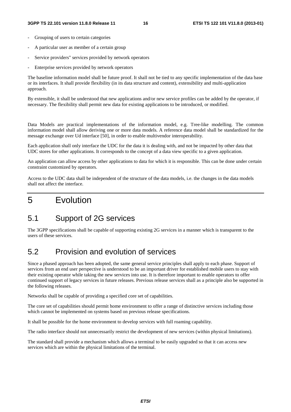- Grouping of users to certain categories
- A particular user as member of a certain group
- Service providers" services provided by network operators
- Enterprise services provided by network operators

The baseline information model shall be future proof. It shall not be tied to any specific implementation of the data base or its interfaces. It shall provide flexibility (in its data structure and content), extensibility and multi-application approach.

By extensible, it shall be understood that new applications and/or new service profiles can be added by the operator, if necessary. The flexibility shall permit new data for existing applications to be introduced, or modified.

Data Models are practical implementations of the information model, e.g. Tree-like modelling. The common information model shall allow deriving one or more data models. A reference data model shall be standardized for the message exchange over Ud interface [50], in order to enable multivendor interoperability.

Each application shall only interface the UDC for the data it is dealing with, and not be impacted by other data that UDC stores for other applications. It corresponds to the concept of a data view specific to a given application.

An application can allow access by other applications to data for which it is responsible. This can be done under certain constraint customized by operators.

Access to the UDC data shall be independent of the structure of the data models, i.e. the changes in the data models shall not affect the interface.

# 5 Evolution

## 5.1 Support of 2G services

The 3GPP specifications shall be capable of supporting existing 2G services in a manner which is transparent to the users of these services.

## 5.2 Provision and evolution of services

Since a phased approach has been adopted, the same general service principles shall apply to each phase. Support of services from an end user perspective is understood to be an important driver for established mobile users to stay with their existing operator while taking the new services into use. It is therefore important to enable operators to offer continued support of legacy services in future releases. Previous release services shall as a principle also be supported in the following releases.

Networks shall be capable of providing a specified core set of capabilities.

The core set of capabilities should permit home environment to offer a range of distinctive services including those which cannot be implemented on systems based on previous release specifications.

It shall be possible for the home environment to develop services with full roaming capability.

The radio interface should not unnecessarily restrict the development of new services (within physical limitations).

The standard shall provide a mechanism which allows a terminal to be easily upgraded so that it can access new services which are within the physical limitations of the terminal.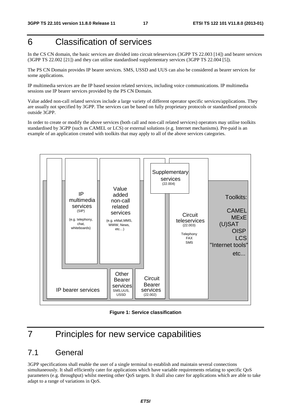# 6 Classification of services

In the CS CN domain, the basic services are divided into circuit teleservices (3GPP TS 22.003 [14]) and bearer services (3GPP TS 22.002 [21]) and they can utilise standardised supplementary services (3GPP TS 22.004 [5]).

The PS CN Domain provides IP bearer services. SMS, USSD and UUS can also be considered as bearer services for some applications.

IP multimedia services are the IP based session related services, including voice communications. IP multimedia sessions use IP bearer services provided by the PS CN Domain.

Value added non-call related services include a large variety of different operator specific services/applications. They are usually not specified by 3GPP. The services can be based on fully proprietary protocols or standardised protocols outside 3GPP.

In order to create or modify the above services (both call and non-call related services) operators may utilise toolkits standardised by 3GPP (such as CAMEL or LCS) or external solutions (e.g. Internet mechanisms). Pre-paid is an example of an application created with toolkits that may apply to all of the above services categories.



**Figure 1: Service classification** 

# 7 Principles for new service capabilities

#### 7.1 General

3GPP specifications shall enable the user of a single terminal to establish and maintain several connections simultaneously. It shall efficiently cater for applications which have variable requirements relating to specific QoS parameters (e.g. throughput) whilst meeting other QoS targets. It shall also cater for applications which are able to take adapt to a range of variations in QoS.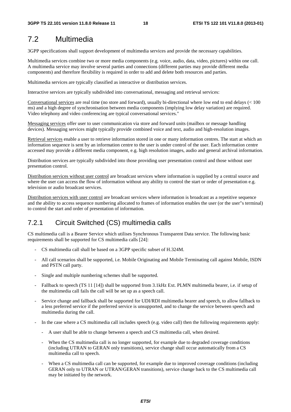# 7.2 Multimedia

3GPP specifications shall support development of multimedia services and provide the necessary capabilities.

Multimedia services combine two or more media components (e.g. voice, audio, data, video, pictures) within one call. A multimedia service may involve several parties and connections (different parties may provide different media components) and therefore flexibility is required in order to add and delete both resources and parties.

Multimedia services are typically classified as interactive or distribution services.

Interactive services are typically subdivided into conversational, messaging and retrieval services:

Conversational services are real time (no store and forward), usually bi-directional where low end to end delays (< 100 ms) and a high degree of synchronisation between media components (implying low delay variation) are required. Video telephony and video conferencing are typical conversational services."

Messaging services offer user to user communication via store and forward units (mailbox or message handling devices). Messaging services might typically provide combined voice and text, audio and high-resolution images.

Retrieval services enable a user to retrieve information stored in one or many information centres. The start at which an information sequence is sent by an information centre to the user is under control of the user. Each information centre accessed may provide a different media component, e.g. high resolution images, audio and general archival information.

Distribution services are typically subdivided into those providing user presentation control and those without user presentation control.

Distribution services without user control are broadcast services where information is supplied by a central source and where the user can access the flow of information without any ability to control the start or order of presentation e.g. television or audio broadcast services.

Distribution services with user control are broadcast services where information is broadcast as a repetitive sequence and the ability to access sequence numbering allocated to frames of information enables the user (or the user"s terminal) to control the start and order of presentation of information.

## 7.2.1 Circuit Switched (CS) multimedia calls

CS multimedia call is a Bearer Service which utilises Synchronous Transparent Data service. The following basic requirements shall be supported for CS multimedia calls [24]:

- CS multimedia call shall be based on a 3GPP specific subset of H.324M.
- All call scenarios shall be supported, i.e. Mobile Originating and Mobile Terminating call against Mobile, ISDN and PSTN call party.
- Single and multiple numbering schemes shall be supported.
- Fallback to speech (TS 11 [14]) shall be supported from 3.1kHz Ext. PLMN multimedia bearer, i.e. if setup of the multimedia call fails the call will be set up as a speech call.
- Service change and fallback shall be supported for UDI/RDI multimedia bearer and speech, to allow fallback to a less preferred service if the preferred service is unsupported, and to change the service between speech and multimedia during the call.
- In the case where a CS multimedia call includes speech (e.g. video call) then the following requirements apply:
	- A user shall be able to change between a speech and CS multimedia call, when desired.
	- When the CS multimedia call is no longer supported, for example due to degraded coverage conditions (including UTRAN to GERAN only transitions), service change shall occur automatically from a CS multimedia call to speech.
	- When a CS multimedia call can be supported, for example due to improved coverage conditions (including GERAN only to UTRAN or UTRAN/GERAN transitions), service change back to the CS multimedia call may be initiated by the network.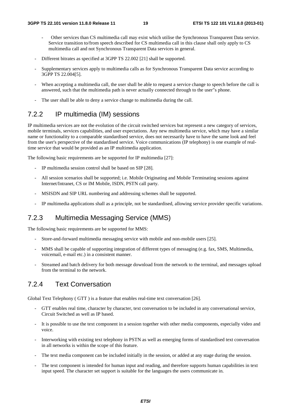- Other services than CS multimedia call may exist which utilise the Synchronous Transparent Data service. Service transition to/from speech described for CS multimedia call in this clause shall only apply to CS multimedia call and not Synchronous Transparent Data services in general.
- Different bitrates as specified at 3GPP TS 22.002 [21] shall be supported.
- Supplementary services apply to multimedia calls as for Synchronous Transparent Data service according to 3GPP TS 22.004[5].
- When accepting a multimedia call, the user shall be able to request a service change to speech before the call is answered, such that the multimedia path is never actually connected through to the user"s phone.
- The user shall be able to deny a service change to multimedia during the call.

#### 7.2.2 IP multimedia (IM) sessions

IP multimedia services are not the evolution of the circuit switched services but represent a new category of services, mobile terminals, services capabilities, and user expectations. Any new multimedia service, which may have a similar name or functionality to a comparable standardised service, does not necessarily have to have the same look and feel from the user's perspective of the standardised service. Voice communications (IP telephony) is one example of realtime service that would be provided as an IP multimedia application.

The following basic requirements are be supported for IP multimedia [27]:

- IP multimedia session control shall be based on SIP [28].
- All session scenarios shall be supported; i.e. Mobile Originating and Mobile Terminating sessions against Internet/Intranet, CS or IM Mobile, ISDN, PSTN call party.
- MSISDN and SIP URL numbering and addressing schemes shall be supported.
- IP multimedia applications shall as a principle, not be standardised, allowing service provider specific variations.

#### 7.2.3 Multimedia Messaging Service (MMS)

The following basic requirements are be supported for MMS:

- Store-and-forward multimedia messaging service with mobile and non-mobile users [25].
- MMS shall be capable of supporting integration of different types of messaging (e.g. fax, SMS, Multimedia, voicemail, e-mail etc.) in a consistent manner.
- Streamed and batch delivery for both message download from the network to the terminal, and messages upload from the terminal to the network.

#### 7.2.4 Text Conversation

Global Text Telephony ( GTT ) is a feature that enables real-time text conversation [26].

- GTT enables real time, character by character, text conversation to be included in any conversational service, Circuit Switched as well as IP based.
- It is possible to use the text component in a session together with other media components, especially video and voice.
- Interworking with existing text telephony in PSTN as well as emerging forms of standardised text conversation in all networks is within the scope of this feature.
- The text media component can be included initially in the session, or added at any stage during the session.
- The text component is intended for human input and reading, and therefore supports human capabilities in text input speed. The character set support is suitable for the languages the users communicate in.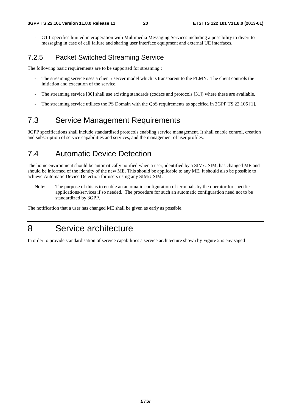- GTT specifies limited interoperation with Multimedia Messaging Services including a possibility to divert to messaging in case of call failure and sharing user interface equipment and external UE interfaces.

#### 7.2.5 Packet Switched Streaming Service

The following basic requirements are to be supported for streaming :

- The streaming service uses a client / server model which is transparent to the PLMN. The client controls the initiation and execution of the service.
- The streaming service [30] shall use existing standards (codecs and protocols [31]) where these are available.
- The streaming service utilises the PS Domain with the QoS requirements as specified in 3GPP TS 22.105 [1].

## 7.3 Service Management Requirements

3GPP specifications shall include standardised protocols enabling service management. It shall enable control, creation and subscription of service capabilities and services, and the management of user profiles.

#### 7.4 Automatic Device Detection

The home environment should be automatically notified when a user, identified by a SIM/USIM, has changed ME and should be informed of the identity of the new ME. This should be applicable to any ME. It should also be possible to achieve Automatic Device Detection for users using any SIM/USIM.

Note: The purpose of this is to enable an automatic configuration of terminals by the operator for specific applications/services if so needed. The procedure for such an automatic configuration need not to be standardized by 3GPP.

The notification that a user has changed ME shall be given as early as possible.

# 8 Service architecture

In order to provide standardisation of service capabilities a service architecture shown by Figure 2 is envisaged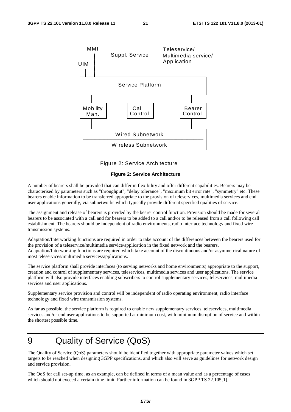

Figure 2: Service Architecture

#### **Figure 2: Service Architecture**

A number of bearers shall be provided that can differ in flexibility and offer different capabilities. Bearers may be characterised by parameters such as "throughput", "delay tolerance", "maximum bit error rate", "symmetry" etc. These bearers enable information to be transferred appropriate to the provision of teleservices, multimedia services and end user applications generally, via subnetworks which typically provide different specified qualities of service.

The assignment and release of bearers is provided by the bearer control function. Provision should be made for several bearers to be associated with a call and for bearers to be added to a call and/or to be released from a call following call establishment. The bearers should be independent of radio environments, radio interface technology and fixed wire transmission systems.

Adaptation/Interworking functions are required in order to take account of the differences between the bearers used for the provision of a teleservice/multimedia service/application in the fixed network and the bearers. Adaptation/Interworking functions are required which take account of the discontinuous and/or asymmetrical nature of most teleservices/multimedia services/applications.

The service platform shall provide interfaces (to serving networks and home environments) appropriate to the support, creation and control of supplementary services, teleservices, multimedia services and user applications. The service platform will also provide interfaces enabling subscribers to control supplementary services, teleservices, multimedia services and user applications.

Supplementary service provision and control will be independent of radio operating environment, radio interface technology and fixed wire transmission systems.

As far as possible, the service platform is required to enable new supplementary services, teleservices, multimedia services and/or end user applications to be supported at minimum cost, with minimum disruption of service and within the shortest possible time.

# 9 Quality of Service (QoS)

The Quality of Service (QoS) parameters should be identified together with appropriate parameter values which set targets to be reached when designing 3GPP specifications, and which also will serve as guidelines for network design and service provision.

The QoS for call set-up time, as an example, can be defined in terms of a mean value and as a percentage of cases which should not exceed a certain time limit. Further information can be found in 3GPP TS 22.105[1].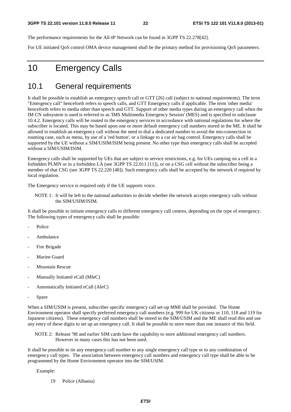The performance requirements for the All-IP Network can be found in 3GPP TS 22.278[42].

For UE initiated QoS control OMA device management shall be the primary method for provisioning QoS parameters.

# 10 Emergency Calls

#### 10.1 General requirements

It shall be possible to establish an emergency speech call or GTT [26] call (subject to national requirements). The term "Emergency call" henceforth refers to speech calls, and GTT Emergency calls if applicable. The term 'other media' henceforth refers to media other than speech and GTT. Support of other media types during an emergency call when the IM CN subsystem is used is referred to as 'IMS Multimedia Emergency Session' (MES) and is specified in subclause 10.4.2. Emergency calls will be routed to the emergency services in accordance with national regulations for where the subscriber is located. This may be based upon one or more default emergency call numbers stored in the ME. It shall be allowed to establish an emergency call without the need to dial a dedicated number to avoid the mis-connection in roaming case, such as menu, by use of a 'red button', or a linkage to a car air bag control. Emergency calls shall be supported by the UE without a SIM/USIM/ISIM being present. No other type than emergency calls shall be accepted without a SIM/USIM/ISIM.

Emergency calls shall be supported by UEs that are subject to service restrictions, e.g. for UEs camping on a cell in a forbidden PLMN or in a forbidden LA (see 3GPP TS 22.011 [11]), or on a CSG cell without the subscriber being a member of that CSG (see 3GPP TS 22.220 [48]). Such emergency calls shall be accepted by the network if required by local regulation.

The Emergency service is required only if the UE supports voice.

NOTE 1: It will be left to the national authorities to decide whether the network accepts emergency calls without the SIM/USIM/ISIM.

It shall be possible to initiate emergency calls to different emergency call centres, depending on the type of emergency. The following types of emergency calls shall be possible:

- Police
- Ambulance
- Fire Brigade
- Marine Guard
- Mountain Rescue
- Manually Initiated eCall (MIeC)
- Automatically Initiated eCall (AIeC)
- Spare

When a SIM/USIM is present, subscriber specific emergency call set-up MMI shall be provided. The Home Environment operator shall specify preferred emergency call numbers (e.g. 999 for UK citizens or 110, 118 and 119 for Japanese citizens). These emergency call numbers shall be stored in the SIM/USIM and the ME shall read this and use any entry of these digits to set up an emergency call. It shall be possible to store more than one instance of this field.

NOTE 2: Release '98 and earlier SIM cards have the capability to store additional emergency call numbers. However in many cases this has not been used.

It shall be possible to tie any emergency call number to any single emergency call type or to any combination of emergency call types. The association between emergency call numbers and emergency call type shall be able to be programmed by the Home Environment operator into the SIM/USIM.

Example:

19 Police (Albania)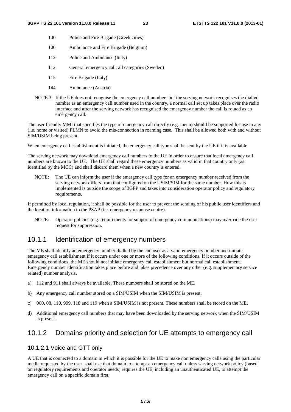- 100 Police and Fire Brigade (Greek cities)
- 100 Ambulance and Fire Brigade (Belgium)
- 112 Police and Ambulance (Italy)
- 112 General emergency call, all categories (Sweden)
- 115 Fire Brigade (Italy)
- 144 Ambulance (Austria)
- NOTE 3: If the UE does not recognise the emergency call numbers but the serving network recognises the dialled number as an emergency call number used in the country, a normal call set up takes place over the radio interface and after the serving network has recognised the emergency number the call is routed as an emergency call.

The user friendly MMI that specifies the type of emergency call directly (e.g. menu) should be supported for use in any (i.e. home or visited) PLMN to avoid the mis-connection in roaming case. This shall be allowed both with and without SIM/USIM being present.

When emergency call establishment is initiated, the emergency call type shall be sent by the UE if it is available.

The serving network may download emergency call numbers to the UE in order to ensure that local emergency call numbers are known to the UE. The UE shall regard these emergency numbers as valid in that country only (as identified by the MCC) and shall discard them when a new country is entered.

NOTE: The UE can inform the user if the emergency call type for an emergency number received from the serving network differs from that configured on the USIM/SIM for the same number. How this is implemented is outside the scope of 3GPP and takes into consideration operator policy and regulatory requirements.

If permitted by local regulation, it shall be possible for the user to prevent the sending of his public user identifiers and the location information to the PSAP (i.e. emergency response centre).

NOTE: Operator policies (e.g. requirements for support of emergency communications) may over-ride the user request for suppression.

#### 10.1.1 Identification of emergency numbers

The ME shall identify an emergency number dialled by the end user as a valid emergency number and initiate emergency call establishment if it occurs under one or more of the following conditions. If it occurs outside of the following conditions, the ME should not initiate emergency call establishment but normal call establishment. Emergency number identification takes place before and takes precedence over any other (e.g. supplementary service related) number analysis.

- a) 112 and 911 shall always be available. These numbers shall be stored on the ME.
- b) Any emergency call number stored on a SIM/USIM when the SIM/USIM is present.
- c) 000, 08, 110, 999, 118 and 119 when a SIM/USIM is not present. These numbers shall be stored on the ME.
- d) Additional emergency call numbers that may have been downloaded by the serving network when the SIM/USIM is present.

#### 10.1.2 Domains priority and selection for UE attempts to emergency call

#### 10.1.2.1 Voice and GTT only

A UE that is connected to a domain in which it is possible for the UE to make non emergency calls using the particular media requested by the user, shall use that domain to attempt an emergency call unless serving network policy (based on regulatory requirements and operator needs) requires the UE, including an unauthenticated UE, to attempt the emergency call on a specific domain first.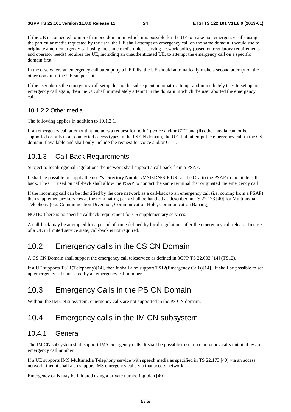If the UE is connected to more than one domain in which it is possible for the UE to make non emergency calls using the particular media requested by the user, the UE shall attempt an emergency call on the same domain it would use to originate a non-emergency call using the same media unless serving network policy (based on regulatory requirements and operator needs) requires the UE, including an unauthenticated UE, to attempt the emergency call on a specific domain first.

In the case where an emergency call attempt by a UE fails, the UE should automatically make a second attempt on the other domain if the UE supports it.

If the user aborts the emergency call setup during the subsequent automatic attempt and immediately tries to set up an emergency call again, then the UE shall immediately attempt in the domain in which the user aborted the emergency call.

#### 10.1.2.2 Other media

The following applies in addition to 10.1.2.1.

If an emergency call attempt that includes a request for both (i) voice and/or GTT and (ii) other media cannot be supported or fails in all connected access types in the PS CN domain, the UE shall attempt the emergency call in the CS domain if available and shall only include the request for voice and/or GTT.

#### 10.1.3 Call-Back Requirements

Subject to local/regional regulations the network shall support a call-back from a PSAP.

It shall be possible to supply the user"s Directory Number/MSISDN/SIP URI as the CLI to the PSAP to facilitate callback. The CLI used on call-back shall allow the PSAP to contact the same terminal that originated the emergency call.

If the incoming call can be identified by the core network as a call-back to an emergency call (i.e. coming from a PSAP) then supplementary services at the terminating party shall be handled as described in TS 22.173 [40] for Multimedia Telephony (e.g. Communication Diversion, Communication Hold, Communication Barring).

NOTE: There is no specific callback requirement for CS supplementary services.

A call-back may be attempted for a period of time defined by local regulations after the emergency call release. In case of a UE in limited service state, call-back is not required.

## 10.2 Emergency calls in the CS CN Domain

A CS CN Domain shall support the emergency call teleservice as defined in 3GPP TS 22.003 [14] (TS12).

If a UE supports TS11(Telephony)[14], then it shall also support TS12(Emergency Calls)[14]. It shall be possible to set up emergency calls initiated by an emergency call number.

## 10.3 Emergency Calls in the PS CN Domain

Without the IM CN subsystem, emergency calls are not supported in the PS CN domain.

#### 10.4 Emergency calls in the IM CN subsystem

#### 10.4.1 General

The IM CN subsystem shall support IMS emergency calls. It shall be possible to set up emergency calls initiated by an emergency call number.

If a UE supports IMS Multimedia Telephony service with speech media as specified in TS 22.173 [40] via an access network, then it shall also support IMS emergency calls via that access network.

Emergency calls may be initiated using a private numbering plan [49].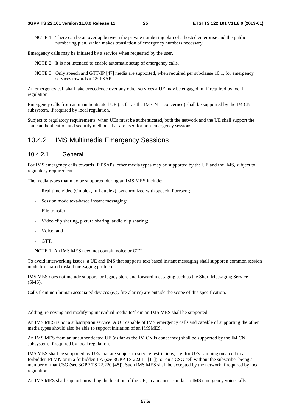NOTE 1: There can be an overlap between the private numbering plan of a hosted enterprise and the public numbering plan, which makes translation of emergency numbers necessary.

Emergency calls may be initiated by a service when requested by the user.

NOTE 2: It is not intended to enable automatic setup of emergency calls.

NOTE 3: Only speech and GTT-IP [47] media are supported, when required per subclause 10.1, for emergency services towards a CS PSAP.

An emergency call shall take precedence over any other services a UE may be engaged in, if required by local regulation.

Emergency calls from an unauthenticated UE (as far as the IM CN is concerned) shall be supported by the IM CN subsystem, if required by local regulation.

Subject to regulatory requirements, when UEs must be authenticated, both the network and the UE shall support the same authentication and security methods that are used for non-emergency sessions.

#### 10.4.2 IMS Multimedia Emergency Sessions

#### 10.4.2.1 General

For IMS emergency calls towards IP PSAPs, other media types may be supported by the UE and the IMS, subject to regulatory requirements.

The media types that may be supported during an IMS MES include:

- Real time video (simplex, full duplex), synchronized with speech if present;
- Session mode text-based instant messaging;
- File transfer;
- Video clip sharing, picture sharing, audio clip sharing;
- Voice: and
- GTT.

NOTE 1: An IMS MES need not contain voice or GTT.

To avoid interworking issues, a UE and IMS that supports text based instant messaging shall support a common session mode text-based instant messaging protocol.

IMS MES does not include support for legacy store and forward messaging such as the Short Messaging Service (SMS).

Calls from non-human associated devices (e.g. fire alarms) are outside the scope of this specification.

Adding, removing and modifying individual media to/from an IMS MES shall be supported.

An IMS MES is not a subscription service. A UE capable of IMS emergency calls and capable of supporting the other media types should also be able to support initiation of an IMSMES.

An IMS MES from an unauthenticated UE (as far as the IM CN is concerned) shall be supported by the IM CN subsystem, if required by local regulation.

IMS MES shall be supported by UEs that are subject to service restrictions, e.g. for UEs camping on a cell in a forbidden PLMN or in a forbidden LA (see 3GPP TS 22.011 [11]), or on a CSG cell without the subscriber being a member of that CSG (see 3GPP TS 22.220 [48]). Such IMS MES shall be accepted by the network if required by local regulation.

An IMS MES shall support providing the location of the UE, in a manner similar to IMS emergency voice calls.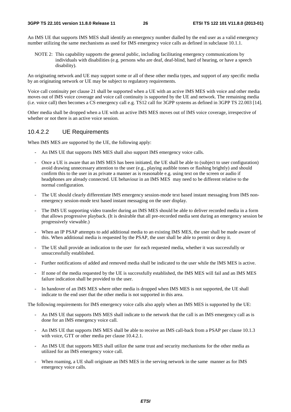An IMS UE that supports IMS MES shall identify an emergency number dialled by the end user as a valid emergency number utilizing the same mechanisms as used for IMS emergency voice calls as defined in subclause 10.1.1.

NOTE 2: This capability supports the general public, including facilitating emergency communications by individuals with disabilities (e.g. persons who are deaf, deaf-blind, hard of hearing, or have a speech disability).

An originating network and UE may support some or all of these other media types, and support of any specific media by an originating network or UE may be subject to regulatory requirements.

Voice call continuity per clause 21 shall be supported when a UE with an active IMS MES with voice and other media moves out of IMS voice coverage and voice call continuity is supported by the UE and network. The remaining media (i.e. voice call) then becomes a CS emergency call e.g. TS12 call for 3GPP systems as defined in 3GPP TS 22.003 [14].

Other media shall be dropped when a UE with an active IMS MES moves out of IMS voice coverage, irrespective of whether or not there is an active voice session.

#### 10.4.2.2 UE Requirements

When IMS MES are supported by the UE, the following apply:

- An IMS UE that supports IMS MES shall also support IMS emergency voice calls.
- Once a UE is aware that an IMS MES has been initiated, the UE shall be able to (subject to user configuration) avoid drawing unnecessary attention to the user (e.g., playing audible tones or flashing brightly) and should confirm this to the user in as private a manner as is reasonable e.g. using text on the screen or audio if headphones are already connected. UE behaviour in an IMS MES may need to be different relative to the normal configuration.
- The UE should clearly differentiate IMS emergency session-mode text based instant messaging from IMS nonemergency session-mode text based instant messaging on the user display.
- The IMS UE supporting video transfer during an IMS MES should be able to deliver recorded media in a form that allows progressive playback. (It is desirable that all pre-recorded media sent during an emergency session be progressively viewable.)
- When an IP PSAP attempts to add additional media to an existing IMS MES, the user shall be made aware of this. When additional media is requested by the PSAP, the user shall be able to permit or deny it.
- The UE shall provide an indication to the user for each requested media, whether it was successfully or unsuccessfully established.
- Further notifications of added and removed media shall be indicated to the user while the IMS MES is active.
- If none of the media requested by the UE is successfully established, the IMS MES will fail and an IMS MES failure indication shall be provided to the user.
- In handover of an IMS MES where other media is dropped when IMS MES is not supported, the UE shall indicate to the end user that the other media is not supported in this area.

The following requirements for IMS emergency voice calls also apply when an IMS MES is supported by the UE:

- An IMS UE that supports IMS MES shall indicate to the network that the call is an IMS emergency call as is done for an IMS emergency voice call.
- An IMS UE that supports IMS MES shall be able to receive an IMS call-back from a PSAP per clause 10.1.3 with voice, GTT or other media per clause 10.4.2.1.
- An IMS UE that supports MES shall utilize the same trust and security mechanisms for the other media as utilized for an IMS emergency voice call.
- When roaming, a UE shall originate an IMS MES in the serving network in the same manner as for IMS emergency voice calls.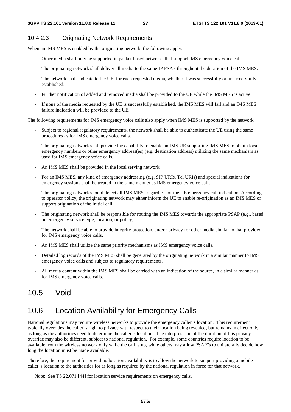#### 10.4.2.3 Originating Network Requirements

When an IMS MES is enabled by the originating network, the following apply:

- Other media shall only be supported in packet-based networks that support IMS emergency voice calls.
- The originating network shall deliver all media to the same IP PSAP throughout the duration of the IMS MES.
- The network shall indicate to the UE, for each requested media, whether it was successfully or unsuccessfully established.
- Further notification of added and removed media shall be provided to the UE while the IMS MES is active.
- If none of the media requested by the UE is successfully established, the IMS MES will fail and an IMS MES failure indication will be provided to the UE.

The following requirements for IMS emergency voice calls also apply when IMS MES is supported by the network:

- Subject to regional regulatory requirements, the network shall be able to authenticate the UE using the same procedures as for IMS emergency voice calls.
- The originating network shall provide the capability to enable an IMS UE supporting IMS MES to obtain local emergency numbers or other emergency address(es) (e.g. destination address) utilizing the same mechanism as used for IMS emergency voice calls.
- An IMS MES shall be provided in the local serving network.
- For an IMS MES, any kind of emergency addressing (e.g. SIP URIs, Tel URIs) and special indications for emergency sessions shall be treated in the same manner as IMS emergency voice calls.
- The originating network should detect all IMS MESs regardless of the UE emergency call indication. According to operator policy, the originating network may either inform the UE to enable re-origination as an IMS MES or support origination of the initial call.
- The originating network shall be responsible for routing the IMS MES towards the appropriate PSAP (e.g., based on emergency service type, location, or policy).
- The network shall be able to provide integrity protection, and/or privacy for other media similar to that provided for IMS emergency voice calls.
- An IMS MES shall utilize the same priority mechanisms as IMS emergency voice calls.
- Detailed log records of the IMS MES shall be generated by the originating network in a similar manner to IMS emergency voice calls and subject to regulatory requirements.
- All media content within the IMS MES shall be carried with an indication of the source, in a similar manner as for IMS emergency voice calls.

#### 10.5 Void

## 10.6 Location Availability for Emergency Calls

National regulations may require wireless networks to provide the emergency caller"s location. This requirement typically overrides the caller"s right to privacy with respect to their location being revealed, but remains in effect only as long as the authorities need to determine the caller"s location. The interpretation of the duration of this privacy override may also be different, subject to national regulation. For example, some countries require location to be available from the wireless network only while the call is up, while others may allow PSAP"s to unilaterally decide how long the location must be made available.

Therefore, the requirement for providing location availability is to allow the network to support providing a mobile caller"s location to the authorities for as long as required by the national regulation in force for that network.

Note: See TS 22.071 [44] for location service requirements on emergency calls.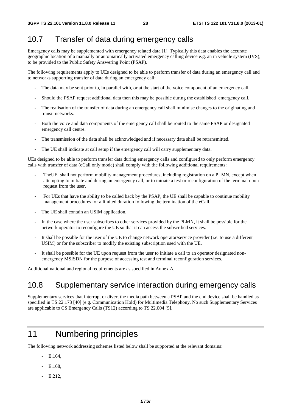## 10.7 Transfer of data during emergency calls

Emergency calls may be supplemented with emergency related data [1]. Typically this data enables the accurate geographic location of a manually or automatically activated emergency calling device e.g. an in vehicle system (IVS), to be provided to the Public Safety Answering Point (PSAP).

The following requirements apply to UEs designed to be able to perform transfer of data during an emergency call and to networks supporting transfer of data during an emergency call:

- The data may be sent prior to, in parallel with, or at the start of the voice component of an emergency call.
- Should the PSAP request additional data then this may be possible during the established emergency call.
- The realisation of the transfer of data during an emergency call shall minimise changes to the originating and transit networks.
- Both the voice and data components of the emergency call shall be routed to the same PSAP or designated emergency call centre.
- The transmission of the data shall be acknowledged and if necessary data shall be retransmitted.
- The UE shall indicate at call setup if the emergency call will carry supplementary data.

UEs designed to be able to perform transfer data during emergency calls and configured to only perform emergency calls with transfer of data (eCall only mode) shall comply with the following additional requirements:

- The UE shall not perform mobility management procedures, including registration on a PLMN, except when attempting to initiate and during an emergency call, or to initiate a test or reconfiguration of the terminal upon request from the user.
- For UEs that have the ability to be called back by the PSAP, the UE shall be capable to continue mobility management procedures for a limited duration following the termination of the eCall.
- The UE shall contain an USIM application.
- In the case where the user subscribes to other services provided by the PLMN, it shall be possible for the network operator to reconfigure the UE so that it can access the subscribed services.
- It shall be possible for the user of the UE to change network operator/service provider (i.e. to use a different USIM) or for the subscriber to modify the existing subscription used with the UE.
- It shall be possible for the UE upon request from the user to initiate a call to an operator designated nonemergency MSISDN for the purpose of accessing test and terminal reconfiguration services.

Additional national and regional requirements are as specified in Annex A.

#### 10.8 Supplementary service interaction during emergency calls

Supplementary services that interrupt or divert the media path between a PSAP and the end device shall be handled as specified in TS 22.173 [40] (e.g. Communication Hold) for Multimedia Telephony. No such Supplementary Services are applicable to CS Emergency Calls (TS12) according to TS 22.004 [5].

# 11 Numbering principles

The following network addressing schemes listed below shall be supported at the relevant domains:

- $-$  E.164
- E.168,
- E.212,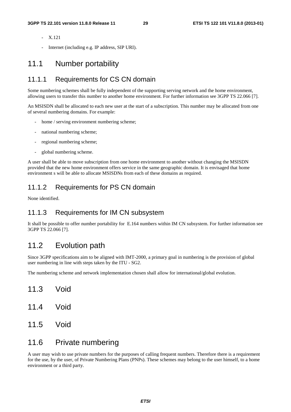- X.121
- Internet (including e.g. IP address, SIP URI).

#### 11.1 Number portability

#### 11.1.1 Requirements for CS CN domain

Some numbering schemes shall be fully independent of the supporting serving network and the home environment, allowing users to transfer this number to another home environment. For further information see 3GPP TS 22.066 [7].

An MSISDN shall be allocated to each new user at the start of a subscription. This number may be allocated from one of several numbering domains. For example:

- home / serving environment numbering scheme;
- national numbering scheme;
- regional numbering scheme;
- global numbering scheme.

A user shall be able to move subscription from one home environment to another without changing the MSISDN provided that the new home environment offers service in the same geographic domain. It is envisaged that home environment s will be able to allocate MSISDNs from each of these domains as required.

#### 11.1.2 Requirements for PS CN domain

None identified.

#### 11.1.3 Requirements for IM CN subsystem

It shall be possible to offer number portability for E.164 numbers within IM CN subsystem. For further information see 3GPP TS 22.066 [7].

#### 11.2 Evolution path

Since 3GPP specifications aim to be aligned with IMT-2000, a primary goal in numbering is the provision of global user numbering in line with steps taken by the ITU - SG2.

The numbering scheme and network implementation chosen shall allow for international/global evolution.

- 11.3 Void
- 11.4 Void
- 11.5 Void

#### 11.6 Private numbering

A user may wish to use private numbers for the purposes of calling frequent numbers. Therefore there is a requirement for the use, by the user, of Private Numbering Plans (PNPs). These schemes may belong to the user himself, to a home environment or a third party.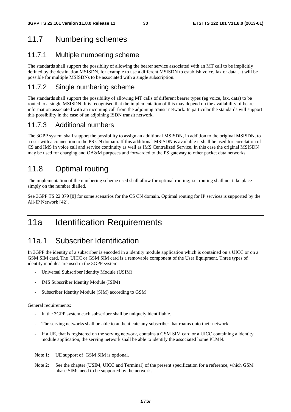## 11.7 Numbering schemes

#### 11.7.1 Multiple numbering scheme

The standards shall support the possiblity of allowing the bearer service associated with an MT call to be implicitly defined by the destination MSISDN, for example to use a different MSISDN to establish voice, fax or data . It will be possible for multiple MSISDNs to be associated with a single subscription.

#### 11.7.2 Single numbering scheme

The standards shall support the possibility of allowing MT calls of different bearer types (eg voice, fax, data) to be routed to a single MSISDN. It is recognised that the implementation of this may depend on the availability of bearer information associated with an incoming call from the adjoining transit network. In particular the standards will support this possibility in the case of an adjoining ISDN transit network.

#### 11.7.3 Additional numbers

The 3GPP system shall support the possibility to assign an additional MSISDN, in addition to the original MSISDN, to a user with a connection to the PS CN domain. If this additional MSISDN is available it shall be used for correlation of CS and IMS in voice call and service continuity as well as IMS Centralized Service. In this case the original MSISDN may be used for charging and OA&M purposes and forwarded to the PS gateway to other packet data networks.

# 11.8 Optimal routing

The implementation of the numbering scheme used shall allow for optimal routing; i.e. routing shall not take place simply on the number dialled.

See 3GPP TS 22.079 [8] for some scenarios for the CS CN domain. Optimal routing for IP services is supported by the All-IP Network [42].

# 11a Identification Requirements

## 11a.1 Subscriber Identification

In 3GPP the identity of a subscriber is encoded in a identity module application which is contained on a UICC or on a GSM SIM card. The UICC or GSM SIM card is a removable component of the User Equipment. Three types of identity modules are used in the 3GPP system:

- Universal Subscriber Identity Module (USIM)
- IMS Subscriber Identity Module (ISIM)
- Subscriber Identity Module (SIM) according to GSM

General requirements:

- In the 3GPP system each subscriber shall be uniquely identifiable.
- The serving networks shall be able to authenticate any subscriber that roams onto their network
- If a UE, that is registered on the serving network, contains a GSM SIM card or a UICC containing a identity module application, the serving network shall be able to identify the associated home PLMN.

Note 1: UE support of GSM SIM is optional.

Note 2: See the chapter (USIM, UICC and Terminal) of the present specification for a reference, which GSM phase SIMs need to be supported by the network.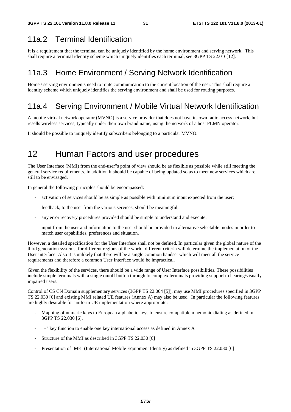## 11a.2 Terminal Identification

It is a requirement that the terminal can be uniquely identified by the home environment and serving network. This shall require a terminal identity scheme which uniquely identifies each terminal, see 3GPP TS 22.016[12].

## 11a.3 Home Environment / Serving Network Identification

Home / serving environments need to route communication to the current location of the user. This shall require a identity scheme which uniquely identifies the serving environment and shall be used for routing purposes.

## 11a.4 Serving Environment / Mobile Virtual Network Identification

A mobile virtual network operator (MVNO) is a service provider that does not have its own radio access network, but resells wireless services, typically under their own brand name, using the network of a host PLMN operator.

It should be possible to uniquely identify subscribers belonging to a particular MVNO.

# 12 Human Factors and user procedures

The User Interface (MMI) from the end-user"s point of view should be as flexible as possible while still meeting the general service requirements. In addition it should be capable of being updated so as to meet new services which are still to be envisaged.

In general the following principles should be encompassed:

- activation of services should be as simple as possible with minimum input expected from the user;
- feedback, to the user from the various services, should be meaningful;
- any error recovery procedures provided should be simple to understand and execute.
- input from the user and information to the user should be provided in alternative selectable modes in order to match user capabilities, preferences and situation.

However, a detailed specification for the User Interface shall not be defined. In particular given the global nature of the third generation systems, for different regions of the world, different criteria will determine the implementation of the User Interface. Also it is unlikely that there will be a single common handset which will meet all the service requirements and therefore a common User Interface would be impractical.

Given the flexibility of the services, there should be a wide range of User Interface possibilities. These possibilities include simple terminals with a single on/off button through to complex terminals providing support to hearing/visually impaired users.

Control of CS CN Domain supplementary services (3GPP TS 22.004 [5]), may use MMI procedures specified in 3GPP TS 22.030 [6] and existing MMI related UE features (Annex A) may also be used. In particular the following features are highly desirable for uniform UE implementation where appropriate:

- Mapping of numeric keys to European alphabetic keys to ensure compatible mnemonic dialing as defined in 3GPP TS 22.030 [6],
- "+" key function to enable one key international access as defined in Annex A
- Structure of the MMI as described in 3GPP TS 22.030 [6]
- Presentation of IMEI (International Mobile Equipment Identity) as defined in 3GPP TS 22.030 [6]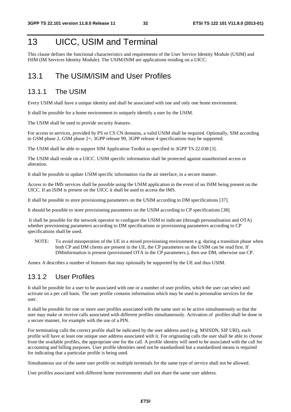# 13 UICC, USIM and Terminal

This clause defines the functional characteristics and requirements of the User Service Identity Module (USIM) and ISIM (IM Services Identity Module). The USIM/ISIM are applications residing on a UICC.

## 13.1 The USIM/ISIM and User Profiles

#### 13.1.1 The USIM

Every USIM shall have a unique identity and shall be associated with one and only one home environment.

It shall be possible for a home environment to uniquely identify a user by the USIM.

The USIM shall be used to provide security features.

For access to services, provided by PS or CS CN domains, a valid USIM shall be required. Optionally, SIM according to GSM phase 2, GSM phase 2+, 3GPP release 99, 3GPP release 4 specifications may be supported.

The USIM shall be able to support SIM Application Toolkit as specified in 3GPP TS 22.038 [3].

The USIM shall reside on a UICC. USIM specific information shall be protected against unauthorised access or alteration.

It shall be possible to update USIM specific information via the air interface, in a secure manner.

Access to the IMS services shall be possible using the USIM application in the event of no ISIM being present on the UICC. If an ISIM is present on the UICC it shall be used to access the IMS.

It shall be possible to store provisioning parameters on the USIM according to DM specifications [37].

It should be possible to store provisioning parameters on the USIM according to CP specifications [38].

 It shall be possible for the network operator to configure the USIM to indicate (through personalisation and OTA) whether provisioning parameters according to DM specifications or provisioning parameters according to CP specifications shall be used.

NOTE: To avoid misoperation of the UE in a mixed provisioning environment e.g. during a transition phase when both CP and DM clients are present in the UE, the CP parameters on the USIM can be read first. If DMinformation is present (provisioned OTA in the CP parameters.), then use DM, otherwise use CP.

Annex A describes a number of features that may optionally be supported by the UE and thus USIM.

#### 13.1.2 User Profiles

It shall be possible for a user to be associated with one or a number of user profiles, which the user can select and activate on a per call basis. The user profile contains information which may be used to personalise services for the user.

It shall be possible for one or more user profiles associated with the same user to be active simultaneously so that the user may make or receive calls associated with different profiles simultaneously. Activation of profiles shall be done in a secure manner, for example with the use of a PIN.

For terminating calls the correct profile shall be indicated by the user address used (e.g. MSISDN, SIP URI), each profile will have at least one unique user address associated with it. For originating calls the user shall be able to choose from the available profiles, the appropriate one for the call. A profile identity will need to be associated with the call for accounting and billing purposes. User profile identities need not be standardised but a standardised means is required for indicating that a particular profile is being used.

Simultaneous use of the same user profile on multiple terminals for the same type of service shall not be allowed.

User profiles associated with different home environments shall not share the same user address.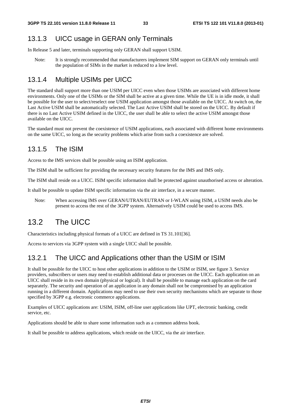#### 13.1.3 UICC usage in GERAN only Terminals

In Release 5 and later, terminals supporting only GERAN shall support USIM.

Note: It is strongly recommended that manufacturers implement SIM support on GERAN only terminals until the population of SIMs in the market is reduced to a low level.

#### 13.1.4 Multiple USIMs per UICC

The standard shall support more than one USIM per UICC even when those USIMs are associated with different home environments. Only one of the USIMs or the SIM shall be active at a given time. While the UE is in idle mode, it shall be possible for the user to select/reselect one USIM application amongst those available on the UICC. At switch on, the Last Active USIM shall be automatically selected. The Last Active USIM shall be stored on the UICC. By default if there is no Last Active USIM defined in the UICC, the user shall be able to select the active USIM amongst those available on the UICC.

The standard must not prevent the coexistence of USIM applications, each associated with different home environments on the same UICC, so long as the security problems which arise from such a coexistence are solved.

#### 13.1.5 The ISIM

Access to the IMS services shall be possible using an ISIM application.

The ISIM shall be sufficient for providing the necessary security features for the IMS and IMS only.

The ISIM shall reside on a UICC. ISIM specific information shall be protected against unauthorised access or alteration.

It shall be possible to update ISIM specific information via the air interface, in a secure manner.

Note: When accessing IMS over GERAN/UTRAN/EUTRAN or I-WLAN using ISIM, a USIM needs also be present to access the rest of the 3GPP system. Alternatively USIM could be used to access IMS.

## 13.2 The UICC

Characteristics including physical formats of a UICC are defined in TS 31.101[36].

Access to services via 3GPP system with a single UICC shall be possible.

#### 13.2.1 The UICC and Applications other than the USIM or ISIM

It shall be possible for the UICC to host other applications in addition to the USIM or ISIM, see figure 3. Service providers, subscribers or users may need to establish additional data or processes on the UICC. Each application on an UICC shall reside in its own domain (physical or logical). It shall be possible to manage each application on the card separately. The security and operation of an application in any domain shall not be compromised by an application running in a different domain. Applications may need to use their own security mechanisms which are separate to those specified by 3GPP e.g. electronic commerce applications.

Examples of UICC applications are: USIM, ISIM, off-line user applications like UPT, electronic banking, credit service, etc.

Applications should be able to share some information such as a common address book.

It shall be possible to address applications, which reside on the UICC, via the air interface.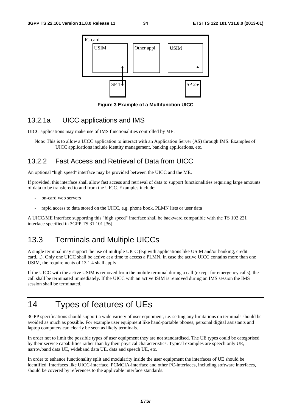

**Figure 3 Example of a Multifunction UICC** 

#### 13.2.1a UICC applications and IMS

UICC applications may make use of IMS functionalities controlled by ME.

Note: This is to allow a UICC application to interact with an Application Server (AS) through IMS. Examples of UICC applications include identity management, banking applications, etc.

#### 13.2.2 Fast Access and Retrieval of Data from UICC

An optional "high speed" interface may be provided between the UICC and the ME.

If provided, this interface shall allow fast access and retrieval of data to support functionalities requiring large amounts of data to be transfered to and from the UICC. Examples include:

- on-card web servers
- rapid access to data stored on the UICC, e.g. phone book, PLMN lists or user data

A UICC/ME interface supporting this "high speed" interface shall be backward compatible with the TS 102 221 interface specified in 3GPP TS 31.101 [36].

#### 13.3 Terminals and Multiple UICCs

A single terminal may support the use of multiple UICC (e.g with applications like USIM and/or banking, credit card,...). Only one UICC shall be active at a time to access a PLMN. In case the active UICC contains more than one USIM, the requirements of 13.1.4 shall apply.

If the UICC with the active USIM is removed from the mobile terminal during a call (except for emergency calls), the call shall be terminated immediately. If the UICC with an active ISIM is removed during an IMS session the IMS session shall be terminated.

# 14 Types of features of UEs

3GPP specifications should support a wide variety of user equipment, i.e. setting any limitations on terminals should be avoided as much as possible. For example user equipment like hand-portable phones, personal digital assistants and laptop computers can clearly be seen as likely terminals.

In order not to limit the possible types of user equipment they are not standardised. The UE types could be categorised by their service capabilities rather than by their physical characteristics. Typical examples are speech only UE, narrowband data UE, wideband data UE, data and speech UE, etc.

In order to enhance functionality split and modularity inside the user equipment the interfaces of UE should be identified. Interfaces like UICC-interface, PCMCIA-interface and other PC-interfaces, including software interfaces, should be covered by references to the applicable interface standards.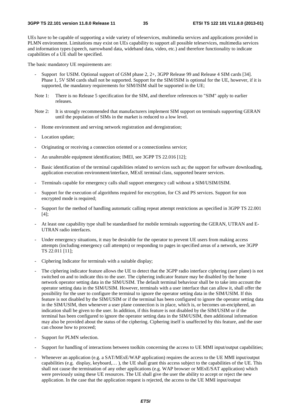UEs have to be capable of supporting a wide variety of teleservices, multimedia services and applications provided in PLMN environment. Limitations may exist on UEs capability to support all possible teleservices, multimedia services and information types (speech, narrowband data, wideband data, video, etc.) and therefore functionality to indicate capabilities of a UE shall be specified.

The basic mandatory UE requirements are:

- Support for USIM. Optional support of GSM phase 2, 2+, 3GPP Release 99 and Release 4 SIM cards [34]. Phase 1, 5V SIM cards shall not be supported. Support for the SIM/ISIM is optional for the UE, however, if it is supported, the mandatory requirements for SIM/ISIM shall be supported in the UE;
- Note 1: There is no Release 5 specification for the SIM, and therefore references to "SIM" apply to earlier releases.
- Note 2: It is strongly recommended that manufacturers implement SIM support on terminals supporting GERAN until the population of SIMs in the market is reduced to a low level.
- Home environment and serving network registration and deregistration;
- Location update;
- Originating or receiving a connection oriented or a connectionless service;
- An unalterable equipment identification; IMEI, see 3GPP TS 22.016 [12];
- Basic identification of the terminal capabilities related to services such as; the support for software downloading, application execution environment/interface, MExE terminal class, supported bearer services.
- Terminals capable for emergency calls shall support emergency call without a SIM/USIM/ISIM.
- Support for the execution of algorithms required for encryption, for CS and PS services. Support for non encrypted mode is required;
- Support for the method of handling automatic calling repeat attempt restrictions as specified in 3GPP TS 22.001 [4];
- At least one capability type shall be standardised for mobile terminals supporting the GERAN, UTRAN and E-UTRAN radio interfaces.
- Under emergency situations, it may be desirable for the operator to prevent UE users from making access attempts (including emergency call attempts) or responding to pages in specified areas of a network, see 3GPP TS 22.011 [11];
- Ciphering Indicator for terminals with a suitable display;
- The ciphering indicator feature allows the UE to detect that the 3GPP radio interface ciphering (user plane) is not switched on and to indicate this to the user. The ciphering indicator feature may be disabled by the home network operator setting data in the SIM/USIM. The default terminal behaviour shall be to take into account the operator setting data in the SIM/USIM. However, terminals with a user interface that can allow it, shall offer the possibility for the user to configure the terminal to ignore the operator setting data in the SIM/USIM. If this feature is not disabled by the SIM/USIM or if the terminal has been configured to ignore the operator setting data in the SIM/USIM, then whenever a user plane connection is in place, which is, or becomes un-enciphered, an indication shall be given to the user. In addition, if this feature is not disabled by the SIM/USIM or if the terminal has been configured to ignore the operator setting data in the SIM/USIM, then additional information may also be provided about the status of the ciphering. Ciphering itself is unaffected by this feature, and the user can choose how to proceed;
- Support for PLMN selection.
- Support for handling of interactions between toolkits concerning the access to UE MMI input/output capabilities;
- Whenever an application (e.g. a SAT/MExE/WAP application) requires the access to the UE MMI input/output capabilities (e.g. display, keyboard,… ), the UE shall grant this access subject to the capabilities of the UE. This shall not cause the termination of any other applications (e.g. WAP browser or MExE/SAT application) which were previously using these UE resources. The UE shall give the user the ability to accept or reject the new application. In the case that the application request is rejected, the access to the UE MMI input/output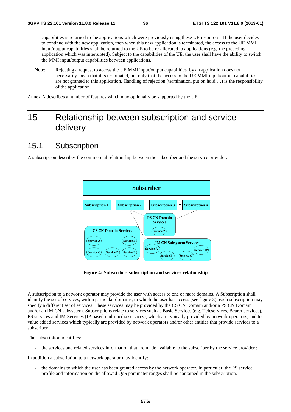capabilities is returned to the applications which were previously using these UE resources. If the user decides to continue with the new application, then when this new application is terminated, the access to the UE MMI input/output capabilities shall be returned to the UE to be re-allocated to applications (e.g. the preceding application which was interrupted). Subject to the capabilities of the UE, the user shall have the ability to switch the MMI input/output capabilities between applications.

Note: Rejecting a request to access the UE MMI input/output capabilities by an application does not necessarily mean that it is terminated, but only that the access to the UE MMI input/output capabilities are not granted to this application. Handling of rejection (termination, put on hold,…) is the responsibility of the application.

Annex A describes a number of features which may optionally be supported by the UE.

# 15 Relationship between subscription and service delivery

#### 15.1 Subscription

A subscription describes the commercial relationship between the subscriber and the service provider.



**Figure 4: Subscriber, subscription and services relationship** 

A subscription to a network operator may provide the user with access to one or more domains. A Subscription shall identify the set of services, within particular domains, to which the user has access (see figure 3); each subscription may specify a different set of services. These services may be provided by the CS CN Domain and/or a PS CN Domain and/or an IM CN subsystem. Subscriptions relate to services such as Basic Services (e.g. Teleservices, Bearer services), PS services and IM-Services (IP-based multimedia services), which are typically provided by network operators, and to value added services which typically are provided by network operators and/or other entities that provide services to a subscriber

The subscription identifies:

- the services and related services information that are made available to the subscriber by the service provider ;

In addition a subscription to a network operator may identify:

- the domains to which the user has been granted access by the network operator. In particular, the PS service profile and information on the allowed QoS parameter ranges shall be contained in the subscription.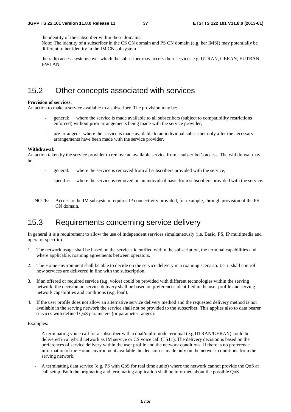- the identity of the subscriber within these domains. Note: The identity of a subscriber in the CS CN domain and PS CN domain (e.g. her IMSI) may potentially be different to her identity in the IM CN subsystem
- the radio access systems over which the subscriber may access their services e.g. UTRAN, GERAN, EUTRAN, I-WLAN.

## 15.2 Other concepts associated with services

#### **Provision of services:**

An action to make a service available to a subscriber. The provision may be:

- general: where the service is made available to all subscribers (subject to compatibility restrictions enforced) without prior arrangements being made with the service provider;
- pre-arranged: where the service is made available to an individual subscriber only after the necessary arrangements have been made with the service provider.

#### **Withdrawal:**

An action taken by the service provider to remove an available service from a subscriber's access. The withdrawal may be:

- general: where the service is removed from all subscribers provided with the service;
- specific: where the service is removed on an individual basis from subscribers provided with the service.
- NOTE: Access to the IM subsystem requires IP connectivity provided, for example, through provision of the PS CN domain.

## 15.3 Requirements concerning service delivery

In general it is a requirement to allow the use of independent services simultaneously (i.e. Basic, PS, IP multimedia and operator specific).

- 1. The network usage shall be based on the services identified within the subscription, the terminal capabilities and, where applicable, roaming agreements between operators.
- 2. The Home environment shall be able to decide on the service delivery in a roaming scenario. I.e. it shall control how services are delivered in line with the subscription.
- 3. If an offered or required service (e.g. voice) could be provided with different technologies within the serving network, the decision on service delivery shall be based on preferences identified in the user profile and serving network capabilities and conditions (e.g. load).
- 4. If the user profile does not allow an alternative service delivery method and the requested delivery method is not available in the serving network the service shall not be provided to the subscriber. This applies also to data bearer services with defined QoS parameters (or parameter ranges).

#### Examples:

- A terminating voice call for a subscriber with a dual/multi mode terminal (e.g.UTRAN/GERAN) could be delivered in a hybrid network as IM service or CS voice call (TS11). The delivery decision is based on the preferences of service delivery within the user profile and the network conditions. If there is no preference information of the Home environment available the decision is made only on the network conditions from the serving network.
- A terminating data service (e.g. PS with QoS for real time audio) where the network cannot provide the QoS at call setup. Both the originating and terminating application shall be informed about the possible QoS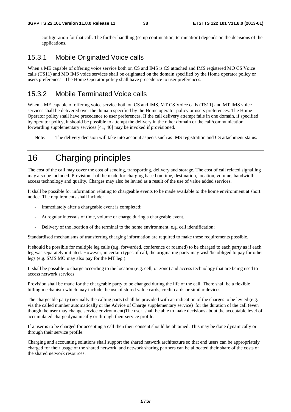configuration for that call. The further handling (setup continuation, termination) depends on the decisions of the applications.

#### 15.3.1 Mobile Originated Voice calls

When a ME capable of offering voice service both on CS and IMS is CS attached and IMS registered MO CS Voice calls (TS11) and MO IMS voice services shall be originated on the domain specified by the Home operator policy or users preferences. The Home Operator policy shall have precedence to user preferences.

#### 15.3.2 Mobile Terminated Voice calls

When a ME capable of offering voice service both on CS and IMS, MT CS Voice calls (TS11) and MT IMS voice services shall be delivered over the domain specified by the Home operator policy or users preferences. The Home Operator policy shall have precedence to user preferences. If the call delivery attempt fails in one domain, if specified by operator policy, it should be possible to attempt the delivery in the other domain or the call/communication forwarding supplementary services [41, 40] may be invoked if provisioned.

Note: The delivery decision will take into account aspects such as IMS registration and CS attachment status.

# 16 Charging principles

The cost of the call may cover the cost of sending, transporting, delivery and storage. The cost of call related signalling may also be included. Provision shall be made for charging based on time, destination, location, volume, bandwidth, access technology and quality. Charges may also be levied as a result of the use of value added services.

It shall be possible for information relating to chargeable events to be made available to the home environment at short notice. The requirements shall include:

- Immediately after a chargeable event is completed;
- At regular intervals of time, volume or charge during a chargeable event.
- Delivery of the location of the terminal to the home environment, e.g. cell identification;

Standardised mechanisms of transferring charging information are required to make these requirements possible.

It should be possible for multiple leg calls (e.g. forwarded, conference or roamed) to be charged to each party as if each leg was separately initiated. However, in certain types of call, the originating party may wish/be obliged to pay for other legs (e.g. SMS MO may also pay for the MT leg.).

It shall be possible to charge according to the location (e.g. cell, or zone) and access technology that are being used to access network services.

Provision shall be made for the chargeable party to be changed during the life of the call. There shall be a flexible billing mechanism which may include the use of stored value cards, credit cards or similar devices.

The chargeable party (normally the calling party) shall be provided with an indication of the charges to be levied (e.g. via the called number automatically or the Advice of Charge supplementary service) for the duration of the call (even though the user may change service environment)The user shall be able to make decisions about the acceptable level of accumulated charge dynamically or through their service profile.

If a user is to be charged for accepting a call then their consent should be obtained. This may be done dynamically or through their service profile.

Charging and accounting solutions shall support the shared network architecture so that end users can be appropriately charged for their usage of the shared network, and network sharing partners can be allocated their share of the costs of the shared network resources.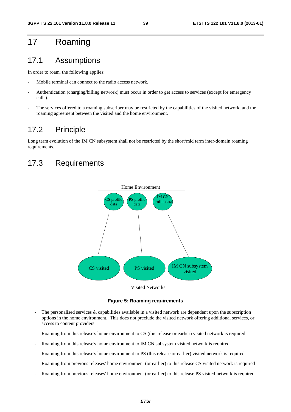# 17 Roaming

#### 17.1 Assumptions

In order to roam, the following applies:

- Mobile terminal can connect to the radio access network.
- Authentication (charging/billing network) must occur in order to get access to services (except for emergency calls).
- The services offered to a roaming subscriber may be restricted by the capabilities of the visited network, and the roaming agreement between the visited and the home environment.

## 17.2 Principle

Long term evolution of the IM CN subsystem shall not be restricted by the short/mid term inter-domain roaming requirements.

## 17.3 Requirements



**Figure 5: Roaming requirements** 

- The personalised services & capabilities available in a visited network are dependent upon the subscription options in the home environment. This does not preclude the visited network offering additional services, or access to content providers.
- Roaming from this release's home environment to CS (this release or earlier) visited network is required
- Roaming from this release's home environment to IM CN subsystem visited network is required
- Roaming from this release's home environment to PS (this release or earlier) visited network is required
- Roaming from previous releases' home environment (or earlier) to this release CS visited network is required
- Roaming from previous releases' home environment (or earlier) to this release PS visited network is required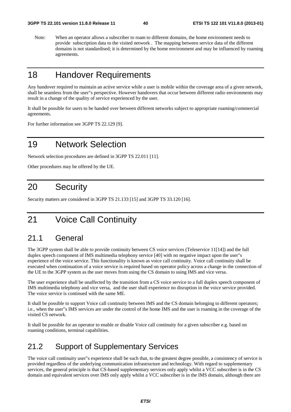Note: When an operator allows a subscriber to roam to different domains, the home environment needs to provide subscription data to the visited network . The mapping between service data of the different domains is not standardised; it is determined by the home environment and may be influenced by roaming agreements.

# 18 Handover Requirements

Any handover required to maintain an active service while a user is mobile within the coverage area of a given network, shall be seamless from the user"s perspective. However handovers that occur between different radio environments may result in a change of the quality of service experienced by the user.

It shall be possible for users to be handed over between different networks subject to appropriate roaming/commercial agreements.

For further information see 3GPP TS 22.129 [9].

# 19 Network Selection

Network selection procedures are defined in 3GPP TS 22.011 [11].

Other procedures may be offered by the UE.

# 20 Security

Security matters are considered in 3GPP TS 21.133 [15] and 3GPP TS 33.120 [16].

# 21 Voice Call Continuity

#### 21.1 General

The 3GPP system shall be able to provide continuity between CS voice services (Teleservice 11[14]) and the full duplex speech component of IMS multimedia telephony service [40] with no negative impact upon the user"s experience of the voice service. This functionality is known as voice call continuity. Voice call continuity shall be executed when continuation of a voice service is required based on operator policy across a change in the connection of the UE to the 3GPP system as the user moves from using the CS domain to using IMS and vice versa.

The user experience shall be unaffected by the transition from a CS voice service to a full duplex speech component of IMS multimedia telephony and vice versa, and the user shall experience no disruption in the voice service provided. The voice service is continued with the same ME.

It shall be possible to support Voice call continuity between IMS and the CS domain belonging to different operators; i.e., when the user"s IMS services are under the control of the home IMS and the user is roaming in the coverage of the visited CS network.

It shall be possible for an operator to enable or disable Voice call continuity for a given subscriber e.g. based on roaming conditions, terminal capabilities.

#### 21.2 Support of Supplementary Services

The voice call continuity user"s experience shall be such that, to the greatest degree possible, a consistency of service is provided regardless of the underlying communication infrastructure and technology. With regard to supplementary services, the general principle is that CS-based supplementary services only apply whilst a VCC subscriber is in the CS domain and equivalent services over IMS only apply whilst a VCC subscriber is in the IMS domain, although there are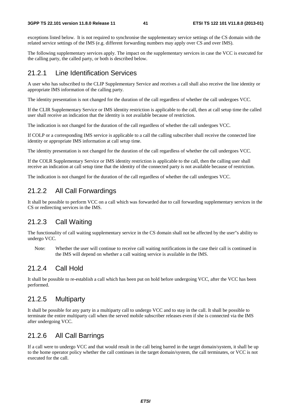exceptions listed below. It is not required to synchronise the supplementary service settings of the CS domain with the related service settings of the IMS (e.g. different forwarding numbers may apply over CS and over IMS).

The following supplementary services apply. The impact on the supplementary services in case the VCC is executed for the calling party, the called party, or both is described below.

#### 21.2.1 Line Identification Services

A user who has subscribed to the CLIP Supplementary Service and receives a call shall also receive the line identity or appropriate IMS information of the calling party.

The identity presentation is not changed for the duration of the call regardless of whether the call undergoes VCC.

If the CLIR Supplementary Service or IMS identity restriction is applicable to the call, then at call setup time the called user shall receive an indication that the identity is not available because of restriction.

The indication is not changed for the duration of the call regardless of whether the call undergoes VCC.

If COLP or a corresponding IMS service is applicable to a call the calling subscriber shall receive the connected line identity or appropriate IMS information at call setup time.

The identity presentation is not changed for the duration of the call regardless of whether the call undergoes VCC.

If the COLR Supplementary Service or IMS identity restriction is applicable to the call, then the calling user shall receive an indication at call setup time that the identity of the connected party is not available because of restriction.

The indication is not changed for the duration of the call regardless of whether the call undergoes VCC.

#### 21.2.2 All Call Forwardings

It shall be possible to perform VCC on a call which was forwarded due to call forwarding supplementary services in the CS or redirecting services in the IMS.

#### 21.2.3 Call Waiting

The functionality of call waiting supplementary service in the CS domain shall not be affected by the user"s ability to undergo VCC.

Note: Whether the user will continue to receive call waiting notifications in the case their call is continued in the IMS will depend on whether a call waiting service is available in the IMS.

## 21.2.4 Call Hold

It shall be possible to re-establish a call which has been put on hold before undergoing VCC, after the VCC has been performed.

#### 21.2.5 Multiparty

It shall be possible for any party in a multiparty call to undergo VCC and to stay in the call. It shall be possible to terminate the entire multiparty call when the served mobile subscriber releases even if she is connected via the IMS after undergoing VCC.

## 21.2.6 All Call Barrings

If a call were to undergo VCC and that would result in the call being barred in the target domain/system, it shall be up to the home operator policy whether the call continues in the target domain/system, the call terminates, or VCC is not executed for the call.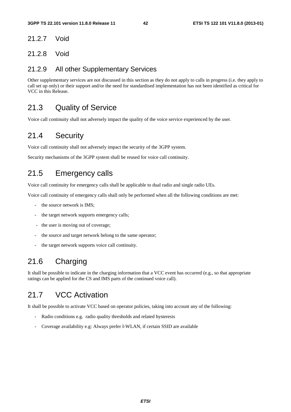#### 21.2.7 Void

#### 21.2.8 Void

#### 21.2.9 All other Supplementary Services

Other supplementary services are not discussed in this section as they do not apply to calls in progress (i.e. they apply to call set up only) or their support and/or the need for standardised implementation has not been identified as critical for VCC in this Release.

## 21.3 Quality of Service

Voice call continuity shall not adversely impact the quality of the voice service experienced by the user.

# 21.4 Security

Voice call continuity shall not adversely impact the security of the 3GPP system.

Security mechanisms of the 3GPP system shall be reused for voice call continuity.

## 21.5 Emergency calls

Voice call continuity for emergency calls shall be applicable to dual radio and single radio UEs.

Voice call continuity of emergency calls shall only be performed when all the following conditions are met:

- the source network is IMS:
- the target network supports emergency calls;
- the user is moving out of coverage;
- the source and target network belong to the same operator;
- the target network supports voice call continuity.

# 21.6 Charging

It shall be possible to indicate in the charging information that a VCC event has occurred (e.g., so that appropriate ratings can be applied for the CS and IMS parts of the continued voice call).

# 21.7 VCC Activation

It shall be possible to activate VCC based on operator policies, taking into account any of the following:

- Radio conditions e.g. radio quality thresholds and related hysteresis
- Coverage availability e.g: Always prefer I-WLAN, if certain SSID are available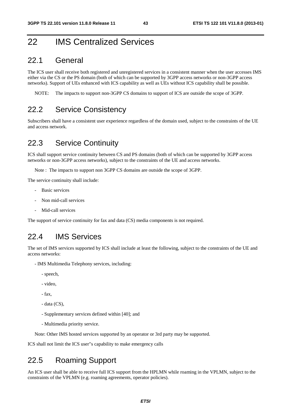# 22 IMS Centralized Services

#### 22.1 General

The ICS user shall receive both registered and unregistered services in a consistent manner when the user accesses IMS either via the CS or the PS domain (both of which can be supported by 3GPP access networks or non-3GPP access networks). Support of UEs enhanced with ICS capability as well as UEs without ICS capability shall be possible.

NOTE: The impacts to support non-3GPP CS domains to support of ICS are outside the scope of 3GPP.

#### 22.2 Service Consistency

Subscribers shall have a consistent user experience regardless of the domain used, subject to the constraints of the UE and access network.

#### 22.3 Service Continuity

ICS shall support service continuity between CS and PS domains (both of which can be supported by 3GPP access networks or non-3GPP access networks), subject to the constraints of the UE and access networks.

Note : The impacts to support non 3GPP CS domains are outside the scope of 3GPP.

The service continuity shall include:

- Basic services
- Non mid-call services
- Mid-call services

The support of service continuity for fax and data (CS) media components is not required.

#### 22.4 IMS Services

The set of IMS services supported by ICS shall include at least the following, subject to the constraints of the UE and access networks:

- IMS Multimedia Telephony services, including:
	- speech,
	- video,
	- fax,
	- data (CS),
	- Supplementary services defined within [40]; and
	- Multimedia priority service.

Note: Other IMS hosted services supported by an operator or 3rd party may be supported.

ICS shall not limit the ICS user"s capability to make emergency calls

#### 22.5 Roaming Support

An ICS user shall be able to receive full ICS support from the HPLMN while roaming in the VPLMN, subject to the constraints of the VPLMN (e.g. roaming agreements, operator policies).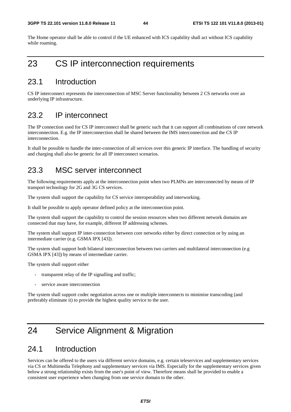The Home operator shall be able to control if the UE enhanced with ICS capability shall act without ICS capability while roaming.

# 23 CS IP interconnection requirements

#### 23.1 Introduction

CS IP interconnect represents the interconnection of MSC Server functionality between 2 CS networks over an underlying IP infrastructure.

#### 23.2 IP interconnect

The IP connection used for CS IP interconnect shall be generic such that it can support all combinations of core network interconnection. E.g. the IP interconnection shall be shared between the IMS interconnection and the CS IP interconnection.

It shall be possible to handle the inter-connection of all services over this generic IP interface. The handling of security and charging shall also be generic for all IP interconnect scenarios.

#### 23.3 MSC server interconnect

The following requirements apply at the interconnection point when two PLMNs are interconnected by means of IP transport technology for 2G and 3G CS services.

The system shall support the capability for CS service interoperability and interworking.

It shall be possible to apply operator defined policy at the interconnection point.

The system shall support the capability to control the session resources when two different network domains are connected that may have, for example, different IP addressing schemes.

The system shall support IP inter-connection between core networks either by direct connection or by using an intermediate carrier (e.g. GSMA IPX [43]).

The system shall support both bilateral interconnection between two carriers and multilateral interconnection (e.g GSMA IPX [43]) by means of intermediate carrier.

The system shall support either

- transparent relay of the IP signalling and traffic;
- service aware interconnection

The system shall support codec negotiation across one or multiple interconnects to minimise transcoding (and preferably eliminate it) to provide the highest quality service to the user.

# 24 Service Alignment & Migration

#### 24.1 Introduction

Services can be offered to the users via different service domains, e.g. certain teleservices and supplementary services via CS or Multimedia Telephony and supplementary services via IMS. Especially for the supplementary services given below a strong relationship exists from the user's point of view. Therefore means shall be provided to enable a consistent user experience when changing from one service domain to the other.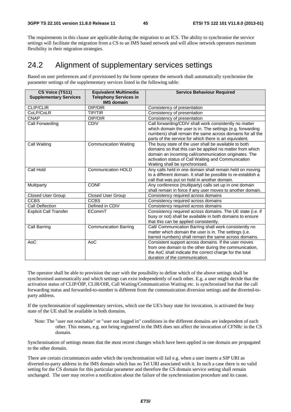The requirements in this clause are applicable during the migration to an ICS. The ability to synchronise the service settings will facilitate the migration from a CS to an IMS based network and will allow network operators maximum flexibility in their migration strategies.

#### 24.2 Alignment of supplementary services settings

Based on user preferences and if provisioned by the home operator the network shall automatically synchronise the parameter settings of the supplementary services listed in the following table:

| CS Voice (TS11)<br><b>Supplementary Services</b> | <b>Equivalent Multimedia</b><br><b>Telephony Services in</b><br><b>IMS domain</b> | <b>Service Behaviour Required</b>                                                                                                                                                                                                                                   |
|--------------------------------------------------|-----------------------------------------------------------------------------------|---------------------------------------------------------------------------------------------------------------------------------------------------------------------------------------------------------------------------------------------------------------------|
| <b>CLIP/CLIR</b>                                 | OIP/OIR                                                                           | Consistency of presentation                                                                                                                                                                                                                                         |
| CoLP/CoLR                                        | <b>TIP/TIR</b>                                                                    | Consistency of presentation                                                                                                                                                                                                                                         |
| <b>CNAP</b>                                      | OIP/OIR                                                                           | Consistency of presentation                                                                                                                                                                                                                                         |
| <b>Call Forwarding</b>                           | <b>CDIV</b>                                                                       | Call forwarding/CDIV shall work consistently no matter<br>which domain the user is in. The settings (e.g. forwarding<br>numbers) shall remain the same across domains for all the<br>parts of the service for which there is an equivalent.                         |
| Call Waiting                                     | <b>Communication Waiting</b>                                                      | The busy state of the user shall be available to both<br>domains so that this can be applied no matter from which<br>domain an incoming call/communication originates. The<br>activation status of Call Waiting and Communication<br>Waiting shall be synchronised. |
| Call Hold                                        | <b>Communication HOLD</b>                                                         | Any calls held in one domain shall remain held on moving<br>to a different domain. It shall be possible to re-establish a<br>call that was put on hold in another domain.                                                                                           |
| Multiparty                                       | <b>CONF</b>                                                                       | Any conference (multiparty) calls set up in one domain<br>shall remain in force if any user moves to another domain.                                                                                                                                                |
| <b>Closed User Group</b>                         | <b>Closed User Group</b>                                                          | Consistency required across domains                                                                                                                                                                                                                                 |
| <b>CCBS</b>                                      | <b>CCBS</b>                                                                       | Consistency required across domains                                                                                                                                                                                                                                 |
| Call Deflection                                  | Defined in CDIV                                                                   | Consistency required across domains                                                                                                                                                                                                                                 |
| <b>Explicit Call Transfer</b>                    | ECommT                                                                            | Consistency required across domains. The UE state (i.e. if<br>busy or not) shall be available in both domains to ensure<br>that this can be applied consistently.                                                                                                   |
| Call Barring                                     | <b>Communication Barring</b>                                                      | Call/ Communication Barring shall work consistently no<br>matter which domain the user is in. The settings (i.e.<br>barred numbers) shall remain the same across domains.                                                                                           |
| AoC                                              | AoC                                                                               | Consistent support across domains. If the user moves<br>from one domain to the other during the communication,<br>the AoC shall indicate the correct charge for the total<br>duration of the communication.                                                         |

The operator shall be able to provision the user with the possibility to define which of the above settings shall be synchronised automatically and which settings can exist independently of each other. E.g. a user might decide that the activation status of CLIP/OIP, CLIR/OIR, Call Waiting/Communication Waiting etc. is synchronised but that the call forwarding status and forwarded-to-number is different from the communication diversion settings and the diverted-toparty address.

If the synchronisation of supplementary services, which use the UE's busy state for invocation, is activated the busy state of the UE shall be available in both domains.

Note: The "user not reachable" or "user not logged in" conditions in the different domains are independent of each other. This means, e.g. not being registered in the IMS does not affect the invocation of CFNRc in the CS domain.

Synchronisation of settings means that the most recent changes which have been applied in one domain are propagated to the other domain.

There are certain circumstances under which the synchronisation will fail e.g. when a user inserts a SIP URI as diverted-to-party address in the IMS domain which has no Tel URI associated with it. In such a case there is no valid setting for the CS domain for this particular parameter and therefore the CS domain service setting shall remain unchanged. The user may receive a notification about the failure of the synchronisation procedure and its cause.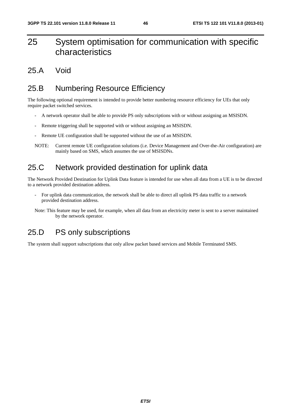# 25 System optimisation for communication with specific characteristics

#### 25.A Void

# 25.B Numbering Resource Efficiency

The following optional requirement is intended to provide better numbering resource efficiency for UEs that only require packet switched services.

- A network operator shall be able to provide PS only subscriptions with or without assigning an MSISDN.
- Remote triggering shall be supported with or without assigning an MSISDN.
- Remote UE configuration shall be supported without the use of an MSISDN.
- NOTE: Current remote UE configuration solutions (i.e. Device Management and Over-the-Air configuration) are mainly based on SMS, which assumes the use of MSISDNs.

## 25.C Network provided destination for uplink data

The Network Provided Destination for Uplink Data feature is intended for use when all data from a UE is to be directed to a network provided destination address.

- For uplink data communication, the network shall be able to direct all uplink PS data traffic to a network provided destination address.
- Note: This feature may be used, for example, when all data from an electricity meter is sent to a server maintained by the network operator.

## 25.D PS only subscriptions

The system shall support subscriptions that only allow packet based services and Mobile Terminated SMS.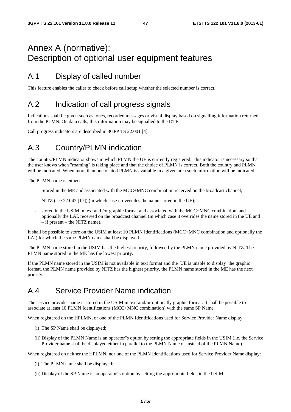# Annex A (normative): Description of optional user equipment features

# A.1 Display of called number

This feature enables the caller to check before call setup whether the selected number is correct.

# A.2 Indication of call progress signals

Indications shall be given such as tones, recorded messages or visual display based on signalling information returned from the PLMN. On data calls, this information may be signalled to the DTE.

Call progress indicators are described in 3GPP TS 22.001 [4].

# A.3 Country/PLMN indication

The country/PLMN indicator shows in which PLMN the UE is currently registered. This indicator is necessary so that the user knows when "roaming" is taking place and that the choice of PLMN is correct. Both the country and PLMN will be indicated. When more than one visited PLMN is available in a given area such information will be indicated.

The PLMN name is either:

- Stored in the ME and associated with the MCC+MNC combination received on the broadcast channel;
- NITZ (see 22.042 [17]) (in which case it overrides the name stored in the UE);
- stored in the USIM in text and /or graphic format and associated with the MCC+MNC combination, and optionally the LAI, received on the broadcast channel (in which case it overrides the name stored in the UE and – if present – the NITZ name).

It shall be possible to store on the USIM at least 10 PLMN Identifications (MCC+MNC combination and optionally the LAI) for which the same PLMN name shall be displayed.

The PLMN name stored in the USIM has the highest priority, followed by the PLMN name provided by NITZ. The PLMN name stored in the ME has the lowest priority.

If the PLMN name stored in the USIM is not available in text format and the UE is unable to display the graphic format, the PLMN name provided by NITZ has the highest priority, the PLMN name stored in the ME has the next priority.

## A.4 Service Provider Name indication

The service provider name is stored in the USIM in text and/or optionally graphic format. It shall be possible to associate at least 10 PLMN Identifications (MCC+MNC combination) with the same SP Name.

When registered on the HPLMN, or one of the PLMN Identifications used for Service Provider Name display:

- (i) The SP Name shall be displayed;
- (ii) Display of the PLMN Name is an operator"s option by setting the appropriate fields in the USIM (i.e. the Service Provider name shall be displayed either in parallel to the PLMN Name or instead of the PLMN Name).

When registered on neither the HPLMN, nor one of the PLMN Identifications used for Service Provider Name display:

- (i) The PLMN name shall be displayed;
- (ii) Display of the SP Name is an operator"s option by setting the appropriate fields in the USIM.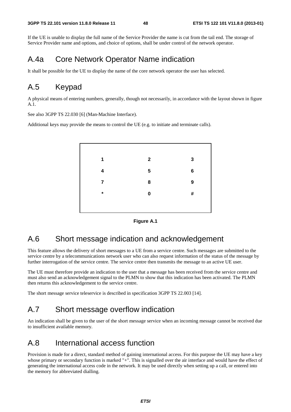If the UE is unable to display the full name of the Service Provider the name is cut from the tail end. The storage of Service Provider name and options, and choice of options, shall be under control of the network operator.

#### A.4a Core Network Operator Name indication

It shall be possible for the UE to display the name of the core network operator the user has selected.

## A.5 Keypad

A physical means of entering numbers, generally, though not necessarily, in accordance with the layout shown in figure A.1.

See also 3GPP TS 22.030 [6] (Man-Machine Interface).

Additional keys may provide the means to control the UE (e.g. to initiate and terminate calls).





## A.6 Short message indication and acknowledgement

This feature allows the delivery of short messages to a UE from a service centre. Such messages are submitted to the service centre by a telecommunications network user who can also request information of the status of the message by further interrogation of the service centre. The service centre then transmits the message to an active UE user.

The UE must therefore provide an indication to the user that a message has been received from the service centre and must also send an acknowledgement signal to the PLMN to show that this indication has been activated. The PLMN then returns this acknowledgement to the service centre.

The short message service teleservice is described in specification 3GPP TS 22.003 [14].

## A.7 Short message overflow indication

An indication shall be given to the user of the short message service when an incoming message cannot be received due to insufficient available memory.

#### A.8 International access function

Provision is made for a direct, standard method of gaining international access. For this purpose the UE may have a key whose primary or secondary function is marked "+". This is signalled over the air interface and would have the effect of generating the international access code in the network. It may be used directly when setting up a call, or entered into the memory for abbreviated dialling.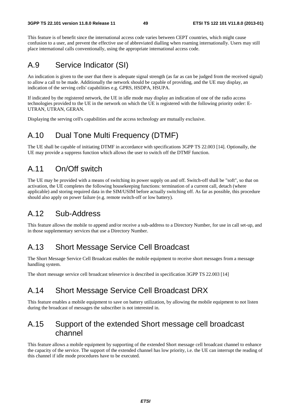This feature is of benefit since the international access code varies between CEPT countries, which might cause confusion to a user, and prevent the effective use of abbreviated dialling when roaming internationally. Users may still place international calls conventionally, using the appropriate international access code.

## A.9 Service Indicator (SI)

An indication is given to the user that there is adequate signal strength (as far as can be judged from the received signal) to allow a call to be made. Additionally the network should be capable of providing, and the UE may display, an indication of the serving cells' capabilities e.g. GPRS, HSDPA, HSUPA.

If indicated by the registered network, the UE in idle mode may display an indication of one of the radio access technologies provided to the UE in the network on which the UE is registered with the following priority order: E-UTRAN, UTRAN, GERAN.

Displaying the serving cell's capabilities and the access technology are mutually exclusive.

## A.10 Dual Tone Multi Frequency (DTMF)

The UE shall be capable of initiating DTMF in accordance with specifications 3GPP TS 22.003 [14]. Optionally, the UE may provide a suppress function which allows the user to switch off the DTMF function.

## A.11 On/Off switch

The UE may be provided with a means of switching its power supply on and off. Switch-off shall be "soft", so that on activation, the UE completes the following housekeeping functions: termination of a current call, detach (where applicable) and storing required data in the SIM/USIM before actually switching off. As far as possible, this procedure should also apply on power failure (e.g. remote switch-off or low battery).

## A.12 Sub-Address

This feature allows the mobile to append and/or receive a sub-address to a Directory Number, for use in call set-up, and in those supplementary services that use a Directory Number.

## A.13 Short Message Service Cell Broadcast

The Short Message Service Cell Broadcast enables the mobile equipment to receive short messages from a message handling system.

The short message service cell broadcast teleservice is described in specification 3GPP TS 22.003 [14]

## A.14 Short Message Service Cell Broadcast DRX

This feature enables a mobile equipment to save on battery utilization, by allowing the mobile equipment to not listen during the broadcast of messages the subscriber is not interested in.

## A.15 Support of the extended Short message cell broadcast channel

This feature allows a mobile equipment by supporting of the extended Short message cell broadcast channel to enhance the capacity of the service. The support of the extended channel has low priority, i.e. the UE can interrupt the reading of this channel if idle mode procedures have to be executed.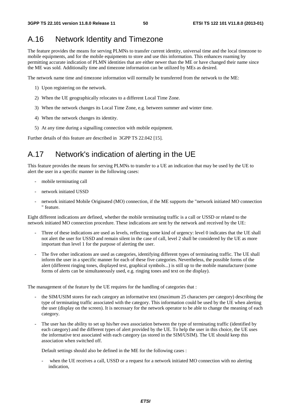## A.16 Network Identity and Timezone

The feature provides the means for serving PLMNs to transfer current identity, universal time and the local timezone to mobile equipments, and for the mobile equipments to store and use this information. This enhances roaming by permitting accurate indication of PLMN identities that are either newer than the ME or have changed their name since the ME was sold. Additionally time and timezone information can be utilized by MEs as desired.

The network name time and timezone information will normally be transferred from the network to the ME:

- 1) Upon registering on the network.
- 2) When the UE geographically relocates to a different Local Time Zone.
- 3) When the network changes its Local Time Zone, e.g. between summer and winter time.
- 4) When the network changes its identity.
- 5) At any time during a signalling connection with mobile equipment.

Further details of this feature are described in 3GPP TS 22.042 [15].

# A.17 Network's indication of alerting in the UE

This feature provides the means for serving PLMNs to transfer to a UE an indication that may be used by the UE to alert the user in a specific manner in the following cases:

- mobile terminating call
- network initiated USSD
- network initiated Mobile Originated (MO) connection, if the ME supports the "network initiated MO connection " feature.

Eight different indications are defined, whether the mobile terminating traffic is a call or USSD or related to the network initiated MO connection procedure. These indications are sent by the network and received by the UE:

- Three of these indications are used as levels, reflecting some kind of urgency: level 0 indicates that the UE shall not alert the user for USSD and remain silent in the case of call, level 2 shall be considered by the UE as more important than level 1 for the purpose of alerting the user.
- The five other indications are used as categories, identifying different types of terminating traffic. The UE shall inform the user in a specific manner for each of these five categories. Nevertheless, the possible forms of the alert (different ringing tones, displayed text, graphical symbols...) is still up to the mobile manufacturer (some forms of alerts can be simultaneously used, e.g. ringing tones and text on the display).

The management of the feature by the UE requires for the handling of categories that :

- the SIM/USIM stores for each category an informative text (maximum 25 characters per category) describing the type of terminating traffic associated with the category. This information could be used by the UE when alerting the user (display on the screen). It is necessary for the network operator to be able to change the meaning of each category.
- The user has the ability to set up his/her own association between the type of terminating traffic (identified by each category) and the different types of alert provided by the UE. To help the user in this choice, the UE uses the informative text associated with each category (as stored in the SIM/USIM). The UE should keep this association when switched off.

Default settings should also be defined in the ME for the following cases :

when the UE receives a call, USSD or a request for a network initiated MO connection with no alerting indication,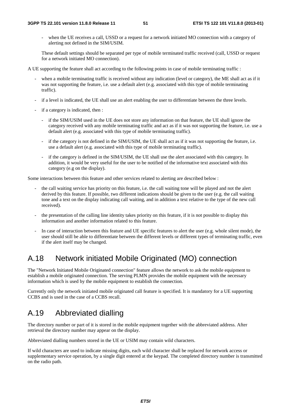when the UE receives a call, USSD or a request for a network initiated MO connection with a category of alerting not defined in the SIM/USIM.

 These default settings should be separated per type of mobile terminated traffic received (call, USSD or request for a network initiated MO connection).

A UE supporting the feature shall act according to the following points in case of mobile terminating traffic :

- when a mobile terminating traffic is received without any indication (level or category), the ME shall act as if it was not supporting the feature, i.e. use a default alert (e.g. associated with this type of mobile terminating traffic).
- if a level is indicated, the UE shall use an alert enabling the user to differentiate between the three levels.
- if a category is indicated, then :
	- if the SIM/USIM used in the UE does not store any information on that feature, the UE shall ignore the category received with any mobile terminating traffic and act as if it was not supporting the feature, i.e. use a default alert (e.g. associated with this type of mobile terminating traffic).
	- if the category is not defined in the SIM/USIM, the UE shall act as if it was not supporting the feature, i.e. use a default alert (e.g. associated with this type of mobile terminating traffic).
	- if the category is defined in the SIM/USIM, the UE shall use the alert associated with this category. In addition, it would be very useful for the user to be notified of the informative text associated with this category (e.g on the display).

Some interactions between this feature and other services related to alerting are described below :

- the call waiting service has priority on this feature, i.e. the call waiting tone will be played and not the alert derived by this feature. If possible, two different indications should be given to the user (e.g. the call waiting tone and a text on the display indicating call waiting, and in addition a text relative to the type of the new call received).
- the presentation of the calling line identity takes priority on this feature, if it is not possible to display this information and another information related to this feature.
- In case of interaction between this feature and UE specific features to alert the user (e.g. whole silent mode), the user should still be able to differentiate between the different levels or different types of terminating traffic, even if the alert itself may be changed.

#### A.18 Network initiated Mobile Originated (MO) connection

The "Network Initiated Mobile Originated connection" feature allows the network to ask the mobile equipment to establish a mobile originated connection. The serving PLMN provides the mobile equipment with the necessary information which is used by the mobile equipment to establish the connection.

Currently only the network initiated mobile originated call feature is specified. It is mandatory for a UE supporting CCBS and is used in the case of a CCBS recall.

## A.19 Abbreviated dialling

The directory number or part of it is stored in the mobile equipment together with the abbreviated address. After retrieval the directory number may appear on the display.

Abbreviated dialling numbers stored in the UE or USIM may contain wild characters.

If wild characters are used to indicate missing digits, each wild character shall be replaced for network access or supplementary service operation, by a single digit entered at the keypad. The completed directory number is transmitted on the radio path.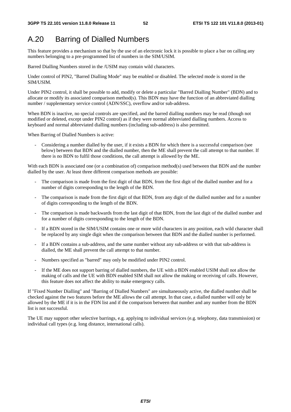# A.20 Barring of Dialled Numbers

This feature provides a mechanism so that by the use of an electronic lock it is possible to place a bar on calling any numbers belonging to a pre-programmed list of numbers in the SIM/USIM.

Barred Dialling Numbers stored in the /USIM may contain wild characters.

Under control of PIN2, "Barred Dialling Mode" may be enabled or disabled. The selected mode is stored in the SIM/USIM.

Under PIN2 control, it shall be possible to add, modify or delete a particular "Barred Dialling Number" (BDN) and to allocate or modify its associated comparison method(s). This BDN may have the function of an abbreviated dialling number / supplementary service control (ADN/SSC), overflow and/or sub-address.

When BDN is inactive, no special controls are specified, and the barred dialling numbers may be read (though not modified or deleted, except under PIN2 control) as if they were normal abbreviated dialling numbers. Access to keyboard and normal abbreviated dialling numbers (including sub-address) is also permitted.

When Barring of Dialled Numbers is active:

- Considering a number dialled by the user, if it exists a BDN for which there is a successful comparison (see below) between that BDN and the dialled number, then the ME shall prevent the call attempt to that number. If there is no BDN to fulfil those conditions, the call attempt is allowed by the ME.

With each BDN is associated one (or a combination of) comparison method(s) used between that BDN and the number dialled by the user. At least three different comparison methods are possible:

- The comparison is made from the first digit of that BDN, from the first digit of the dialled number and for a number of digits corresponding to the length of the BDN.
- The comparison is made from the first digit of that BDN, from any digit of the dialled number and for a number of digits corresponding to the length of the BDN.
- The comparison is made backwards from the last digit of that BDN, from the last digit of the dialled number and for a number of digits corresponding to the length of the BDN.
- If a BDN stored in the SIM/USIM contains one or more wild characters in any position, each wild character shall be replaced by any single digit when the comparison between that BDN and the dialled number is performed.
- If a BDN contains a sub-address, and the same number without any sub-address or with that sub-address is dialled, the ME shall prevent the call attempt to that number.
- Numbers specified as "barred" may only be modified under PIN2 control.
- If the ME does not support barring of dialled numbers, the UE with a BDN enabled USIM shall not allow the making of calls and the UE with BDN enabled SIM shall not allow the making or receiving of calls. However, this feature does not affect the ability to make emergency calls.

If "Fixed Number Dialling" and "Barring of Dialled Numbers" are simultaneously active, the dialled number shall be checked against the two features before the ME allows the call attempt. In that case, a dialled number will only be allowed by the ME if it is in the FDN list and if the comparison between that number and any number from the BDN list is not successful.

The UE may support other selective barrings, e.g. applying to individual services (e.g. telephony, data transmission) or individual call types (e.g. long distance, international calls).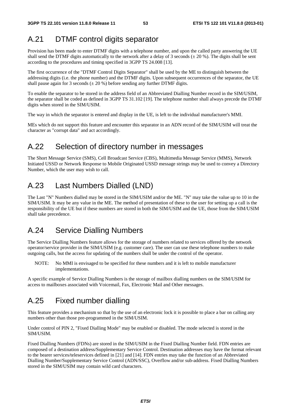## A.21 DTMF control digits separator

Provision has been made to enter DTMF digits with a telephone number, and upon the called party answering the UE shall send the DTMF digits automatically to the network after a delay of 3 seconds ( $\pm$  20 %). The digits shall be sent according to the procedures and timing specified in 3GPP TS 24.008 [13].

The first occurrence of the "DTMF Control Digits Separator" shall be used by the ME to distinguish between the addressing digits (i.e. the phone number) and the DTMF digits. Upon subsequent occurrences of the separator, the UE shall pause again for 3 seconds ( $\pm$  20 %) before sending any further DTMF digits.

To enable the separator to be stored in the address field of an Abbreviated Dialling Number record in the SIM/USIM, the separator shall be coded as defined in 3GPP TS 31.102 [19]. The telephone number shall always precede the DTMF digits when stored in the SIM/USIM.

The way in which the separator is entered and display in the UE, is left to the individual manufacturer's MMI.

MEs which do not support this feature and encounter this separator in an ADN record of the SIM/USIM will treat the character as "corrupt data" and act accordingly.

#### A.22 Selection of directory number in messages

The Short Message Service (SMS), Cell Broadcast Service (CBS), Multimedia Message Service (MMS), Network Initiated USSD or Network Response to Mobile Originated USSD message strings may be used to convey a Directory Number, which the user may wish to call.

## A.23 Last Numbers Dialled (LND)

The Last "N" Numbers dialled may be stored in the SIM/USIM and/or the ME. "N" may take the value up to 10 in the SIM/USIM. It may be any value in the ME. The method of presentation of these to the user for setting up a call is the responsibility of the UE but if these numbers are stored in both the SIM/USIM and the UE, those from the SIM/USIM shall take precedence.

## A.24 Service Dialling Numbers

The Service Dialling Numbers feature allows for the storage of numbers related to services offered by the network operator/service provider in the SIM/USIM (e.g. customer care). The user can use these telephone numbers to make outgoing calls, but the access for updating of the numbers shall be under the control of the operator.

NOTE: No MMI is envisaged to be specified for these numbers and it is left to mobile manufacturer implementations.

A specific example of Service Dialling Numbers is the storage of mailbox dialling numbers on the SIM/USIM for access to mailboxes associated with Voicemail, Fax, Electronic Mail and Other messages.

## A.25 Fixed number dialling

This feature provides a mechanism so that by the use of an electronic lock it is possible to place a bar on calling any numbers other than those pre-programmed in the SIM/USIM.

Under control of PIN 2, "Fixed Dialling Mode" may be enabled or disabled. The mode selected is stored in the SIM/USIM.

Fixed Dialling Numbers (FDNs) are stored in the SIM/USIM in the Fixed Dialling Number field. FDN entries are composed of a destination address/Supplementary Service Control. Destination addresses may have the format relevant to the bearer services/teleservices defined in [21] and [14]. FDN entries may take the function of an Abbreviated Dialling Number/Supplementary Service Control (ADN/SSC), Overflow and/or sub-address. Fixed Dialling Numbers stored in the SIM/USIM may contain wild card characters.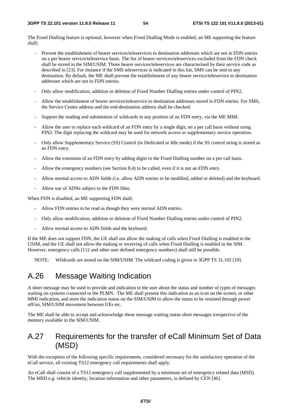The Fixed Dialling feature is optional, however when Fixed Dialling Mode is enabled, an ME supporting the feature shall;

- Prevent the establishment of bearer services/teleservices to destination addresses which are not in FDN entries on a per bearer service/teleservice basis. The list of bearer services/teleservices excluded from the FDN check shall be stored in the SIM/USIM. Those bearer services/teleservices are characterised by their service code as described in [23]. For instance if the SMS teleservices is indicated in this list, SMS can be sent to any destination. By default, the ME shall prevent the establishment of any bearer service/teleservice to destination addresses which are not in FDN entries.
- Only allow modification, addition or deletion of Fixed Number Dialling entries under control of PIN2.
- Allow the establishment of bearer services/teleservice to destination addresses stored in FDN entries. For SMS, the Service Center address and the end-destination address shall be checked.
- Support the reading and substitution of wildcards in any position of an FDN entry, via the ME MMI.
- Allow the user to replace each wildcard of an FDN entry by a single digit, on a per call basis without using PIN2. The digit replacing the wildcard may be used for network access or supplementary service operation.
- Only allow Supplementary Service (SS) Control (in Dedicated or Idle mode) if the SS control string is stored as an FDN entry.
- Allow the extension of an FDN entry by adding digits to the Fixed Dialling number on a per call basis.
- Allow the emergency numbers (see Section 8.4) to be called, even if it is not an FDN entry.
- Allow normal access to ADN fields (i.e. allow ADN entries to be modified, added or deleted) and the keyboard.
- Allow use of ADNs subject to the FDN filter.

When FDN is disabled, an ME supporting FDN shall;

- Allow FDN entries to be read as though they were normal ADN entries.
- Only allow modification, addition or deletion of Fixed Number Dialling entries under control of PIN2.
- Allow normal access to ADN fields and the keyboard.

If the ME does not support FDN, the UE shall not allow the making of calls when Fixed Dialling is enabled in the USIM, and the UE shall not allow the making or receiving of calls when Fixed Dialling is enabled in the SIM. However, emergency calls (112 and other user defined emergency numbers) shall still be possible.

NOTE: Wildcards are stored on the SIM/USIM. The wildcard coding is given in 3GPP TS 31.102 [19].

## A.26 Message Waiting Indication

A short message may be used to provide and indication to the user about the status and number of types of messages waiting on systems connected to the PLMN. The ME shall present this indication as an icon on the screen, or other MMI indication, and store the indication status on the SIM/USIM to allow the status to be retained through power off/on, SIM/USIM movement between UEs etc.

The ME shall be able to accept and acknowledge these message waiting status short messages irrespective of the memory available in the SIM/USIM.

## A.27 Requirements for the transfer of eCall Minimum Set of Data (MSD)

With the exception of the following specific requirements, considered necessary for the satisfactory operation of the eCall service, all existing TS12 emergency call requirements shall apply.

An eCall shall consist of a TS12 emergency call supplemented by a minimum set of emergency related data (MSD). The MSD e.g. vehicle identity, location information and other parameters, is defined by CEN [46].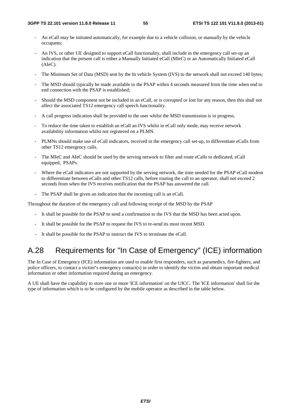- An eCall may be initiated automatically, for example due to a vehicle collision, or manually by the vehicle occupants;
- An IVS, or other UE designed to support eCall functionality, shall include in the emergency call set-up an indication that the present call is either a Manually Initiated eCall (MIeC) or an Automatically Initiated eCall (AIeC).
- The Minimum Set of Data (MSD) sent by the In vehicle System (IVS) to the network shall not exceed 140 bytes;
- The MSD should typically be made available to the PSAP within 4 seconds measured from the time when end to end connection with the PSAP is established;
- Should the MSD component not be included in an eCall, or is corrupted or lost for any reason, then this shall not affect the associated TS12 emergency call speech functionality.
- A call progress indication shall be provided to the user whilst the MSD transmission is in progress.
- To reduce the time taken to establish an eCall an IVS whilst in eCall only mode, may receive network availability information whilst not registered on a PLMN.
- PLMNs should make use of eCall indicators, received in the emergency call set-up, to differentiate eCalls from other TS12 emergency calls.
- The MIeC and AIeC should be used by the serving network to filter and route eCalls to dedicated, eCall equipped, PSAPs.
- Where the eCall indicators are not supported by the serving network, the time needed for the PSAP eCall modem to differentiate between eCalls and other TS12 calls, before routing the call to an operator, shall not exceed 2 seconds from when the IVS receives notification that the PSAP has answered the call.
- The PSAP shall be given an indication that the incoming call is an eCall.

Throughout the duration of the emergency call and following receipt of the MSD by the PSAP

- It shall be possible for the PSAP to send a confirmation to the IVS that the MSD has been acted upon.
- It shall be possible for the PSAP to request the IVS to re-send its most recent MSD.
- It shall be possible for the PSAP to instruct the IVS to terminate the eCall.

## A.28 Requirements for "In Case of Emergency" (ICE) information

The In Case of Emergency (ICE) information are used to enable first responders, such as paramedics, fire-fighters, and police officers, to contact a victim"s emergency contact(s) in order to identify the victim and obtain important medical information or other information required during an emergency.

A UE shall have the capability to store one or more 'ICE information' on the UICC. The 'ICE information' shall list the type of information which is to be configured by the mobile operator as described in the table below.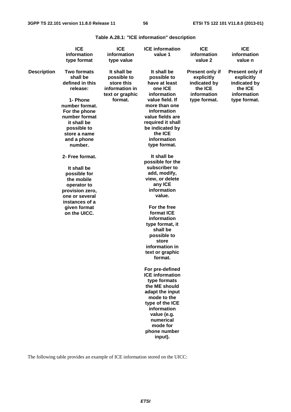**Table A.28.1: "ICE information" description** 

|                    | <b>ICE</b><br>information<br>type format                                                                                                                                                                                                                                                                                                                                    | <b>ICE</b><br>information<br>type value                                                  | <b>ICE</b> information<br>value 1                                                                                                                                                                                                                                                                                                                                                                                                                                                                                                                                                                                                                                                                                                  | <b>ICE</b><br>information<br>value 2                                                           | <b>ICE</b><br>information<br>value n                                                    |  |
|--------------------|-----------------------------------------------------------------------------------------------------------------------------------------------------------------------------------------------------------------------------------------------------------------------------------------------------------------------------------------------------------------------------|------------------------------------------------------------------------------------------|------------------------------------------------------------------------------------------------------------------------------------------------------------------------------------------------------------------------------------------------------------------------------------------------------------------------------------------------------------------------------------------------------------------------------------------------------------------------------------------------------------------------------------------------------------------------------------------------------------------------------------------------------------------------------------------------------------------------------------|------------------------------------------------------------------------------------------------|-----------------------------------------------------------------------------------------|--|
| <b>Description</b> | <b>Two formats</b><br>shall be<br>defined in this<br>release:<br>1- Phone<br>number format.<br>For the phone<br>number format<br>it shall be<br>possible to<br>store a name<br>and a phone<br>number.<br>2- Free format.<br>It shall be<br>possible for<br>the mobile<br>operator to<br>provision zero,<br>one or several<br>instances of a<br>given format<br>on the UICC. | It shall be<br>possible to<br>store this<br>information in<br>text or graphic<br>format. | It shall be<br>possible to<br>have at least<br>one ICE<br>information<br>value field. If<br>more than one<br>information<br>value fields are<br>required it shall<br>be indicated by<br>the ICE<br>information<br>type format.<br>It shall be<br>possible for the<br>subscriber to<br>add, modify,<br>view, or delete<br>any ICE<br>information<br>value.<br>For the free<br>format ICE<br>information<br>type format, it<br>shall be<br>possible to<br>store<br>information in<br>text or graphic<br>format.<br>For pre-defined<br><b>ICE</b> information<br>type formats<br>the ME should<br>adapt the input<br>mode to the<br>type of the ICE<br>information<br>value (e.g.<br>numerical<br>mode for<br>phone number<br>input). | <b>Present only if</b><br>explicitly<br>indicated by<br>the ICE<br>information<br>type format. | Present only if<br>explicitly<br>indicated by<br>the ICE<br>information<br>type format. |  |

The following table provides an example of ICE information stored on the UICC: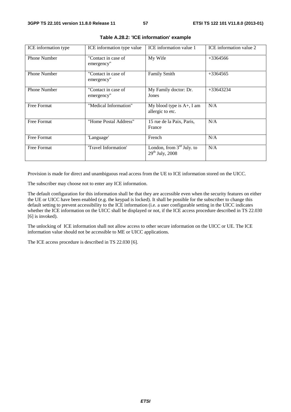| ICE information type | ICE information type value        | ICE information value 1                             | ICE information value 2 |
|----------------------|-----------------------------------|-----------------------------------------------------|-------------------------|
| <b>Phone Number</b>  | "Contact in case of<br>emergency" | My Wife                                             | $+3364566$              |
| <b>Phone Number</b>  | "Contact in case of<br>emergency" | <b>Family Smith</b>                                 | $+3364565$              |
| <b>Phone Number</b>  | "Contact in case of<br>emergency" | My Family doctor: Dr.<br>Jones                      | $+33643234$             |
| Free Format          | "Medical Information"             | My blood type is $A+$ , I am<br>allergic to etc.    | N/A                     |
| Free Format          | "Home Postal Address"             | 15 rue de la Paix, Paris,<br>France                 | N/A                     |
| <b>Free Format</b>   | 'Language'                        | French                                              | N/A                     |
| Free Format          | "Travel Information"              | London, from $3rd$ July. to<br>$29^{th}$ July, 2008 | N/A                     |

|  |  |  | Table A.28.2: 'ICE information' example |  |
|--|--|--|-----------------------------------------|--|
|--|--|--|-----------------------------------------|--|

Provision is made for direct and unambiguous read access from the UE to ICE information stored on the UICC.

The subscriber may choose not to enter any ICE information.

The default configuration for this information shall be that they are accessible even when the security features on either the UE or UICC have been enabled (e.g. the keypad is locked). It shall be possible for the subscriber to change this default setting to prevent accessibility to the ICE information (i.e. a user configurable setting in the UICC indicates whether the ICE information on the UICC shall be displayed or not, if the ICE access procedure described in TS 22.030 [6] is invoked).

The unlocking of ICE information shall not allow access to other secure information on the UICC or UE. The ICE information value should not be accessible to ME or UICC applications.

The ICE access procedure is described in TS 22.030 [6].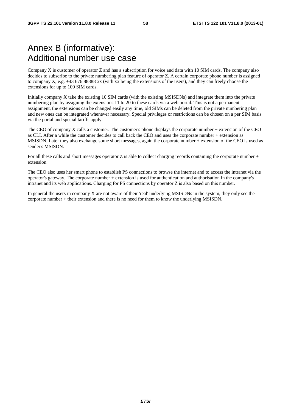# Annex B (informative): Additional number use case

Company X is customer of operator Z and has a subscription for voice and data with 10 SIM cards. The company also decides to subscribe to the private numbering plan feature of operator Z. A certain corporate phone number is assigned to company X, e.g. +43 676 88888 xx (with xx being the extensions of the users), and they can freely choose the extensions for up to 100 SIM cards.

Initially company X take the existing 10 SIM cards (with the existing MSISDNs) and integrate them into the private numbering plan by assigning the extensions 11 to 20 to these cards via a web portal. This is not a permanent assignment, the extensions can be changed easily any time, old SIMs can be deleted from the private numbering plan and new ones can be integrated whenever necessary. Special privileges or restrictions can be chosen on a per SIM basis via the portal and special tariffs apply.

The CEO of company X calls a customer. The customer's phone displays the corporate number + extension of the CEO as CLI. After a while the customer decides to call back the CEO and uses the corporate number + extension as MSISDN. Later they also exchange some short messages, again the corporate number + extension of the CEO is used as sender's MSISDN.

For all these calls and short messages operator  $Z$  is able to collect charging records containing the corporate number + extension.

The CEO also uses her smart phone to establish PS connections to browse the internet and to access the intranet via the operator's gateway. The corporate number + extension is used for authentication and authorisation in the company's intranet and its web applications. Charging for PS connections by operator Z is also based on this number.

In general the users in company X are not aware of their 'real' underlying MSISDNs in the system, they only see the corporate number + their extension and there is no need for them to know the underlying MSISDN.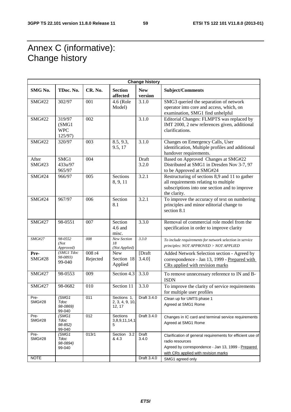# Annex C (informative): Change history

r

| <b>Change history</b>  |                                           |                    |                                          |                       |                                                                                                                                                                             |  |  |  |  |  |
|------------------------|-------------------------------------------|--------------------|------------------------------------------|-----------------------|-----------------------------------------------------------------------------------------------------------------------------------------------------------------------------|--|--|--|--|--|
| SMG No.                | TDoc. No.                                 | CR. No.            | <b>Section</b><br>affected               | <b>New</b><br>version | Subject/Comments                                                                                                                                                            |  |  |  |  |  |
| <b>SMG#22</b>          | 302/97                                    | 001                | 4.6 (Role<br>Model)                      | 3.1.0                 | SMG3 queried the separation of network<br>operator into core and access, which, on<br>examination, SMG1 find unhelpful                                                      |  |  |  |  |  |
| <b>SMG#22</b>          | 319/97<br>(SMG1)<br><b>WPC</b><br>125/97) | 002                |                                          | $\overline{3.1.0}$    | Editorial Changes: FLMPTS was replaced by<br>IMT 2000, 2 new references given, additional<br>clarifications.                                                                |  |  |  |  |  |
| <b>SMG#22</b>          | 320/97                                    | 003                | 8.5, 9.3,<br>9.5, 17                     | 3.1.0                 | Changes on Emergency Calls, User<br>identification, Multiple profiles and additional<br>handover requirements.                                                              |  |  |  |  |  |
| After<br><b>SMG#23</b> | SMG1<br>433u/97<br>965/97                 | 004                |                                          | Draft<br>3.2.0        | Based on Approved Changes at SMG#22<br>Distributed at SMG1 in Dresden Nov 3-7, 97<br>to be Approved at SMG#24                                                               |  |  |  |  |  |
| <b>SMG#24</b>          | 966/97                                    | 005                | Sections<br>8, 9, 11                     | 3.2.1                 | Restructuring of sections 8,9 and 11 to gather<br>all requirements relating to multiple<br>subscriptions into one section and to improve<br>the clarity.                    |  |  |  |  |  |
| <b>SMG#24</b>          | 967/97                                    | 006                | Section<br>8.1                           | 3.2.1                 | To improve the accuracy of text on numbering<br>principles and minor editorial change to<br>section 8.1                                                                     |  |  |  |  |  |
| <b>SMG#27</b>          | 98-0551                                   | 007                | Section<br>4.6 and<br>misc.              | 3.3.0                 | Removal of commercial role model from the<br>specification in order to improve clarity                                                                                      |  |  |  |  |  |
| $SMG\#27$              | 98-0552<br>(Not<br>Approved)              | 008                | New Section<br>18<br>(Not Applied)       | 3.3.0                 | To include requirements for network selection in service<br>principles: NOT APPROVED > NOT APPLIED                                                                          |  |  |  |  |  |
| Pre-<br><b>SMG#28</b>  | (SMG1 Tdoc<br>98-0893)<br>99-040          | 008 r4<br>Rejected | <b>New</b><br>Section 18<br>Applied      | [Draft<br>3.4.0]      | Added Network Selection section - Agreed by<br>correspondence - Jan 13, 1999 - Prepared with<br>CRs applied with revision marks                                             |  |  |  |  |  |
| <b>SMG#27</b>          | 98-0553                                   | 009                | Section 4.3                              | 3.3.0                 | To remove unnecessary reference to IN and B-<br><b>ISDN</b>                                                                                                                 |  |  |  |  |  |
| <b>SMG#27</b>          | 98-0682                                   | 010                | Section 11                               | 3.3.0                 | To improve the clarity of service requirements<br>for multiple user profiles                                                                                                |  |  |  |  |  |
| Pre-<br><b>SMG#28</b>  | (SMG1<br>Tdoc<br>98-0869)<br>99-040       | 011                | Sections 1.<br>2, 3, 4, 9, 10,<br>12, 17 | Draft 3.4.0           | Clean up for UMTS phase 1<br>Agreed at SMG1 Rome                                                                                                                            |  |  |  |  |  |
| Pre-<br><b>SMG#28</b>  | (SMG1)<br>Tdoc<br>98-852)<br>99-040       | 012                | Sections<br>3,8,9,11,14,1<br>5           | Draft 3.4.0           | Changes in IC card and terminal service requirements<br>Agreed at SMG1 Rome                                                                                                 |  |  |  |  |  |
| Pre-<br><b>SMG#28</b>  | (SMG1)<br>Tdoc<br>98-0894)<br>99-040      | 013r1              | Section<br>3.2<br>& 4.3                  | Draft<br>3.4.0        | Clarification of general requirements for efficient use of<br>radio resources<br>Agreed by correspondence - Jan 13, 1999 - Prepared<br>with CRs applied with revision marks |  |  |  |  |  |
| <b>NOTE</b>            |                                           |                    |                                          | Draft 3.4.0           | SMG1 agreed only                                                                                                                                                            |  |  |  |  |  |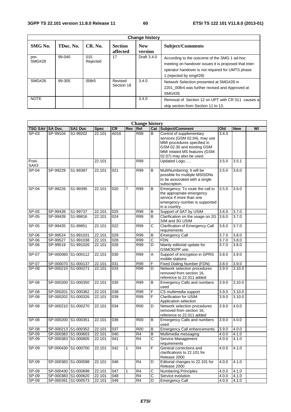| <b>Change history</b> |           |                 |                            |                       |                                                                                                                                                                                      |  |  |  |
|-----------------------|-----------|-----------------|----------------------------|-----------------------|--------------------------------------------------------------------------------------------------------------------------------------------------------------------------------------|--|--|--|
| SMG No.               | TDoc. No. | CR. No.         | <b>Section</b><br>affected | <b>New</b><br>version | <b>Subject/Comments</b>                                                                                                                                                              |  |  |  |
| pre-<br><b>SMG#28</b> | 99-040    | 015<br>Rejected | 17                         | Draft 3.4.0           | According to the outcome of the SMG 1 ad-hoc<br>meeting on handover issues it is proposed that inter-<br>operator handover is not required for UMTS phase<br>1. (rejected by smg#28) |  |  |  |
| <b>SMG#28</b>         | 99-305    | 008r5           | Revised<br>Section 18      | 3.4.0                 | Network Selection presented at SMG#28 in<br>2201 008r4 was further revised and Approved at<br>SMG#28.                                                                                |  |  |  |
| <b>NOTE</b>           |           |                 |                            | 3.4.0                 | Removal of Section 12 on UPT with CR 011 causes a<br>skip section from Section 11 to 13.                                                                                             |  |  |  |

|                | <b>Change history</b> |                     |             |                  |     |                |                         |                                                                                                                                                                                    |       |            |    |
|----------------|-----------------------|---------------------|-------------|------------------|-----|----------------|-------------------------|------------------------------------------------------------------------------------------------------------------------------------------------------------------------------------|-------|------------|----|
| <b>TSG SA#</b> | <b>SA Doc.</b>        | SA1 Doc             | <b>Spec</b> | CR               | Rev | Rel            |                         | <b>Cat Subject/Comment</b>                                                                                                                                                         | Old   | <b>New</b> | WI |
| $SP-03$        | SP-99104              | S1-99202            | 22.101      | A016             |     | R99            | В                       | Control of supplementary<br>services (GSM 02.04), may use<br>MMI procedures specified in<br>GSM 02.30 and existing GSM<br>MMI related MS features (GSM<br>02.07) may also be used. | 3.4.0 |            |    |
| Post-<br>SA#3  |                       |                     | 22.101      |                  |     | R99            |                         | Updated Logo,                                                                                                                                                                      | 3.5.0 | 3.5.1      |    |
| $SP-04$        | SP-99229              | S1-99387            | 22.101      | $\overline{021}$ |     | R99            | B                       | MultiNumbering: It will be<br>possible for multiple MSISDNs<br>to be associated with a single<br>subscription.                                                                     | 3.5.0 | 3.6.0      |    |
| SP-04          | SP-99226              | S1-99395            | 22.101      | 020              | 7   | <b>R99</b>     | B                       | Emergency: To route the call to<br>the appropriate emergency<br>service if more than one<br>emergency number is supported<br>in a country.                                         | 3.5.0 | 3.6.0      |    |
| SP-05          | SP-99439              | S1-99737            | 22.101      | 025              |     | R99            | B                       | Support of SAT by USIM                                                                                                                                                             | 3.6.0 | 3.7.0      |    |
| $S P - 05$     | SP-99439              | S1-99816            | 22.101      | 024              |     | R99            | в                       | Clarification on the usage on 2G<br>SIM and 3G USIM                                                                                                                                | 3.6.0 | 3.7.0      |    |
| SP-05          | SP-99435              | S1-99851            | 22.101      | 022              |     | R99            | C                       | <b>Clarification of Emergency Call</b><br>requirements                                                                                                                             | 3.6.0 | 3.7.0      |    |
| SP-06          | SP-99524              | S1-991031           | 22.101      | 029              |     | R99            | B                       | <b>Emergency Call</b>                                                                                                                                                              | 3.7.0 | 3.8.0      |    |
| $SP-06$        | SP-99527              | S1-991038           | 22.101      | 028              |     | R99            | $\overline{\text{c}}$   | <b>FDN</b>                                                                                                                                                                         | 3.7.0 | 3.8.0      |    |
| SP-06          | SP-99519              | S1-991026           | 22.101      | 026              |     | R99            | D                       | Mainly editorial update for<br>GSM/3GPP use.                                                                                                                                       | 3.7.0 | 3.8.0      |    |
| SP-07          |                       | SP-000060 S1-000112 | 22.101      | 030              |     | R99            | Α                       | Support of encryption in GPRS<br>mobile stations                                                                                                                                   | 3.8.0 | 3.9.0      |    |
| SP-07          | SP-000070 S1-000137   |                     | 22.101      | 031              |     | R99            | F                       | <b>Fixed Dialing Number (FDN)</b>                                                                                                                                                  | 3.8.0 | 3.9.0      |    |
| SP-08          |                       | SP-000210 S1-000271 | 22.101      | 033              |     | R99            | D                       | Network selection procedures<br>removed from section 16,<br>reference to 22.011 added                                                                                              | 3.9.0 | 3.10.0     |    |
| SP-08          |                       | SP-000200 S1-000350 | 22.101      | 035              |     | R99            | B                       | <b>Emergency Calls and numbers</b><br>used                                                                                                                                         | 3.9.0 | 3.10.0     |    |
| SP-08          |                       | SP-000201 S1-000362 | 22.101      | 038              |     | R99            | F                       | CS multimedia support                                                                                                                                                              | 3.9.0 | 3.10.0     |    |
| <b>SP-08</b>   |                       | SP-000202 S1-000326 | 22.101      | 039              |     | R99            | F                       | <b>Clarification for USIM</b><br>Application selection                                                                                                                             | 3.9.0 | 3.10.0     |    |
| SP-08          |                       | SP-000210 S1-000270 | 22.101      | 034              |     | <b>R00</b>     | D                       | Network selection procedures<br>removed from section 16,<br>reference to 22.011 added                                                                                              | 3.9.0 | 4.0.0      |    |
| SP-08          | SP-000200 S1-000351   |                     | 22.101      | 036              |     | <b>R00</b>     | B                       | Emergency Calls and numbers<br>used                                                                                                                                                | 3.9.0 | 4.0.0      |    |
| SP-08          |                       | SP-000213 S1-000352 | 22.101      | 037              |     | <b>R00</b>     | B                       | <b>Emergency Call enhancements</b>                                                                                                                                                 | 3.9.0 | 4.0.0      |    |
| $SP-09$        |                       | SP-000383 S1-000603 | 22.101      | 040              |     | R <sub>4</sub> | B                       | Multimedia messaging                                                                                                                                                               | 4.0.0 | 4.1.0      |    |
| $SP-09$        |                       | SP-000383 S1-000605 | 22.101      | 041              |     | R4             | C                       | Service Management<br>requirements                                                                                                                                                 | 4.0.0 | 4.1.0      |    |
| SP-09          |                       | SP-000430 S1-000700 | 22.101      | 042              | 1   | R <sub>4</sub> | F                       | General corrections and<br>clarifications to 22.101 for<br>Release 2000                                                                                                            | 4.0.0 | 4.1.0      |    |
| SP-09          |                       | SP-000383 S1-000598 | 22.101      | 046              |     | R <sub>4</sub> | D                       | Editorial changes to 22.101 for<br>Release 2000                                                                                                                                    | 4.0.0 | 4.1.0      |    |
| SP-09          |                       | SP-000430 S1-000698 | 22.101      | 047              | 1   | R <sub>4</sub> | С                       | <b>Numbering Principles</b>                                                                                                                                                        | 4.0.0 | 4.1.0      |    |
| SP-09          |                       | SP-000383 S1-000620 | 22.101      | 048              |     | R4             | $\overline{\mathsf{C}}$ | Service evolution                                                                                                                                                                  | 4.0.0 | 4.1.0      |    |
| <b>SP-09</b>   |                       | SP-000391 S1-000573 | 22.101      | 049              |     | R4             | D                       | <b>Emergency Call</b>                                                                                                                                                              | 4.0.0 | 4.1.0      |    |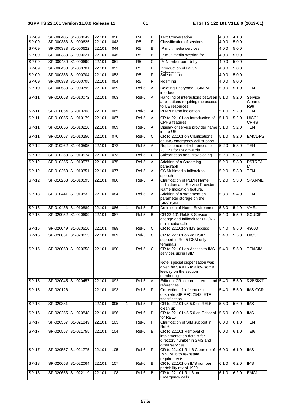| $SP-09$<br>$SP-09$ | SP-000405 S1-000649 | SP-000383 S1-000625 | 22.101<br>22.101 | 050<br>043       |   | R4<br>$\overline{R5}$ | B<br>F                | <b>Text Conversation</b><br><b>Classification of services</b>                                                                                                  | 4.0.0<br>4.0.0 | 4.1.0<br>5.0.0 |                            |
|--------------------|---------------------|---------------------|------------------|------------------|---|-----------------------|-----------------------|----------------------------------------------------------------------------------------------------------------------------------------------------------------|----------------|----------------|----------------------------|
| $SP-09$            | SP-000383 S1-000622 |                     | 22.101           | 044              |   | R5                    | B                     | IP multimedia services                                                                                                                                         | 4.0.0          | 5.0.0          |                            |
| SP-09              | SP-000383 S1-000621 |                     | 22.101           | 045              |   | $\overline{R5}$       | B                     | IP multimedia session for                                                                                                                                      | 4.0.0          | 5.0.0          |                            |
| $SP-09$            | SP-000430 S1-000699 |                     | 22.101           | $\overline{051}$ |   | R5                    | C                     | IM Number portability                                                                                                                                          | 4.0.0          | 5.0.0          |                            |
| $SP-09$            | SP-000430 S1-000701 |                     | 22.101           | 052              |   | $\overline{R5}$       | F                     | Introduction of IM CN                                                                                                                                          | 4.0.0          | 5.0.0          |                            |
| $SP-09$            | SP-000383 S1-000704 |                     | 22.101           | 053              |   | R5                    | F                     | Subscription                                                                                                                                                   | 4.0.0          | 5.0.0          |                            |
| $SP-09$            | SP-000383 S1-000705 |                     | 22.101           | 054              |   | R <sub>5</sub>        | F                     | Roaming                                                                                                                                                        | 4.0.0          | 5.0.0          |                            |
| $SP-10$            |                     | SP-000533 S1-000799 | 22.101           | 059              |   | $Rel-5$               | A                     | Deleting Encrypted USIM-ME                                                                                                                                     | 5.0.0          | 5.1.0          | TEI4                       |
|                    |                     |                     |                  |                  |   |                       |                       | interface                                                                                                                                                      |                |                |                            |
| $SP-11$            |                     | SP-010053 S1-010072 | 22.101           | $\overline{063}$ |   | Rel-5                 | Α                     | Handling of interactions between<br>applications requiring the access<br>to UE resources                                                                       | 5.1.0          | 5.2.0          | Service<br>Clean up<br>R99 |
| $SP-11$            | SP-010054 S1-010208 |                     | 22.101           | 065              |   | Rel-5                 | Α                     | PLMN name indication                                                                                                                                           | 5.1.0          | 5.2.0          | TEI4                       |
| SP-11              | SP-010055 S1-010179 |                     | 22.101           | 067              |   | Rel-5                 | A                     | CR to 22.101 on Introduction of<br><b>CPHS</b> features                                                                                                        | 5.1.0          | 5.2.0          | UICC1-<br><b>CPHS</b>      |
| $SP-11$            | SP-010056 S1-010210 |                     | 22.101           | 069              |   | Rel-5                 | A                     | Display of service provider name 5.1.0<br>in the UE                                                                                                            |                | 5.2.0          | TEI4                       |
| $SP-11$            | SP-010057 S1-010250 |                     | 22.101           | $\overline{070}$ |   | Rel-5                 | C                     | CR to 22.101 on Clarifications<br>on IMS emergency call support                                                                                                | 5.1.0          | 5.2.0          | EMC1-PS                    |
| $SP-12$            | SP-010262 S1-010505 |                     | 22.101           | $\overline{072}$ |   | Rel-5                 | A                     | Replacement of references to<br>23.121 for R4 onwards                                                                                                          | 5.2.0          | 5.3.0          | TEI4                       |
| $SP-12$            |                     | SP-010258 S1-010574 | 22.101           | $\overline{073}$ |   | Rel-5                 | $\overline{\text{c}}$ | Subscription and Provisioning                                                                                                                                  | 5.2.0          | 5.3.0          | TEI <sub>5</sub>           |
| SP-12              | SP-010255 S1-010577 |                     | 22.101           | 075              |   | Rel-5                 | Α                     | Addition of a Streaming<br>paragraph                                                                                                                           | 5.2.0          | 5.3.0          | <b>PSTREA</b><br>М         |
| $SP-12$            | SP-010263 S1-010351 |                     | 22.101           | $\overline{077}$ |   | $Rel-5$               | A                     | CS Multimedia fallback to<br>speech                                                                                                                            | 5.2.0          | 5.3.0          | TEI4                       |
| $SP-12$            |                     | SP-010253 S1-010595 | 22.101           | 080              |   | $Rel-5$               | A                     | <b>Clarification of PLMN Name</b><br>Indication and Service Provider<br>Name Indication feature.                                                               | 5.2.0          | 5.3.0          | <b>SPANME</b>              |
| SP-13              | SP-010441           | S1-010832           | 22.101           | 084              |   | Rel-5                 | Α                     | Addition of a statement on<br>parameter storage on the<br>SIM/USIM.                                                                                            | 5.3.0          | 5.4.0          | TEI4                       |
| $SP-13$            | SP-010436 S1-010889 |                     | 22.101           | 086              | 1 | Rel-5                 | F                     | Definition of Home Environment                                                                                                                                 | 5.3.0          | 5.4.0          | VHE <sub>1</sub>           |
| $SP-15$            | SP-020052 S1-020609 |                     | 22.101           | $\overline{087}$ |   | Rel-5                 | B                     | CR 22.101 Rel.5 B Service<br>change and fallback for UDI/RDI<br>multimedia calls                                                                               | 5.4.0          | 5.5.0          | <b>SCUDIF</b>              |
| SP-15              | SP-020049 S1-020510 |                     | 22.101           | 088              |   | Rel-5                 | $\mathsf C$           | CR to 22.101on IMS access                                                                                                                                      | 5.4.0          | 5.5.0          | 43000                      |
| SP-15              | SP-020051           | S1-020613           | 22.101           | 089              |   | $Rel-5$               | C                     | CR to 22.101 on on USIM<br>support in Rel-5 GSM only<br>terminals                                                                                              | 5.4.0          | 5.5.0          | UICC1                      |
| $SP-15$            |                     | SP-020050 S1-020658 | 22.101           | 090              |   | Rel-5                 | C                     | CR to 22.101 on Access to IMS<br>services using ISIM<br>Note: special dispensation was<br>given by SA #15 to allow some<br>leeway on the section<br>numbering. | 5.4.0          | 5.5.0          | <b>TEI/ISIM</b>            |
| SP-15              |                     | SP-020045 S1-020457 | 22.101           | 092              |   | $Rel-5$               | Α                     | Editorial CR to correct terms and 5.4.0<br>references                                                                                                          |                | 5.5.0          | <b>CORRECT</b>             |
| $SP-15$            | SP-020126           |                     | 22.101           | 093              |   | Rel-5                 | F                     | Correction of references to<br>obsolete SIP RFC 2543 IETF<br>specification                                                                                     | 5.4.0          | 5.5.0          | IMS-CCR                    |
| SP-16              | SP-020381           |                     | 22.101           | 095              | 1 | Rel-5                 | F                     | CR to 22.101 v5.5.0 on REL5<br>clean up                                                                                                                        | 5.5.0          | 5.6.0          | <b>IMS</b>                 |
| SP-16              |                     | SP-020255 S1-020848 | 22.101           | 096              |   | Rel-6                 | D                     | CR to 22.101 v5.5.0 on Editorial<br>for REL6                                                                                                                   | 5.5.0          | 6.0.0          | <b>IMS</b>                 |
| $SP-17$            |                     | SP-020557 S1-021849 | 22.101           | 103              |   | Rel-6                 | F                     | Clarification of SIM support in<br>Rel-6                                                                                                                       | 6.0.0          | 6.1.0          | TEI4                       |
| SP-17              | SP-020557 S1-021755 |                     | 22.101           | 104              |   | Rel-6                 | B                     | CR to 22.101 Removal of<br>implementation details for<br>directory number in SMS and<br>other services                                                         | 6.0.0          | 6.1.0          | TEI6                       |
| SP-17              | SP-020557 S1-021775 |                     | 22.101           | 105              |   | Rel-6                 | F                     | CR to 22.101 Rel-6 Clean up of<br>IMS Rel 6 to re-instate<br>requirements                                                                                      | 6.0.0          | 6.1.0          | <b>IMS</b>                 |
| SP-18              |                     | SP-020658 S1-022064 | 22.101           | 107              |   | Rel-6                 | В                     | CR to 22.101 on IMS number<br>portability rev of 1909                                                                                                          | 6.1.0          | 6.2.0          | <b>IMS</b>                 |
| SP-18              |                     | SP-020658 S1-022119 | 22.101           | 108              |   | Rel-6                 | B                     | CR to 22.101 Rel 6 on<br>Emergency calls                                                                                                                       | 6.1.0          | 6.2.0          | EMC1                       |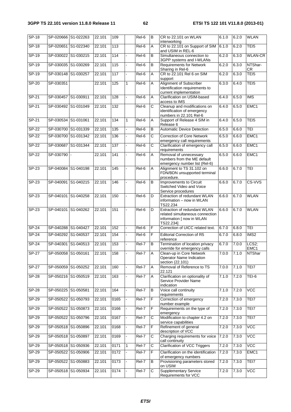| $SP-18$      |                     | SP-020666 S1-022263 | 22.101 | 109              |    | Rel-6   | $\overline{B}$        | CR to 22,101 on WLAN                                                                                      | 6.1.0 | 6.2.0 | <b>WLAN</b>               |
|--------------|---------------------|---------------------|--------|------------------|----|---------|-----------------------|-----------------------------------------------------------------------------------------------------------|-------|-------|---------------------------|
| $SP-18$      |                     | SP-020651 S1-022340 | 22.101 | $\overline{113}$ |    | Rel-6   | A                     | interworking<br>CR to 22.101 on Support of SIM                                                            | 6.1.0 | 6.2.0 | TEI <sub>5</sub>          |
| SP-19        |                     | SP-030022 S1-030215 | 22.101 | 114              |    | Rel-6   | B                     | and USIM in REL-6<br>Simultaneous connection to<br>3GPP systems and I-WLANs                               | 6.2.0 | 6.3.0 | <b>WLAN-CR</b>            |
| $SP-19$      | SP-030035 S1-030269 |                     | 22.101 | 115              |    | Rel-6   | В                     | <b>Requirements for Network</b><br>Sharing in Rel-6                                                       | 6.2.0 | 6.3.0 | NTShar-<br>CR             |
| SP-19        | SP-030148 S1-030257 |                     | 22.101 | 117              | L. | Rel-6   | A                     | CR to 22.101 Rel 6 on SIM<br>support                                                                      | 6.2.0 | 6.3.0 | TEI <sub>5</sub>          |
| $SP-20$      | SP-030351           |                     | 22.101 | 125              | 1  | Rel-6   | Α                     | <b>Alignment of Subscriber</b><br>Identification requirements to<br>current implementation                | 6.3.0 | 6.4.0 | TEI <sub>5</sub>          |
| $SP-21$      | SP-030457 S1-030911 |                     | 22.101 | 128              |    | Rel-6   | Α                     | Clarification on USIM-based<br>access to IMS                                                              | 6.4.0 | 6.5.0 | <b>IMS</b>                |
| $SP-21$      | SP-030492 S1-031049 |                     | 22.101 | 132              |    | Rel-6   | $\overline{\text{c}}$ | Cleanup and modifications on<br>identification of emergency<br>numbers in 22.101 Rel-6                    | 6.4.0 | 6.5.0 | EMC1                      |
| $SP-21$      | SP-030534 S1-031061 |                     | 22.101 | 134              | 1  | Rel-6   | Α                     | Support of Release 4 SIM in<br>Release 6                                                                  | 6.4.0 | 6.5.0 | TEI <sub>5</sub>          |
| $SP-22$      |                     | SP-030700 S1-031339 | 22.101 | 135              |    | Rel-6   | B                     | <b>Automatic Device Detection</b>                                                                         | 6.5.0 | 6.6.0 | <b>TEI</b>                |
| <b>SP-22</b> |                     | SP-030700 S1-031342 | 22.101 | 136              |    | $Rel-6$ | $\overline{\text{c}}$ | <b>Correction of Core Network</b><br>emergency call requirements                                          | 6.5.0 | 6.6.0 | EMC1                      |
| $SP-22$      |                     | SP-030687 S1-031344 | 22.101 | 137              |    | Rel-6   | С                     | Clarification of emergency call<br>requirements                                                           | 6.5.0 | 6.6.0 | EMC1                      |
| $SP-22$      | SP-030790           |                     | 22.101 | 141              |    | Rel-6   | A                     | Removal of unnecessary<br>numbers from the ME default<br>emergency number list (Rel-6)                    | 6.5.0 | 6.6.0 | EMC1                      |
| $SP-23$      |                     | SP-040084 S1-040198 | 22.101 | 145              |    | Rel-6   | Α                     | Alignment to TS 31.102 on<br>FDN/BDN unsupported terminal<br>procedure.                                   | 6.6.0 | 6.7.0 | <b>TEI</b>                |
| $SP-23$      | SP-040091           | S1-040215           | 22.101 | 146              |    | Rel-6   | В                     | Improvements to Circuit<br>Switched Video and Voice<br>Service procedures                                 | 6.6.0 | 6.7.0 | CS-VVS                    |
| SP-23        |                     | SP-040101 S1-040258 | 22.101 | 150              |    | Rel-6   | D                     | Extraction of redundant WLAN<br>information - now in WLAN<br>TS22.234                                     | 6.6.0 | 6.7.0 | <b>WLAN</b>               |
| SP-23        |                     | SP-040101 S1-040262 | 22.101 | 151              |    | Rel-6   | D                     | Extraction of redundant WLAN<br>related simultaneous connection<br>information [ now in WLAN<br>TS22.234] | 6.6.0 | 6.7.0 | <b>WLAN</b>               |
| $SP-24$      |                     | SP-040288 S1-040427 | 22.101 | 152              |    | Rel-6   | F                     | Correction of UICC related text.                                                                          | 6.7.0 | 6.8.0 | TEI                       |
| <b>SP-24</b> | SP-040292 S1-040537 |                     | 22.101 | 154              |    | Rel-6   | F                     | <b>Editorial Correction of R5</b><br>reference                                                            | 6.7.0 | 6.8.0 | IMS2                      |
| $SP-24$      | SP-040301           | S1-040513           | 22.101 | 153              |    | Rel-7   | $\overline{B}$        | Termination of location privacy<br>override for emergency calls                                           | 6.7.0 | 7.0.0 | LCS2;<br>EMC <sub>1</sub> |
| <b>SP-27</b> |                     | SP-050058 S1-050161 | 22.101 | 158              |    | Rel-7   | <b>IA</b>             | Clean-up in Core Network<br><b>Operator Name Indication</b><br>section (22.101)                           | 7.0.0 | 7.1.0 | NTShar                    |
| $SP-27$      |                     | SP-050059 S1-050252 | 22.101 | 160              |    | Rel-7   | Α                     | Removal of Reference to TS<br>22.121                                                                      | 7.0.0 | 7.1.0 | TEI7                      |
| <b>SP-28</b> |                     | SP-050216 S1-050519 | 22.101 | 163              |    | Rel-7   | Α                     | Clarification on optionality of<br>Service Provider Name<br>indication                                    | 7.1.0 | 7.2.0 | TEI-6                     |
| $SP-28$      | SP-050225 S1-050581 |                     | 22.101 | 164              |    | Rel-7   | В                     | Voice call continuity<br>requirements                                                                     | 7.1.0 | 7.2.0 | <b>VCC</b>                |
| $SP-29$      |                     | SP-050522 S1-050793 | 22.101 | 0165             |    | Rel-7   | F                     | Correction of emergency<br>number example                                                                 | 7.2.0 | 7.3.0 | TEI7                      |
| SP-29        |                     | SP-050522 S1-050873 | 22.101 | 0166             |    | Rel-7   | F                     | Requirements on the type of<br>emergency                                                                  | 7.2.0 | 7.3.0 | TEI7                      |
| $SP-29$      |                     | SP-050522 S1-050796 | 22.101 | 0167             |    | Rel-7   | $\overline{C}$        | Modification to chapter 4.2 on<br>service capabilities                                                    | 7.2.0 | 7.3.0 | TEI7                      |
| $SP-29$      |                     | SP-050518 S1-050896 | 22.101 | 0168             |    | $Rel-7$ | F                     | Refinement of general<br>description of VCC                                                               | 7.2.0 | 7.3.0 | <b>VCC</b>                |
| $SP-29$      |                     | SP-050518 S1-050897 | 22.101 | 0169             |    | Rel-7   | C                     | Charging requirements for voice<br>call continuity                                                        | 7.2.0 | 7.3.0 | <b>VCC</b>                |
| SP-29        |                     | SP-050518 S1-050936 | 22.101 | 0171             | 1  | Rel-7   | C                     | <b>Clarification of VCC Triggers</b>                                                                      | 7.2.0 | 7.3.0 | <b>VCC</b>                |
| $SP-29$      |                     | SP-050522 S1-050906 | 22.101 | 0172             |    | Rel-7   | F                     | Clarification on the identification<br>of emergency numbers                                               | 7.2.0 | 7.3.0 | EMC1                      |
| $SP-29$      |                     | SP-050522 S1-050883 | 22.101 | 0173             |    | Rel-7   | В                     | Provisioning parameters stored<br>on USIM                                                                 | 7.2.0 | 7.3.0 | TEI7                      |
| $SP-29$      |                     | SP-050518 S1-050934 | 22.101 | 0174             |    | Rel-7   | $\overline{C}$        | <b>Supplementary Service</b><br>Requirements for VCC                                                      | 7.2.0 | 7.3.0 | <b>VCC</b>                |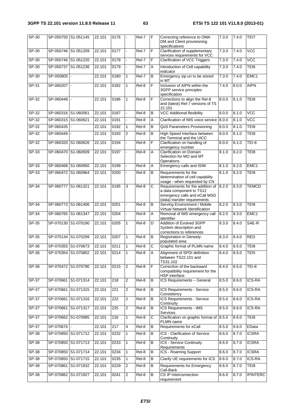| $SP-30$      |                     | SP-050750 S1-051145 | 22.101 | 0176 |                | Rel-7   | F              | Correcting reference to OMA<br>DM and Client provisioning<br>specifications                                                   | 7.3.0 | 7.4.0 | TEI7             |
|--------------|---------------------|---------------------|--------|------|----------------|---------|----------------|-------------------------------------------------------------------------------------------------------------------------------|-------|-------|------------------|
| $SP-30$      |                     | SP-050746 S1-051209 | 22.101 | 0177 |                | Rel-7   | F              | Clarification of supplementary<br>servces requirements for VCC                                                                | 7.3.0 | 7.4.0 | <b>VCC</b>       |
| $SP-30$      |                     | SP-050746 S1-051220 | 22.101 | 0178 |                | Rel-7   | F              | <b>Clarification of VCC Triggers</b>                                                                                          | 7.3.0 | 7.4.0 | VCC              |
| SP-30        |                     | SP-050737 S1-051236 | 22.101 | 0179 |                | $ReI-7$ | Α              | Introduction of Cell capability<br>indicator                                                                                  | 7.3.0 | 7.4.0 | TEI6             |
| $SP-30$      | SP-050805           |                     | 22.101 | 0180 | $\mathbf{1}$   | Rel-7   | B              | Emergency sip uri to be stored<br>in MT                                                                                       | 7.3.0 | 7.4.0 | EMC1             |
| $SP-31$      | SP-060207           |                     | 22.101 | 0182 | $\mathbf{1}$   | Rel-8   | F              | Inclusion of AIPN within the<br>3GPP service principles<br>specification                                                      | 7.4.0 | 8.0.0 | <b>AIPN</b>      |
| $SP-32$      | SP-060448           |                     | 22.101 | 0186 | $\mathbf{1}$   | Rel-8   | F              | Corrections to align the Rel-8<br>and (latest) Rel-7 versions of TS<br>22.101                                                 | 8.0.0 | 8.1.0 | TEI8             |
| $SP-32$      | SP-060316 S1-060561 |                     | 22.101 | 0187 |                | Rel-8   | B              | <b>VCC Additional flexibility</b>                                                                                             | 8.0.0 | 8.1.0 | VCC              |
| SP-32        | SP-060315 S1-060621 |                     | 22.101 | 0191 |                | Rel-8   | Α              | Clarification of IMS voice service                                                                                            | 8.0.0 | 8.1.0 | VCC              |
| SP-32        | SP-060435           |                     | 22.101 | 0192 | $\mathbf{1}$   | $Rel-8$ | В              | QoS Parameters Provisioning                                                                                                   | 8.0.0 | 8.1.0 | TEI8             |
| $SP-32$      | SP-060449           |                     | 22.101 | 0193 | $\overline{2}$ | Rel-8   | B              | High Speed Interface between<br>the Terminal and the UICC                                                                     | 8.0.0 | 8.1.0 | TEI8             |
| $SP-32$      |                     | SP-060320 S1-060626 | 22.101 | 0194 |                | Rel-8   | F              | Clarification on handling of<br>emergency number                                                                              | 8.0.0 | 8.1.0 | $TEI-8$          |
| SP-33        |                     | SP-060470 S1-060939 | 22.101 | 0197 |                | Rel-8   | A              | Clarification on Domain<br>Selection for MO and MT<br>Operations                                                              | 8.1.0 | 8.2.0 | TEI8             |
| $SP-33$      |                     | SP-060468 S1-060950 | 22.101 | 0199 |                | Rel-8   | Α              | Emergency calls and ISIM                                                                                                      | 8.1.0 | 8.2.0 | EMC1             |
| SP-33        |                     | SP-060472 S1-060964 | 22.101 | 0200 |                | Rel-8   | В              | Requirements for the<br>determination of cell capability<br>usage - when requested by CN                                      | 8.1.0 | 8.2.0 | TEI8             |
| $SP-34$      | SP-060777 S1-061321 |                     | 22.101 | 0195 | 3              | Rel-8   | C              | Requirements for the addition of<br>a data component to TS12<br>emergency calls and eCall MSD<br>(data) transfer requirements | 8.2.0 | 8.3.0 | <b>TEMCD</b>     |
| $SP-34$      |                     | SP-060773 S1-061406 | 22.101 | 0201 |                | Rel-8   | В              | Serving Environment / Mobile<br>Virtual Network Identification                                                                | 8.2.0 | 8.3.0 | TEI8             |
| SP-34        |                     | SP-060765 S1-061347 | 22.101 | 0204 |                | $Rel-8$ | Α              | Removal of IMS emergency call<br>identifier                                                                                   | 8.2.0 | 8.3.0 | EMC1             |
| $SP-35$      |                     | SP-070130 S1-070190 | 22.101 | 0205 | $\mathbf{1}$   | $Rel-8$ | D              | Addition of Evolved 3GPP<br>System description and<br>corrections to references                                               | 8.3.0 | 8.4.0 | SAE-R            |
| $SP-35$      |                     | SP-070134 S1-070299 | 22.101 | 0207 | 1              | Rel-8   | В              | <b>Registration in Densely-</b><br>populated area                                                                             | 8.3.0 | 8.4.0 | <b>RED</b>       |
| SP-36        |                     | SP-070355 S1-070673 | 22.101 | 0211 | $\mathbf{1}$   | $Rel-8$ | С              | Graphic format of PLMN name                                                                                                   | 8.4.0 | 8.5.0 | TEI8             |
| $SP-36$      |                     | SP-070354 S1-070802 | 22.101 | 0214 | $\mathbf{1}$   | Rel-8   | $\overline{A}$ | Alignment of SPDI definition<br>between TS22.101 and<br>TS31.102                                                              | 8.4.0 | 8.5.0 | TE <sub>15</sub> |
| $SP-36$      |                     | SP-070472 S1-070790 | 22.101 | 0215 | $\overline{2}$ | Rel-8   | F              | Correction of the backward<br>compatibility requirement for the<br>HSP interface                                              | 8.4.0 | 8.5.0 | <b>TEI-8</b>     |
| $SP-37$      |                     | SP-070661 S1-071314 | 22.101 | 218  | $\sqrt{2}$     | Rel-8   | B              | ICS Requirements - General                                                                                                    | 8.5.0 | 8.6.0 | <b>ICS-RA</b>    |
| $SP-37$      |                     | SP-070661 S1-071315 | 22.101 | 221  | $\sqrt{2}$     | Rel-8   | В              | ICS Requirements - Service<br>Consistency                                                                                     | 8.5.0 | 8.6.0 | ICS-RA           |
| $SP-37$      |                     | SP-070661 S1-071316 | 22.101 | 222  | $\sqrt{2}$     | Rel-8   | В              | ICS Requirements - Service<br>Continuity                                                                                      | 8.5.0 | 8.6.0 | <b>ICS-RA</b>    |
| $SP-37$      |                     | SP-070661 S1-071317 | 22.101 | 225  | $\overline{2}$ | Rel-8   | В              | <b>ICS Requirements - IMS</b><br>Services                                                                                     | 8.5.0 | 8.6.0 | ICS-RA           |
| $SP-37$      |                     | SP-070662 S1-070995 | 22.101 | 216  | $\mathbf{1}$   | Rel-8   | С              | Clarification on graphic format of<br>PLMN name                                                                               | 8.5.0 | 8.6.0 | TEI8             |
| $SP-37$      | SP-070676           |                     | 22.101 | 217  | $\overline{4}$ | Rel-8   | В              | Requirements for eCall                                                                                                        | 8.5.0 | 8.6.0 | EData            |
| $SP-38$      |                     | SP-070850 S1-071712 | 22.101 | 0232 | $\mathbf{1}$   | Rel-8   | B              | ICS - Clarification of Service<br>Continuity                                                                                  | 8.6.0 | 8.7.0 | <b>ICSRA</b>     |
| $SP-38$      |                     | SP-070850 S1-071713 | 22.101 | 0233 | $\mathbf{1}$   | Rel-8   | В              | ICS - Service Continuity<br>Requirements                                                                                      | 8.6.0 | 8.7.0 | <b>ICSRA</b>     |
| $SP-38$      |                     | SP-070850 S1-071714 | 22.101 | 0234 | 1              | Rel-8   | В              | <b>ICS - Roaming Support</b>                                                                                                  | 8.6.0 | 8.7.0 | <b>ICSRA</b>     |
| <b>SP-38</b> |                     | SP-070850 S1-071715 | 22.101 | 0235 | $\mathbf{1}$   | Rel-8   | B              | Clarify UE requirements for ICS                                                                                               | 8.6.0 | 8.7.0 | <b>ICS-RA</b>    |
| $SP-38$      |                     | SP-070861 S1-071932 | 22.101 | 0229 | $\sqrt{2}$     | Rel-8   | B              | Requirements for Emergency<br>Call-Back                                                                                       | 8.6.0 | 8.7.0 | TEI8             |
| $SP-38$      |                     | SP-070862 S1-071927 | 22.101 | 0241 | $\sqrt{2}$     | Rel-8   | В              | <b>CS IP Interconnection</b><br>requirement                                                                                   | 8.6.0 | 8.7.0 | <b>IPINTERC</b>  |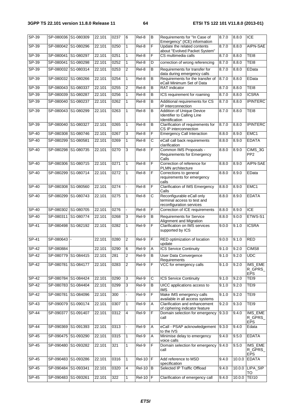| $SP-39$ | SP-080036 S1-080309 |                     | 22.101 | 0237 | 6              | Rel-8              | B              | Requirements for "In Case of<br>Emergency" (ICE) information                         | 8.7.0 | 8.8.0  | <b>ICE</b>                       |
|---------|---------------------|---------------------|--------|------|----------------|--------------------|----------------|--------------------------------------------------------------------------------------|-------|--------|----------------------------------|
| $SP-39$ | SP-080042 S1-080296 |                     | 22.101 | 0250 | $\mathbf{1}$   | Rel-8              | F              | Update the related contents<br>about "Evolved Packet System"                         | 8.7.0 | 8.8.0  | AIPN-SAE                         |
| SP-39   | SP-080041 S1-080297 |                     | 22.101 | 0251 | $\mathbf{1}$   | Rel-8              | F              | CS multimedia calls                                                                  | 8.7.0 | 8.8.0  | TEI8                             |
| $SP-39$ | SP-080041 S1-080298 |                     | 22.101 | 0252 | $\mathbf{1}$   | $Rel-8$            | D              | correction of wrong referencing                                                      | 8.7.0 | 8.8.0  | TEI8                             |
| $SP-39$ | SP-080032 S1-080314 |                     | 22.101 | 0253 | 2              | Rel-8              | B              | Requirements for transfer for<br>data during emergency calls                         | 8.7.0 | 8.8.0  | EData                            |
| $SP-39$ |                     | SP-080032 S1-080266 | 22.101 | 0254 | $\mathbf{1}$   | Rel-8              | B              | Requirements for the transfer of<br>eCall Minimum Set of Data                        | 8.7.0 | 8.8.0  | EData                            |
| $SP-39$ | SP-080043 S1-080337 |                     | 22.101 | 0255 | $\overline{c}$ | Rel-8              | В              | <b>RAT</b> indicator                                                                 | 8.7.0 | 8.8.0  | TEI8                             |
| $SP-39$ | SP-080039           | S1-080287           | 22.101 | 0256 | $\mathbf{1}$   | Rel-8              | B              | ICS requirement for roaming                                                          | 8.7.0 | 8.8.0  | <b>ICSRA</b>                     |
| $SP-39$ | SP-080040 S1-080237 |                     | 22.101 | 0262 | $\mathbf{1}$   | Rel-8              | B              | Additional requirements for CS<br>IP interconnection                                 | 8.7.0 | 8.8.0  | <b>IPINTERC</b>                  |
| $SP-39$ | SP-080043 S1-080299 |                     | 22.101 | 0263 | $\mathbf{1}$   | Rel-8              | $\overline{B}$ | <b>Addition of Unique Device</b><br>Identifier to Calling Line<br>Identification     | 8.7.0 | 8.8.0  | TEI8                             |
| $SP-39$ | SP-080040           | S1-080327           | 22.101 | 0265 | $\mathbf{1}$   | Rel-8              | В              | Clarification of requirements for<br>CS IP interconnection                           | 8.7.0 | 8.8.0  | <b>IPINTERC</b>                  |
| $SP-40$ | SP-080308 S1-080746 |                     | 22.101 | 0267 | 3              | Rel-8              | F              | <b>Emergency Call Interaction</b>                                                    | 8.8.0 | 8.9.0  | EMC1                             |
| $SP-40$ | SP-080299 S1-080581 |                     | 22.101 | 0269 | $\mathbf{1}$   | Rel-8              | С              | eCall call back requirements<br>clarification                                        | 8.8.0 | 8.9.0  | <b>EDATA</b>                     |
| $SP-40$ |                     | SP-080298 S1-080735 | 22.101 | 0270 | 3              | Rel-8              | F              | Common IMS Proposals -<br>Requirements for Emergency<br>Calls                        | 8.8.0 | 8.9.0  | CIMS_3G<br>PP <sub>2</sub>       |
| SP-40   |                     | SP-080306 S1-080715 | 22.101 | 0271 | $\mathbf{1}$   | Rel-8              | F              | Correction of reference for<br>PLMN architecture                                     | 8.8.0 | 8.9.0  | AIPN-SAE                         |
| $SP-40$ |                     | SP-080299 S1-080714 | 22.101 | 0272 | $\mathbf{1}$   | Rel-8              | F              | Corrections to general<br>requirements for emergency<br>calls                        | 8.8.0 | 8.9.0  | EData                            |
| $SP-40$ |                     | SP-080308 S1-080560 | 22.101 | 0274 |                | Rel-8              | F              | <b>Clarification of IMS Emergency</b><br>Calls                                       | 8.8.0 | 8.9.0  | EMC1                             |
| $SP-40$ |                     | SP-080299 S1-080743 | 22.101 | 0275 | $\mathbf{1}$   | Rel-8              | C              | Reconfigurable eCall only<br>terminal access to test and<br>reconfiguration services | 8.8.0 | 8.9.0  | <b>EDATA</b>                     |
| $SP-40$ |                     | SP-080302 S1-080705 | 22.101 | 0276 |                | Rel-8              | F              | Correction of ICE requirements                                                       | 8.8.0 | 8.9.0  | <b>ICE</b>                       |
| SP-40   |                     | SP-080311 S1-080774 | 22.101 | 0268 | 3              | Rel-9              | B              | <b>Requirements for Service</b><br>Alignment and Migration                           | 8.8.0 | 9.0.0  | ETWS-S1                          |
| $SP-41$ |                     | SP-080498 S1-082192 | 22.101 | 0282 | $\mathbf{1}$   | $ReI-9$            | F              | <b>Clarification on IMS services</b><br>supported by ICS                             | 9.0.0 | 9.1.0  | <b>ICSRA</b>                     |
| $SP-41$ | SP-080643           |                     | 22.101 | 0280 | 2              | Rel-9              | F              | RED optimization of location<br>update                                               | 9.0.0 | 9.1.0  | <b>RED</b>                       |
| $SP-42$ | SP-080884           |                     | 22.101 | 0290 | 6              | Rel-9              | A              | <b>ICS Service Continuity</b>                                                        | 9.1.0 | 9.2.0  | CIMS8                            |
| SP-42   |                     | SP-080779 S1-084415 | 22.101 | 281  | 2              | Rel-9              | B              | User Data Convergence<br>Requirements                                                | 9.1.0 | 9.2.0  | <b>UDC</b>                       |
| $SP-42$ |                     | SP-080781 S1-084177 | 22.101 | 0283 | $\overline{2}$ | $Rel-9$            | F              | VCC for emergency calls                                                              | 9.1.0 | 9.2.0  | IMS_EME<br>R_GPRS_<br><b>EPS</b> |
| $SP-42$ |                     | SP-080784 S1-084424 | 22.101 | 0290 | 3              | Rel-9              | C              | ICS Service Continuity                                                               | 9.1.0 | 9.2.0  | TEI9                             |
| $SP-42$ | SP-080783 S1-084404 |                     | 22.101 | 0299 | 3              | Rel-9              | B              | UICC applications access to<br><b>IMS</b>                                            | 9.1.0 | 9.2.0  | TEI9                             |
| $SP-42$ |                     | SP-080781 S1-084096 | 22.101 | 300  | ÷.             | Rel-9              | F              | Make IMS emergency calls<br>available in all access systems                          | 9.1.0 | 9.2.0  | TEI9                             |
| SP-43   |                     | SP-090079 S1-090174 | 22.101 | 0307 | $\mathbf{1}$   | Rel-9              | A              | Clarification and enhancement<br>of ciphering indicator feature                      | 9.2.0 | 9.3.0  | TEI9                             |
| $SP-44$ |                     | SP-090377 S1-091407 | 22.101 | 0312 | $\overline{4}$ | $\overline{Rel-9}$ | F              | Domain selection for emergency<br>call                                               | 9.3.0 | 9.4.0  | IMS_EME<br>R_GPRS_<br><b>EPS</b> |
| $SP-44$ |                     | SP-090369 S1-091393 | 22.101 | 0313 | $\blacksquare$ | Rel-9              | A              | eCall - PSAP acknowledgement<br>to the IVS                                           | 9.3.0 | 9.4.0  | Edata                            |
| $SP-45$ |                     | SP-090475 S1-093290 | 22.101 | 0315 | $\mathbf{1}$   | Rel-9              | A              | Minimise delay to emergency<br>voice calls                                           | 9.4.0 | 9.5.0  | <b>EDATA</b>                     |
| SP-45   |                     | SP-090480 S1-093282 | 22.101 | 321  | $\mathbf{1}$   | Rel-9              | F              | Domain selection for emergency<br>call                                               | 9.4.0 | 9.5.0  | IMS_EME<br>R_GPRS_<br><b>EPS</b> |
| $SP-45$ | SP-090483 S1-093286 |                     | 22.101 | 0316 | $\mathbf{1}$   | $Rel-10$ $F$       |                | Add reference to MSD<br>specification                                                | 9.4.0 | 10.0.0 | <b>EDATA</b>                     |
| $SP-45$ | SP-090484 S1-093341 |                     | 22.101 | 0320 | $\overline{4}$ | <b>Rel-10</b>      | Iв.            | Selected IP Traffic Offload                                                          | 9.4.0 | 10.0.0 | LIPA_SIP<br>то                   |
| $SP-45$ | SP-090483 S1-093261 |                     | 22.101 | 322  | 1              | $Rel-10$ $F$       |                | Clarification of emergency call                                                      | 9.4.0 | 10.0.0 | <b>TEI10</b>                     |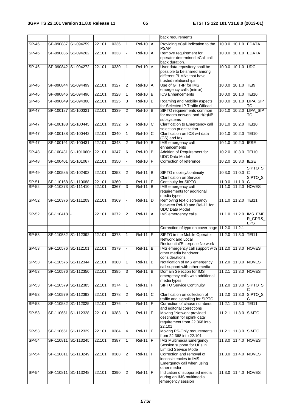|              |                     |                     |        |      |                |                     |              | back requirements                                                                                                  |               |               |                                  |
|--------------|---------------------|---------------------|--------|------|----------------|---------------------|--------------|--------------------------------------------------------------------------------------------------------------------|---------------|---------------|----------------------------------|
| $SP-46$      | SP-090887 S1-094259 |                     | 22.101 | 0336 | $\mathbf{1}$   | $ReI-10$ $A$        |              | Providing eCall indication to the<br><b>PSAP</b>                                                                   |               |               | 10.0.0 10.1.0 EDATA              |
| $SP-46$      | SP-090836 S1-094262 |                     | 22.101 | 0338 |                | $Rel-10$            | A            | Remove requirement for<br>operator determined eCall call-<br>back duration.                                        | 10.0.0        | 10.1.0        | <b>EDATA</b>                     |
| <b>SP-46</b> |                     | SP-090842 S1-094272 | 22.101 | 0330 | $\mathbf{1}$   | $Rel-10$ $A$        |              | User data repository shall be<br>possible to be shared among<br>different PLMNs that have<br>trusted relationships |               | 10.0.0 10.1.0 | <b>UDC</b>                       |
| $SP-46$      | SP-090844 S1-094499 |                     | 22.101 | 0327 | 2              | <b>Rel-10 A</b>     |              | Use of GTT-IP for IMS<br>emergency calls (mirror)                                                                  |               | 10.0.0 10.1.0 | TEI9                             |
| $SP-46$      | SP-090846 S1-094496 |                     | 22.101 | 0328 | $\mathbf{1}$   | $Rel-10$            | B            | <b>ICS Enhancements</b>                                                                                            | 10.0.0        | 10.1.0        | <b>TEI10</b>                     |
| $SP-46$      | SP-090849 S1-094300 |                     | 22.101 | 0325 | 3              | $Rel-10$ B          |              | Roaming and Mobility aspects<br>for Selected IP Traffic Offload                                                    |               |               | 10.0.0 10.1.0 LIPA_SIP<br>TO     |
| $SP-47$      | SP-100187 S1-100321 |                     | 22.101 | 0339 | 2              | <b>Rel-10</b>       | <b>B</b>     | SIPTO requirements common<br>for macro network and H(e)NB<br>subsystems                                            | 10.1.0 10.2.0 |               | LIPA_SIP<br>TO                   |
| $SP-47$      | SP-100188 S1-100445 |                     | 22.101 | 0332 | 6              | <b>Rel-10</b>       | $\mathsf{C}$ | Clarification to Emergency call<br>selection prioritization                                                        | 10.1.0        | 10.2.0        | <b>TEI10</b>                     |
| $SP-47$      | SP-100188 S1-100442 |                     | 22.101 | 0340 | $\mathbf{1}$   | $Rel-10$            | C            | Clarification on ICS wrt data<br>(CS) and fax                                                                      |               | 10.1.0 10.2.0 | <b>TEI10</b>                     |
| $SP-47$      | SP-100191 S1-100431 |                     | 22.101 | 0343 | $\overline{c}$ | <b>Rel-10</b>       | B            | IMS emergency call<br>enhancements                                                                                 | 10.1.0        | 10.2.0        | <b>IESE</b>                      |
| $SP-48$      | SP-100431           | S1-101060r          | 22.101 | 0347 | 6              | $\overline{Rel-10}$ | B            | Addition of Requirement for<br><b>UDC Data Model</b>                                                               | 10.2.0        | 10.3.0        | <b>TEI10</b>                     |
| $SP-48$      | SP-100401 S1-101067 |                     | 22.101 | 0350 | $\blacksquare$ | $Rel-10$ $F$        |              | Correction of reference                                                                                            | 10.2.0        | 10.3.0 IESE   |                                  |
| SP-49        |                     | SP-100585 S1-102403 | 22.101 | 0353 | 2              | $Rel-11$ B          |              | SIPTO mobility/continuity                                                                                          |               | 10.3.0 11.0.0 | SIPTO_S<br>С                     |
| SP-51        | SP-110168 S1-110088 |                     | 22.101 | 0360 |                | <b>Rel-11</b>       | F            | <b>Clarification on Service</b><br>Continuity for SIPTO                                                            |               | 11.0.0 11.1.0 | SIPTO <sub>S</sub><br>С          |
| $SP-52$      | SP-110373 S1-111410 |                     | 22.101 | 0367 | $\overline{3}$ | $Rel-11$ B          |              | IMS emergency call<br>requirements for additional<br>media types                                                   |               | 11.1.0 11.2.0 | <b>NOVES</b>                     |
| $SP-52$      | SP-110376 S1-111209 |                     | 22.101 | 0369 |                | $ReI-11$ D          |              | Removing text discrepancy<br>between Rel-10 and Rel-11 for<br><b>UDC Data Model</b>                                |               | 11.1.0 11.2.0 | <b>TEI11</b>                     |
| $SP-52$      | SP-110418           | $\blacksquare$      | 22.101 | 0372 | 2              | $ReI-11$ $A$        |              | IMS emergency calls                                                                                                |               | 11.1.0 11.2.0 | IMS_EME<br>R_GPRS_<br><b>EPS</b> |
|              |                     |                     |        |      |                |                     |              | Correction of typo on cover page 11.2.0 11.2.1                                                                     |               |               |                                  |
| $SP-53$      | SP-110582 S1-112392 |                     | 22.101 | 0373 | $\mathbf{1}$   | $Rel-11$ $IF$       |              | SIPTO in the Mobile Operator<br>Network and Local<br>Residential/Enterprise Network                                |               | 11.2.0 11.3.0 | <b>TEI11</b>                     |
| $SP-53$      | SP-110576 S1-112101 |                     | 22.101 | 0379 |                | $Rel-11$ $B$        |              | IMS emergency call support with 11.2.0 11.3.0 NOVES<br>other media handover<br>considerations                      |               |               |                                  |
| SP-53        | SP-110576 S1-112344 |                     | 22.101 | 0380 | $\mathbf{1}$   | $ReI-11$ B          |              | Notification of IMS emergency<br>call support with other media                                                     |               |               | 11.2.0 11.3.0 NOVES              |
| SP-53        | SP-110576 S1-112350 |                     | 22.101 | 0385 | 3              | $Rel-11$ B          |              | Domain Selection for IMS<br>emergency calls with additional<br>media types                                         |               |               | 11.2.1 11.3.0 NOVES              |
| $SP-53$      | SP-110579 S1-112385 |                     | 22.101 | 0374 | $\mathbf{1}$   | <b>Rel-11</b>       | F            | <b>SIPTO Service Continuity</b>                                                                                    |               | 11.2.0 11.3.0 | SIPTO_S<br>С                     |
| SP-53        |                     | SP-110579 S1-112393 | 22.101 | 0378 | 2              | $Rel-11$            | C            | Clarification on collection of<br>traffic and signalling for SIPTO                                                 |               | 11.2.0 11.3.0 | <b>SIPTO<sub>S</sub></b>         |
| SP-53        | SP-110582 S1-112025 |                     | 22.101 | 0376 | $\blacksquare$ | $Rel-11$ $F$        |              | Correction of clause numbers<br>and editorial corrections                                                          |               | 11.2.1 11.3.0 | <b>TEI11</b>                     |
| SP-53        | SP-110651 S1-112328 |                     | 22.101 | 0383 | 3              | $Rel-11$ F          |              | Moving "Network provided<br>destination for uplink data"<br>requirement from 22.368 into<br>22.101                 | 11.2.1        | 11.3.0        | <b>SIMTC</b>                     |
| SP-53        | SP-110651           | S1-112329           | 22.101 | 0384 | $\overline{4}$ | $Rel-11$ F          |              | Moving PS-Only requirements<br>from 22.368 into 22.101                                                             | 11.2.1        | 11.3.0        | <b>SIMTC</b>                     |
| $SP-54$      | SP-110811 S1-113245 |                     | 22.101 | 0387 | $\mathbf{1}$   | $Rel-11$ $F$        |              | <b>IMS Multimedia Emergency</b><br>Session support for UEs in<br><b>Limited Service Mode</b>                       |               | 11.3.0 11.4.0 | <b>NOVES</b>                     |
| SP-54        | SP-110811 S1-113249 |                     | 22.101 | 0388 | 2              | $Rel-11$ $F$        |              | Correction and removal of<br>inconsistencies to IMS<br>Emergency call when using<br>other media                    |               | 11.3.0 11.4.0 | <b>NOVES</b>                     |
| SP-54        | SP-110811 S1-113248 |                     | 22.101 | 0390 | $\overline{2}$ | <b>Rel-11</b>       | lF.          | Indication of supported media<br>during an IMS multimedia<br>emergency session                                     |               | 11.3.0 11.4.0 | <b>NOVES</b>                     |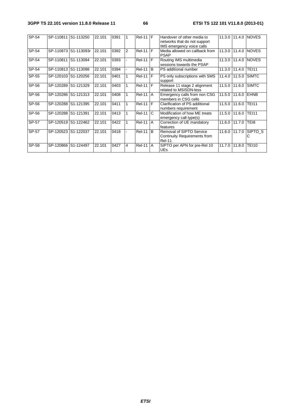#### **3GPP TS 22.101 version 11.8.0 Release 11 66 ETSI TS 122 101 V11.8.0 (2013-01)**

| $SP-54$ | SP-110811 S1-113250 |                      | 22.101 | 0391 |                | $ReI-11$ $F$  |           | Handover of other media to<br>networks that do not support                              |        |                | 11.3.0 11.4.0 NOVES     |
|---------|---------------------|----------------------|--------|------|----------------|---------------|-----------|-----------------------------------------------------------------------------------------|--------|----------------|-------------------------|
|         |                     |                      |        |      |                |               |           | IMS emergency voice calls                                                               |        |                |                         |
| SP-54   |                     | SP-110873 S1-113093r | 22.101 | 0392 | $\mathfrak{p}$ | $ReI-11$ $F$  |           | Media allowed on callback from<br><b>PSAP</b>                                           | 11.3.0 | 11.4.0         | <b>NOVES</b>            |
| SP-54   | SP-110811 S1-113094 |                      | 22.101 | 0393 |                | <b>Rel-11</b> | IF        | Routing IMS multimedia<br>sessions towards the PSAP                                     | 11.3.0 |                | 11.4.0 NOVES            |
| SP-54   | SP-110813 S1-113098 |                      | 22.101 | 0394 |                | <b>Rel-11</b> | l B       | <b>PS</b> additional number                                                             | 11.3.0 | 11.4.0         | <b>TEI11</b>            |
| SP-55   | SP-120103 S1-120256 |                      | 22.101 | 0401 |                | <b>Rel-11</b> | IF        | PS only subscriptions with SMS<br>support                                               | 11.4.0 |                | 11.5.0 SIMTC            |
| SP-56   | SP-120289 S1-121329 |                      | 22.101 | 0403 |                | $ReI-11$ $IF$ |           | Release 11 stage 2 alignment<br>related to MSISDN-less                                  | 11.5.0 |                | 11.6.0 SIMTC            |
| SP-56   | SP-120286 S1-121313 |                      | 22.101 | 0408 |                | $Rel-11$ $A$  |           | Emergency calls from non CSG<br>members in CSG cells                                    | 11.5.0 | 11.6.0 EHNB    |                         |
| SP-56   | SP-120288 S1-121395 |                      | 22.101 | 0411 |                | <b>Rel-11</b> | IF.       | Clarification of PS additional<br>numbers requirement                                   | 11.5.0 | 11.6.0         | <b>TEI11</b>            |
| SP-56   | SP-120288 S1-121391 |                      | 22.101 | 0413 |                | <b>Rel-11</b> | l C       | Modification of how ME treats<br>emergency call type(s)                                 | 11.5.0 | 11.6.0         | <b>TEI11</b>            |
| SP-57   | SP-120519 S1-122462 |                      | 22.101 | 0422 |                | <b>Rel-11</b> | A         | Correction of UE mandatory<br>features                                                  | 11.6.0 | 11.7.0         | TEI8                    |
| SP-57   | SP-120523 S1-122037 |                      | 22.101 | 0418 |                | <b>Rel-11</b> | <b>B</b>  | <b>Removal of SIPTO Service</b><br><b>Continuity Requirements from</b><br><b>Rel-11</b> |        | 11.6.0 111.7.0 | SIPTO <sub>S</sub><br>С |
| SP-58   | SP-120866 S1-124497 |                      | 22.101 | 0427 | 4              | <b>Rel-11</b> | <b>IA</b> | SIPTO per APN for pre-Rel 10<br><b>UEs</b>                                              | 11.7.0 | 11.8.0         | <b>TEI10</b>            |